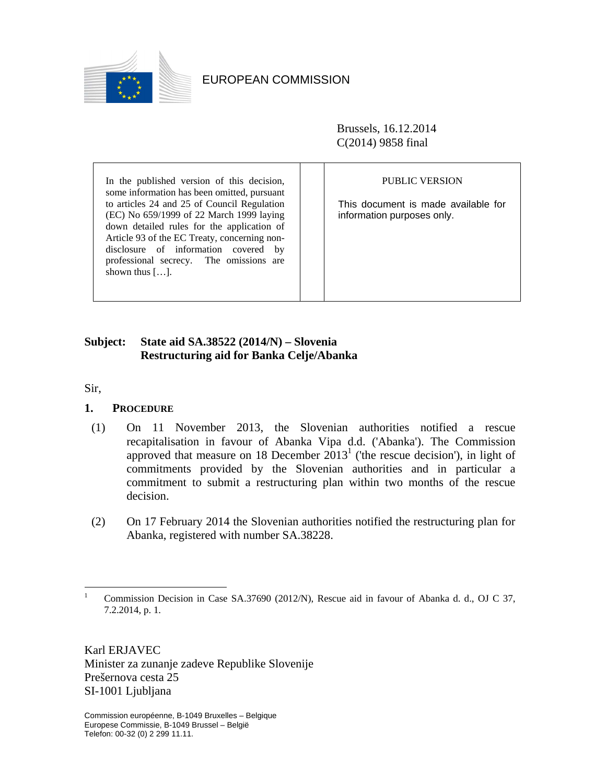

EUROPEAN COMMISSION

Brussels, 16.12.2014 C(2014) 9858 final

In the published version of this decision, some information has been omitted, pursuant to articles 24 and 25 of Council Regulation (EC) No 659/1999 of 22 March 1999 laying down detailed rules for the application of Article 93 of the EC Treaty, concerning nondisclosure of information covered by professional secrecy. The omissions are shown thus […].

### PUBLIC VERSION

This document is made available for information purposes only.

# **Subject: State aid SA.38522 (2014/N) – Slovenia Restructuring aid for Banka Celje/Abanka**

Sir,

 $\overline{a}$ 

# **1. PROCEDURE**

- (1) On 11 November 2013, the Slovenian authorities notified a rescue recapitalisation in favour of Abanka Vipa d.d. ('Abanka'). The Commission approved that measure on 18 December  $2013<sup>1</sup>$  ('the rescue decision'), in light of commitments provided by the Slovenian authorities and in particular a commitment to submit a restructuring plan within two months of the rescue decision.
- (2) On 17 February 2014 the Slovenian authorities notified the restructuring plan for Abanka, registered with number SA.38228.

Karl ERJAVEC Minister za zunanje zadeve Republike Slovenije Prešernova cesta 25 SI-1001 Ljubljana

<sup>1</sup> Commission Decision in Case SA.37690 (2012/N), Rescue aid in favour of Abanka d. d., OJ C 37, 7.2.2014, p. 1.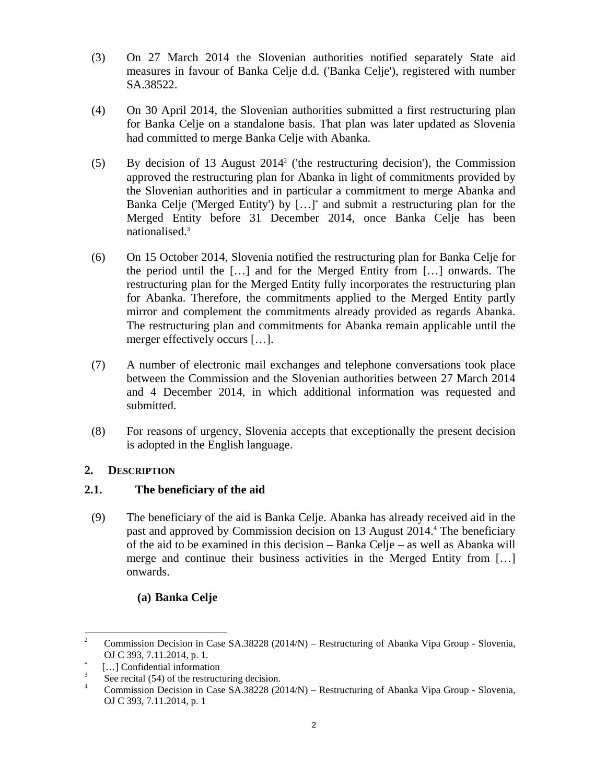- (3) On 27 March 2014 the Slovenian authorities notified separately State aid measures in favour of Banka Celje d.d. ('Banka Celje'), registered with number SA.38522.
- <span id="page-1-1"></span>(4) On 30 April 2014, the Slovenian authorities submitted a first restructuring plan for Banka Celje on a standalone basis. That plan was later updated as Slovenia had committed to merge Banka Celje with Abanka.
- <span id="page-1-0"></span>(5) By decision of 13 August 20142 ('the restructuring decision'), the Commission approved the restructuring plan for Abanka in light of commitments provided by the Slovenian authorities and in particular a commitment to merge Abanka and Banka Celje ('Merged Entity') by […]<sup>∗</sup> and submit a restructuring plan for the Merged Entity before 31 December 2014, once Banka Celje has been nationalised.3
- <span id="page-1-2"></span>(6) On 15 October 2014, Slovenia notified the restructuring plan for Banka Celje for the period until the […] and for the Merged Entity from […] onwards. The restructuring plan for the Merged Entity fully incorporates the restructuring plan for Abanka. Therefore, the commitments applied to the Merged Entity partly mirror and complement the commitments already provided as regards Abanka. The restructuring plan and commitments for Abanka remain applicable until the merger effectively occurs […].
- (7) A number of electronic mail exchanges and telephone conversations took place between the Commission and the Slovenian authorities between 27 March 2014 and 4 December 2014, in which additional information was requested and submitted.
- (8) For reasons of urgency, Slovenia accepts that exceptionally the present decision is adopted in the English language.

# **2. DESCRIPTION**

# **2.1. The beneficiary of the aid**

(9) The beneficiary of the aid is Banka Celje. Abanka has already received aid in the past and approved by Commission decision on 13 August 2014.<sup>4</sup> The beneficiary of the aid to be examined in this decision – Banka Celje – as well as Abanka will merge and continue their business activities in the Merged Entity from […] onwards.

# **(a) Banka Celje**

 $\frac{1}{2}$  Commission Decision in Case SA.38228 (2014/N) – Restructuring of Abanka Vipa Group - Slovenia, OJ C 393, 7.11.2014, p. 1.

<sup>∗</sup> [...] Confidential information

<sup>3</sup> See recital (54) of the restructuring decision.<br>  $\frac{4}{1}$  Commission Decision in Case SA 38228 (20)

Commission Decision in Case SA.38228 (2014/N) – Restructuring of Abanka Vipa Group - Slovenia, OJ C 393, 7.11.2014, p. 1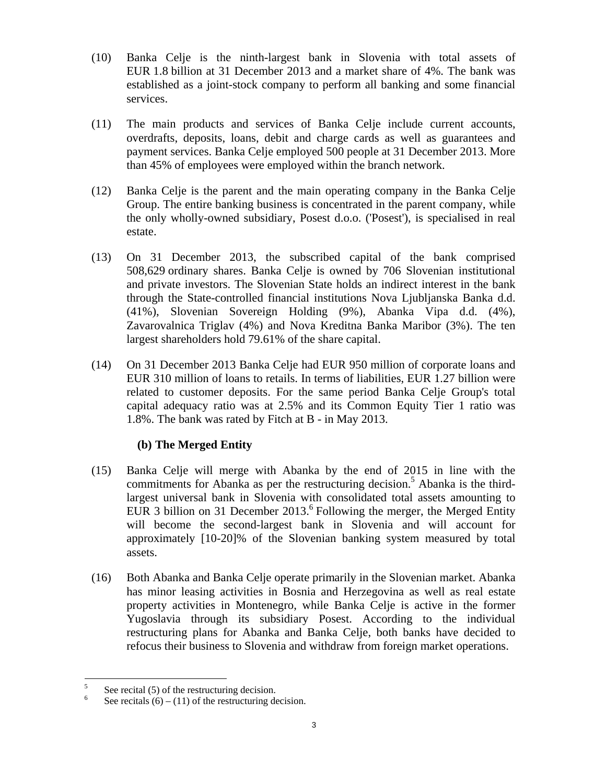- (10) Banka Celje is the ninth-largest bank in Slovenia with total assets of EUR 1.8 billion at 31 December 2013 and a market share of 4%. The bank was established as a joint-stock company to perform all banking and some financial services.
- (11) The main products and services of Banka Celje include current accounts, overdrafts, deposits, loans, debit and charge cards as well as guarantees and payment services. Banka Celje employed 500 people at 31 December 2013. More than 45% of employees were employed within the branch network.
- (12) Banka Celje is the parent and the main operating company in the Banka Celje Group. The entire banking business is concentrated in the parent company, while the only wholly-owned subsidiary, Posest d.o.o. ('Posest'), is specialised in real estate.
- (13) On 31 December 2013, the subscribed capital of the bank comprised 508,629 ordinary shares. Banka Celje is owned by 706 Slovenian institutional and private investors. The Slovenian State holds an indirect interest in the bank through the State-controlled financial institutions Nova Ljubljanska Banka d.d. (41%), Slovenian Sovereign Holding (9%), Abanka Vipa d.d. (4%), Zavarovalnica Triglav (4%) and Nova Kreditna Banka Maribor (3%). The ten largest shareholders hold 79.61% of the share capital.
- (14) On 31 December 2013 Banka Celje had EUR 950 million of corporate loans and EUR 310 million of loans to retails. In terms of liabilities, EUR 1.27 billion were related to customer deposits. For the same period Banka Celje Group's total capital adequacy ratio was at 2.5% and its Common Equity Tier 1 ratio was 1.8%. The bank was rated by Fitch at B - in May 2013.

# **(b) The Merged Entity**

- (15) Banka Celje will merge with Abanka by the end of 2015 in line with the commitments for Abanka as per the restructuring decision.<sup>5</sup> Abanka is the thirdlargest universal bank in Slovenia with consolidated total assets amounting to EUR 3 billion on 31 December  $2013<sup>6</sup>$  Following the merger, the Merged Entity will become the second-largest bank in Slovenia and will account for approximately [10-20]% of the Slovenian banking system measured by total assets.
- (16) Both Abanka and Banka Celje operate primarily in the Slovenian market. Abanka has minor leasing activities in Bosnia and Herzegovina as well as real estate property activities in Montenegro, while Banka Celje is active in the former Yugoslavia through its subsidiary Posest. According to the individual restructuring plans for Abanka and Banka Celje, both banks have decided to refocus their business to Slovenia and withdraw from foreign market operations.

 $\overline{a}$ 

<sup>5</sup> See recital (5) of the restructuring decision.<br>
See recitals (6) (11) of the restructuring de-

See recitals  $(6) - (11)$  of the restructuring decision.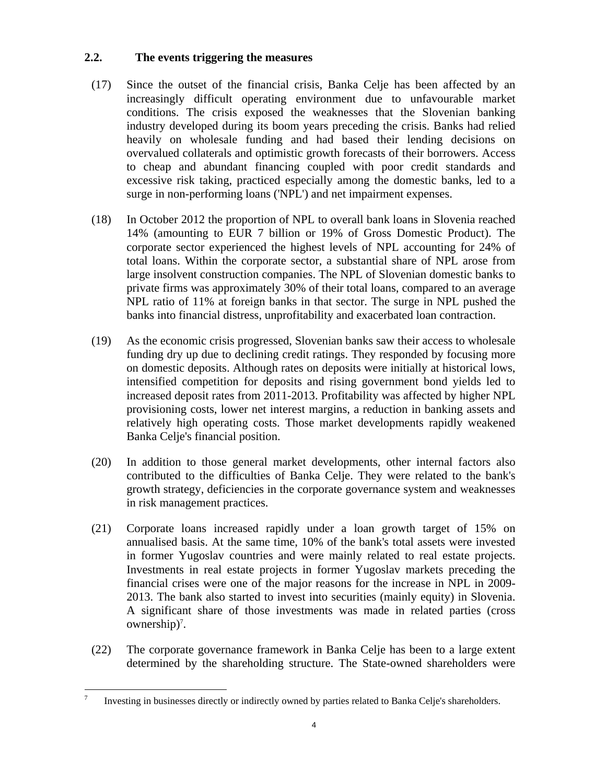# **2.2. The events triggering the measures**

- (17) Since the outset of the financial crisis, Banka Celje has been affected by an increasingly difficult operating environment due to unfavourable market conditions. The crisis exposed the weaknesses that the Slovenian banking industry developed during its boom years preceding the crisis. Banks had relied heavily on wholesale funding and had based their lending decisions on overvalued collaterals and optimistic growth forecasts of their borrowers. Access to cheap and abundant financing coupled with poor credit standards and excessive risk taking, practiced especially among the domestic banks, led to a surge in non-performing loans ('NPL') and net impairment expenses.
- (18) In October 2012 the proportion of NPL to overall bank loans in Slovenia reached 14% (amounting to EUR 7 billion or 19% of Gross Domestic Product). The corporate sector experienced the highest levels of NPL accounting for 24% of total loans. Within the corporate sector, a substantial share of NPL arose from large insolvent construction companies. The NPL of Slovenian domestic banks to private firms was approximately 30% of their total loans, compared to an average NPL ratio of 11% at foreign banks in that sector. The surge in NPL pushed the banks into financial distress, unprofitability and exacerbated loan contraction.
- (19) As the economic crisis progressed, Slovenian banks saw their access to wholesale funding dry up due to declining credit ratings. They responded by focusing more on domestic deposits. Although rates on deposits were initially at historical lows, intensified competition for deposits and rising government bond yields led to increased deposit rates from 2011-2013. Profitability was affected by higher NPL provisioning costs, lower net interest margins, a reduction in banking assets and relatively high operating costs. Those market developments rapidly weakened Banka Celje's financial position.
- (20) In addition to those general market developments, other internal factors also contributed to the difficulties of Banka Celje. They were related to the bank's growth strategy, deficiencies in the corporate governance system and weaknesses in risk management practices.
- (21) Corporate loans increased rapidly under a loan growth target of 15% on annualised basis. At the same time, 10% of the bank's total assets were invested in former Yugoslav countries and were mainly related to real estate projects. Investments in real estate projects in former Yugoslav markets preceding the financial crises were one of the major reasons for the increase in NPL in 2009- 2013. The bank also started to invest into securities (mainly equity) in Slovenia. A significant share of those investments was made in related parties (cross ownership)<sup>7</sup>.
- (22) The corporate governance framework in Banka Celje has been to a large extent determined by the shareholding structure. The State-owned shareholders were

<sup>&</sup>lt;sup>-</sup> Investing in businesses directly or indirectly owned by parties related to Banka Celje's shareholders.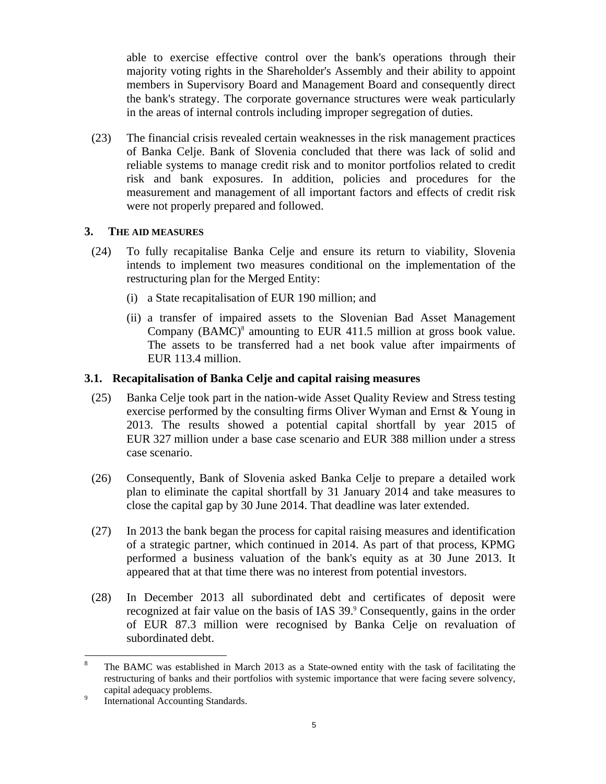able to exercise effective control over the bank's operations through their majority voting rights in the Shareholder's Assembly and their ability to appoint members in Supervisory Board and Management Board and consequently direct the bank's strategy. The corporate governance structures were weak particularly in the areas of internal controls including improper segregation of duties.

(23) The financial crisis revealed certain weaknesses in the risk management practices of Banka Celje. Bank of Slovenia concluded that there was lack of solid and reliable systems to manage credit risk and to monitor portfolios related to credit risk and bank exposures. In addition, policies and procedures for the measurement and management of all important factors and effects of credit risk were not properly prepared and followed.

# **3. THE AID MEASURES**

- (24) To fully recapitalise Banka Celje and ensure its return to viability, Slovenia intends to implement two measures conditional on the implementation of the restructuring plan for the Merged Entity:
	- (i) a State recapitalisation of EUR 190 million; and
	- (ii) a transfer of impaired assets to the Slovenian Bad Asset Management Company  $(BAMC)^8$  amounting to EUR 411.5 million at gross book value. The assets to be transferred had a net book value after impairments of EUR 113.4 million.

# **3.1. Recapitalisation of Banka Celje and capital raising measures**

- (25) Banka Celje took part in the nation-wide Asset Quality Review and Stress testing exercise performed by the consulting firms Oliver Wyman and Ernst & Young in 2013. The results showed a potential capital shortfall by year 2015 of EUR 327 million under a base case scenario and EUR 388 million under a stress case scenario.
- (26) Consequently, Bank of Slovenia asked Banka Celje to prepare a detailed work plan to eliminate the capital shortfall by 31 January 2014 and take measures to close the capital gap by 30 June 2014. That deadline was later extended.
- (27) In 2013 the bank began the process for capital raising measures and identification of a strategic partner, which continued in 2014. As part of that process, KPMG performed a business valuation of the bank's equity as at 30 June 2013. It appeared that at that time there was no interest from potential investors.
- (28) In December 2013 all subordinated debt and certificates of deposit were recognized at fair value on the basis of IAS 39.<sup>9</sup> Consequently, gains in the order of EUR 87.3 million were recognised by Banka Celje on revaluation of subordinated debt.

 $\overline{a}$ 

<sup>8</sup> The BAMC was established in March 2013 as a State-owned entity with the task of facilitating the restructuring of banks and their portfolios with systemic importance that were facing severe solvency, capital adequacy problems.<br> $\frac{9}{2}$  International Accounting St.

International Accounting Standards.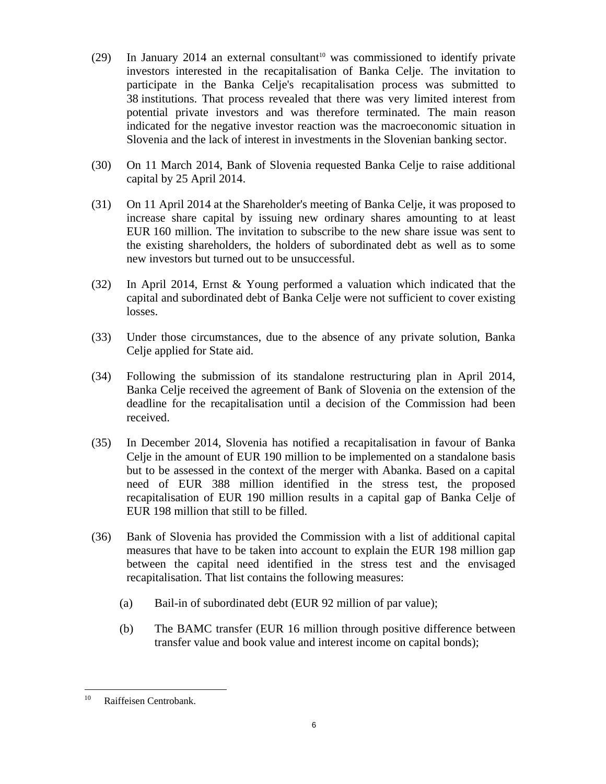- <span id="page-5-0"></span>(29) In January 2014 an external consultant<sup>10</sup> was commissioned to identify private investors interested in the recapitalisation of Banka Celje. The invitation to participate in the Banka Celje's recapitalisation process was submitted to 38 institutions. That process revealed that there was very limited interest from potential private investors and was therefore terminated. The main reason indicated for the negative investor reaction was the macroeconomic situation in Slovenia and the lack of interest in investments in the Slovenian banking sector.
- <span id="page-5-1"></span>(30) On 11 March 2014, Bank of Slovenia requested Banka Celje to raise additional capital by 25 April 2014.
- (31) On 11 April 2014 at the Shareholder's meeting of Banka Celje, it was proposed to increase share capital by issuing new ordinary shares amounting to at least EUR 160 million. The invitation to subscribe to the new share issue was sent to the existing shareholders, the holders of subordinated debt as well as to some new investors but turned out to be unsuccessful.
- (32) In April 2014, Ernst & Young performed a valuation which indicated that the capital and subordinated debt of Banka Celje were not sufficient to cover existing losses.
- (33) Under those circumstances, due to the absence of any private solution, Banka Celje applied for State aid.
- (34) Following the submission of its standalone restructuring plan in April 2014, Banka Celje received the agreement of Bank of Slovenia on the extension of the deadline for the recapitalisation until a decision of the Commission had been received.
- (35) In December 2014, Slovenia has notified a recapitalisation in favour of Banka Celje in the amount of EUR 190 million to be implemented on a standalone basis but to be assessed in the context of the merger with Abanka. Based on a capital need of EUR 388 million identified in the stress test, the proposed recapitalisation of EUR 190 million results in a capital gap of Banka Celje of EUR 198 million that still to be filled.
- <span id="page-5-2"></span>(36) Bank of Slovenia has provided the Commission with a list of additional capital measures that have to be taken into account to explain the EUR 198 million gap between the capital need identified in the stress test and the envisaged recapitalisation. That list contains the following measures:
	- (a) Bail-in of subordinated debt (EUR 92 million of par value);
	- (b) The BAMC transfer (EUR 16 million through positive difference between transfer value and book value and interest income on capital bonds);

 $10\,$ Raiffeisen Centrobank.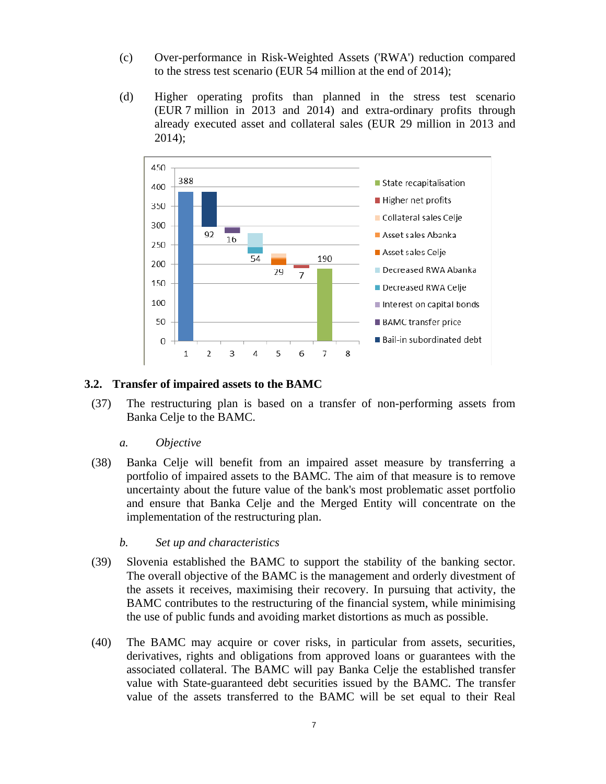- (c) Over-performance in Risk-Weighted Assets ('RWA') reduction compared to the stress test scenario (EUR 54 million at the end of 2014);
- (d) Higher operating profits than planned in the stress test scenario (EUR 7 million in 2013 and 2014) and extra-ordinary profits through already executed asset and collateral sales (EUR 29 million in 2013 and 2014);



# **3.2. Transfer of impaired assets to the BAMC**

(37) The restructuring plan is based on a transfer of non-performing assets from Banka Celje to the BAMC.

### *a. Objective*

- (38) Banka Celje will benefit from an impaired asset measure by transferring a portfolio of impaired assets to the BAMC. The aim of that measure is to remove uncertainty about the future value of the bank's most problematic asset portfolio and ensure that Banka Celje and the Merged Entity will concentrate on the implementation of the restructuring plan.
	- *b. Set up and characteristics*
- (39) Slovenia established the BAMC to support the stability of the banking sector. The overall objective of the BAMC is the management and orderly divestment of the assets it receives, maximising their recovery. In pursuing that activity, the BAMC contributes to the restructuring of the financial system, while minimising the use of public funds and avoiding market distortions as much as possible.
- (40) The BAMC may acquire or cover risks, in particular from assets, securities, derivatives, rights and obligations from approved loans or guarantees with the associated collateral. The BAMC will pay Banka Celje the established transfer value with State-guaranteed debt securities issued by the BAMC. The transfer value of the assets transferred to the BAMC will be set equal to their Real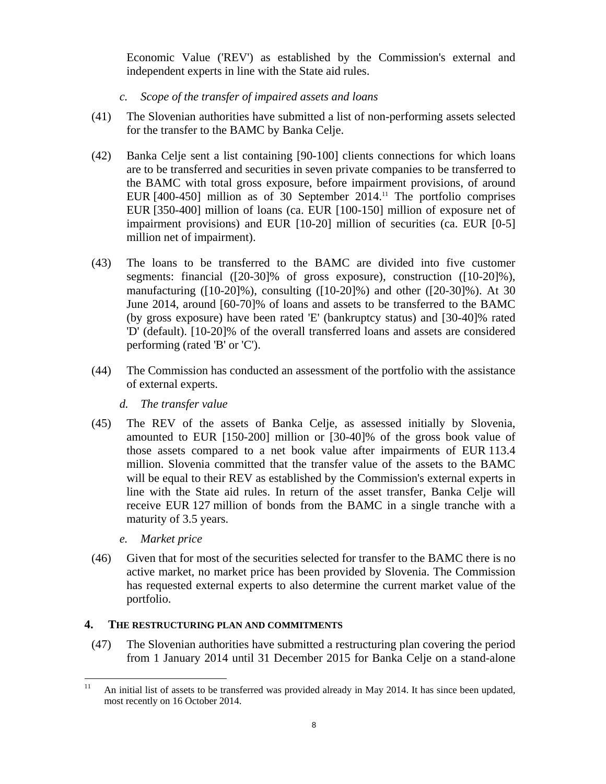Economic Value ('REV') as established by the Commission's external and independent experts in line with the State aid rules.

- *c. Scope of the transfer of impaired assets and loans*
- (41) The Slovenian authorities have submitted a list of non-performing assets selected for the transfer to the BAMC by Banka Celje.
- (42) Banka Celje sent a list containing [90-100] clients connections for which loans are to be transferred and securities in seven private companies to be transferred to the BAMC with total gross exposure, before impairment provisions, of around EUR [400-450] million as of 30 September 2014.<sup>11</sup> The portfolio comprises EUR [350-400] million of loans (ca. EUR [100-150] million of exposure net of impairment provisions) and EUR [10-20] million of securities (ca. EUR [0-5] million net of impairment).
- (43) The loans to be transferred to the BAMC are divided into five customer segments: financial ([20-30]% of gross exposure), construction ([10-20]%), manufacturing ([10-20]%), consulting ([10-20]%) and other ([20-30]%). At 30 June 2014, around [60-70]% of loans and assets to be transferred to the BAMC (by gross exposure) have been rated 'E' (bankruptcy status) and [30-40]% rated 'D' (default). [10-20]% of the overall transferred loans and assets are considered performing (rated 'B' or 'C').
- (44) The Commission has conducted an assessment of the portfolio with the assistance of external experts.
	- *d. The transfer value*
- (45) The REV of the assets of Banka Celje, as assessed initially by Slovenia, amounted to EUR [150-200] million or [30-40]% of the gross book value of those assets compared to a net book value after impairments of EUR 113.4 million. Slovenia committed that the transfer value of the assets to the BAMC will be equal to their REV as established by the Commission's external experts in line with the State aid rules. In return of the asset transfer, Banka Celje will receive EUR 127 million of bonds from the BAMC in a single tranche with a maturity of 3.5 years.
	- *e. Market price*
- (46) Given that for most of the securities selected for transfer to the BAMC there is no active market, no market price has been provided by Slovenia. The Commission has requested external experts to also determine the current market value of the portfolio.

# **4. THE RESTRUCTURING PLAN AND COMMITMENTS**

(47) The Slovenian authorities have submitted a restructuring plan covering the period from 1 January 2014 until 31 December 2015 for Banka Celje on a stand-alone

 $11\,$ An initial list of assets to be transferred was provided already in May 2014. It has since been updated, most recently on 16 October 2014.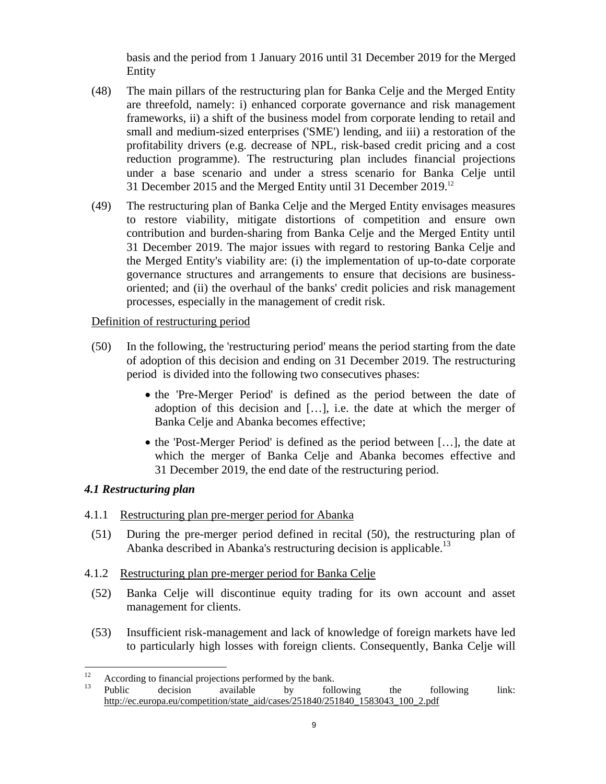basis and the period from 1 January 2016 until 31 December 2019 for the Merged Entity

- (48) The main pillars of the restructuring plan for Banka Celje and the Merged Entity are threefold, namely: i) enhanced corporate governance and risk management frameworks, ii) a shift of the business model from corporate lending to retail and small and medium-sized enterprises ('SME') lending, and iii) a restoration of the profitability drivers (e.g. decrease of NPL, risk-based credit pricing and a cost reduction programme). The restructuring plan includes financial projections under a base scenario and under a stress scenario for Banka Celje until 31 December 2015 and the Merged Entity until 31 December 2019.12
- (49) The restructuring plan of Banka Celje and the Merged Entity envisages measures to restore viability, mitigate distortions of competition and ensure own contribution and burden-sharing from Banka Celje and the Merged Entity until 31 December 2019. The major issues with regard to restoring Banka Celje and the Merged Entity's viability are: (i) the implementation of up-to-date corporate governance structures and arrangements to ensure that decisions are businessoriented; and (ii) the overhaul of the banks' credit policies and risk management processes, especially in the management of credit risk.

# <span id="page-8-0"></span>Definition of restructuring period

- (50) In the following, the 'restructuring period' means the period starting from the date of adoption of this decision and ending on 31 December 2019. The restructuring period is divided into the following two consecutives phases:
	- the 'Pre-Merger Period' is defined as the period between the date of adoption of this decision and […], i.e. the date at which the merger of Banka Celje and Abanka becomes effective;
	- the 'Post-Merger Period' is defined as the period between […], the date at which the merger of Banka Celje and Abanka becomes effective and 31 December 2019, the end date of the restructuring period.

# *4.1 Restructuring plan*

# 4.1.1 Restructuring plan pre-merger period for Abanka

(51) During the pre-merger period defined in recita[l \(50\)](#page-8-0), the restructuring plan of Abanka described in Abanka's restructuring decision is applicable.<sup>13</sup>

# <span id="page-8-1"></span>4.1.2 Restructuring plan pre-merger period for Banka Celje

- (52) Banka Celje will discontinue equity trading for its own account and asset management for clients.
- (53) Insufficient risk-management and lack of knowledge of foreign markets have led to particularly high losses with foreign clients. Consequently, Banka Celje will

 $12$ <sup>12</sup> According to financial projections performed by the bank.<br><sup>13</sup> Public decision available by foll

<sup>&</sup>lt;sup>13</sup> [Public decision available by following the fo](http://ec.europa.eu/competition/state_aid/cases/251840/251840_1583043_100_2.pdf)llowing link: http://ec.europa.eu/competition/state\_aid/cases/251840/251840\_1583043\_100\_2.pdf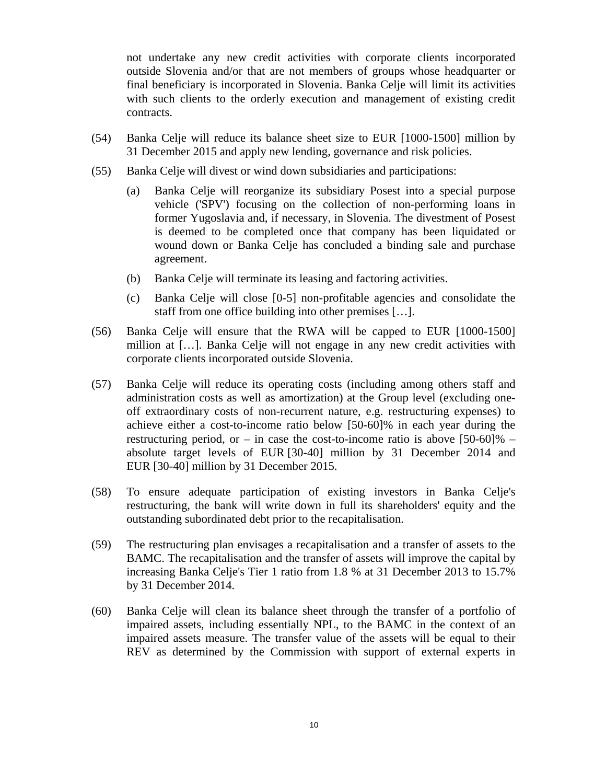not undertake any new credit activities with corporate clients incorporated outside Slovenia and/or that are not members of groups whose headquarter or final beneficiary is incorporated in Slovenia. Banka Celje will limit its activities with such clients to the orderly execution and management of existing credit contracts.

- <span id="page-9-4"></span><span id="page-9-1"></span>(54) Banka Celje will reduce its balance sheet size to EUR [1000-1500] million by 31 December 2015 and apply new lending, governance and risk policies.
- (55) Banka Celje will divest or wind down subsidiaries and participations:
	- (a) Banka Celje will reorganize its subsidiary Posest into a special purpose vehicle ('SPV') focusing on the collection of non-performing loans in former Yugoslavia and, if necessary, in Slovenia. The divestment of Posest is deemed to be completed once that company has been liquidated or wound down or Banka Celje has concluded a binding sale and purchase agreement.
	- (b) Banka Celje will terminate its leasing and factoring activities.
	- (c) Banka Celje will close [0-5] non-profitable agencies and consolidate the staff from one office building into other premises […].
- <span id="page-9-2"></span>(56) Banka Celje will ensure that the RWA will be capped to EUR [1000-1500] million at […]. Banka Celje will not engage in any new credit activities with corporate clients incorporated outside Slovenia.
- <span id="page-9-5"></span>(57) Banka Celje will reduce its operating costs (including among others staff and administration costs as well as amortization) at the Group level (excluding oneoff extraordinary costs of non-recurrent nature, e.g. restructuring expenses) to achieve either a cost-to-income ratio below [50-60]% in each year during the restructuring period, or – in case the cost-to-income ratio is above  $[50-60]\%$  – absolute target levels of EUR [30-40] million by 31 December 2014 and EUR [30-40] million by 31 December 2015.
- <span id="page-9-0"></span>(58) To ensure adequate participation of existing investors in Banka Celje's restructuring, the bank will write down in full its shareholders' equity and the outstanding subordinated debt prior to the recapitalisation.
- (59) The restructuring plan envisages a recapitalisation and a transfer of assets to the BAMC. The recapitalisation and the transfer of assets will improve the capital by increasing Banka Celje's Tier 1 ratio from 1.8 % at 31 December 2013 to 15.7% by 31 December 2014.
- <span id="page-9-3"></span>(60) Banka Celje will clean its balance sheet through the transfer of a portfolio of impaired assets, including essentially NPL, to the BAMC in the context of an impaired assets measure. The transfer value of the assets will be equal to their REV as determined by the Commission with support of external experts in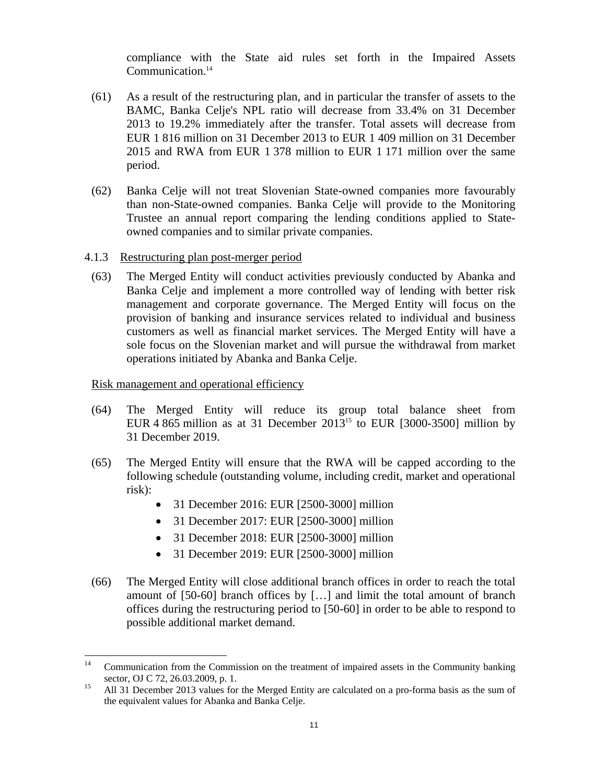compliance with the State aid rules set forth in the Impaired Assets Communication.<sup>14</sup>

- (61) As a result of the restructuring plan, and in particular the transfer of assets to the BAMC, Banka Celje's NPL ratio will decrease from 33.4% on 31 December 2013 to 19.2% immediately after the transfer. Total assets will decrease from EUR 1 816 million on 31 December 2013 to EUR 1 409 million on 31 December 2015 and RWA from EUR 1 378 million to EUR 1 171 million over the same period.
- <span id="page-10-2"></span>(62) Banka Celje will not treat Slovenian State-owned companies more favourably than non-State-owned companies. Banka Celje will provide to the Monitoring Trustee an annual report comparing the lending conditions applied to Stateowned companies and to similar private companies.
- 4.1.3 Restructuring plan post-merger period
	- (63) The Merged Entity will conduct activities previously conducted by Abanka and Banka Celje and implement a more controlled way of lending with better risk management and corporate governance. The Merged Entity will focus on the provision of banking and insurance services related to individual and business customers as well as financial market services. The Merged Entity will have a sole focus on the Slovenian market and will pursue the withdrawal from market operations initiated by Abanka and Banka Celje.

#### <span id="page-10-1"></span>Risk management and operational efficiency

- (64) The Merged Entity will reduce its group total balance sheet from EUR 4 865 million as at 31 December 2013<sup>15</sup> to EUR [3000-3500] million by 31 December 2019.
- <span id="page-10-0"></span>(65) The Merged Entity will ensure that the RWA will be capped according to the following schedule (outstanding volume, including credit, market and operational risk):
	- 31 December 2016: EUR [2500-3000] million
	- 31 December 2017: EUR [2500-3000] million
	- 31 December 2018: EUR [2500-3000] million
	- 31 December 2019: EUR [2500-3000] million
- (66) The Merged Entity will close additional branch offices in order to reach the total amount of [50-60] branch offices by […] and limit the total amount of branch offices during the restructuring period to [50-60] in order to be able to respond to possible additional market demand.

 $14$ 14 Communication from the Commission on the treatment of impaired assets in the Community banking sector, OJ C 72, 26.03.2009, p. 1.<br><sup>15</sup> All 31 December 2013 values for the Merged Entity are calculated on a pro-forma basis as the sum of

the equivalent values for Abanka and Banka Celje.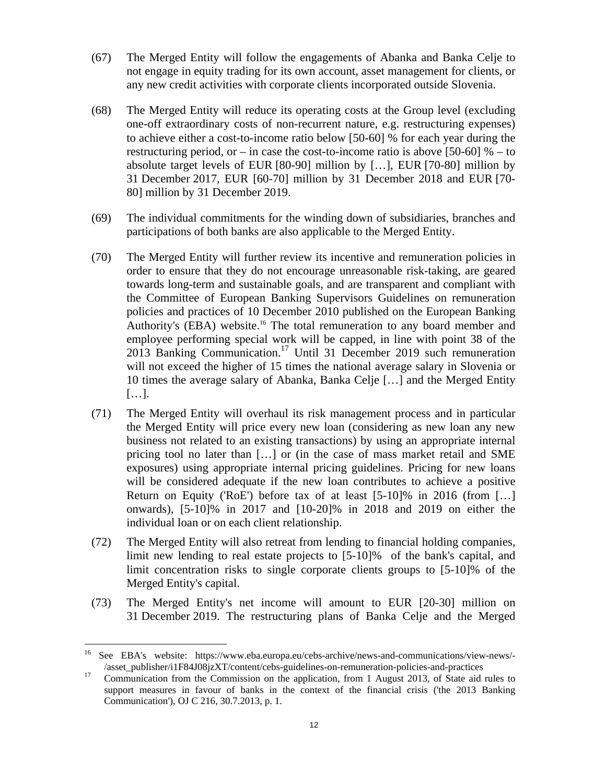- <span id="page-11-1"></span>(67) The Merged Entity will follow the engagements of Abanka and Banka Celje to not engage in equity trading for its own account, asset management for clients, or any new credit activities with corporate clients incorporated outside Slovenia.
- <span id="page-11-5"></span>(68) The Merged Entity will reduce its operating costs at the Group level (excluding one-off extraordinary costs of non-recurrent nature, e.g. restructuring expenses) to achieve either a cost-to-income ratio below [50-60] % for each year during the restructuring period, or – in case the cost-to-income ratio is above [50-60]  $%$  – to absolute target levels of EUR [80-90] million by […], EUR [70-80] million by 31 December 2017, EUR [60-70] million by 31 December 2018 and EUR [70- 80] million by 31 December 2019.
- <span id="page-11-2"></span>(69) The individual commitments for the winding down of subsidiaries, branches and participations of both banks are also applicable to the Merged Entity.
- (70) The Merged Entity will further review its incentive and remuneration policies in order to ensure that they do not encourage unreasonable risk-taking, are geared towards long-term and sustainable goals, and are transparent and compliant with the Committee of European Banking Supervisors Guidelines on remuneration policies and practices of 10 December 2010 published on the European Banking Authority's (EBA) website.<sup>16</sup> The total remuneration to any board member and employee performing special work will be capped, in line with point 38 of the 2013 Banking Communication.<sup>17</sup> Until 31 December 2019 such remuneration will not exceed the higher of 15 times the national average salary in Slovenia or 10 times the average salary of Abanka, Banka Celje […] and the Merged Entity […].
- <span id="page-11-3"></span>(71) The Merged Entity will overhaul its risk management process and in particular the Merged Entity will price every new loan (considering as new loan any new business not related to an existing transactions) by using an appropriate internal pricing tool no later than […] or (in the case of mass market retail and SME exposures) using appropriate internal pricing guidelines. Pricing for new loans will be considered adequate if the new loan contributes to achieve a positive Return on Equity ('RoE') before tax of at least [5-10]% in 2016 (from […] onwards), [5-10]% in 2017 and [10-20]% in 2018 and 2019 on either the individual loan or on each client relationship.
- <span id="page-11-4"></span><span id="page-11-0"></span>(72) The Merged Entity will also retreat from lending to financial holding companies, limit new lending to real estate projects to [5-10]% of the bank's capital, and limit concentration risks to single corporate clients groups to [5-10]% of the Merged Entity's capital.
- (73) The Merged Entity's net income will amount to EUR [20-30] million on 31 December 2019. The restructuring plans of Banka Celje and the Merged

 $\overline{a}$ 

<sup>16</sup> See EBA's website: https://www.eba.europa.eu/cebs-archive/news-and-communications/view-news/- /asset\_publisher/i1F84J08jzXT/content/cebs-guidelines-on-remuneration-policies-and-practices 17 Communication from the Commission on the application, from 1 August 2013, of State aid rules to

support measures in favour of banks in the context of the financial crisis ('the 2013 Banking Communication'), OJ C 216, 30.7.2013, p. 1.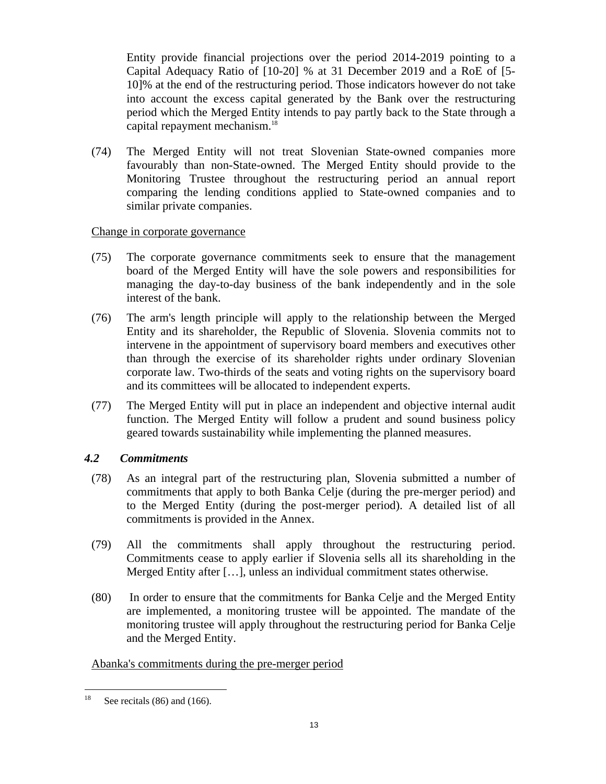Entity provide financial projections over the period 2014-2019 pointing to a Capital Adequacy Ratio of [10-20] % at 31 December 2019 and a RoE of [5- 10]% at the end of the restructuring period. Those indicators however do not take into account the excess capital generated by the Bank over the restructuring period which the Merged Entity intends to pay partly back to the State through a capital repayment mechanism.18

<span id="page-12-3"></span>(74) The Merged Entity will not treat Slovenian State-owned companies more favourably than non-State-owned. The Merged Entity should provide to the Monitoring Trustee throughout the restructuring period an annual report comparing the lending conditions applied to State-owned companies and to similar private companies.

# <span id="page-12-0"></span>Change in corporate governance

- (75) The corporate governance commitments seek to ensure that the management board of the Merged Entity will have the sole powers and responsibilities for managing the day-to-day business of the bank independently and in the sole interest of the bank.
- <span id="page-12-1"></span>(76) The arm's length principle will apply to the relationship between the Merged Entity and its shareholder, the Republic of Slovenia. Slovenia commits not to intervene in the appointment of supervisory board members and executives other than through the exercise of its shareholder rights under ordinary Slovenian corporate law. Two-thirds of the seats and voting rights on the supervisory board and its committees will be allocated to independent experts.
- <span id="page-12-2"></span>(77) The Merged Entity will put in place an independent and objective internal audit function. The Merged Entity will follow a prudent and sound business policy geared towards sustainability while implementing the planned measures.

# *4.2 Commitments*

- (78) As an integral part of the restructuring plan, Slovenia submitted a number of commitments that apply to both Banka Celje (during the pre-merger period) and to the Merged Entity (during the post-merger period). A detailed list of all commitments is provided in the Annex.
- (79) All the commitments shall apply throughout the restructuring period. Commitments cease to apply earlier if Slovenia sells all its shareholding in the Merged Entity after […], unless an individual commitment states otherwise.
- (80) In order to ensure that the commitments for Banka Celje and the Merged Entity are implemented, a monitoring trustee will be appointed. The mandate of the monitoring trustee will apply throughout the restructuring period for Banka Celje and the Merged Entity.

# Abanka's commitments during the pre-merger period

 $18\,$ See recitals  $(86)$  and  $(166)$ .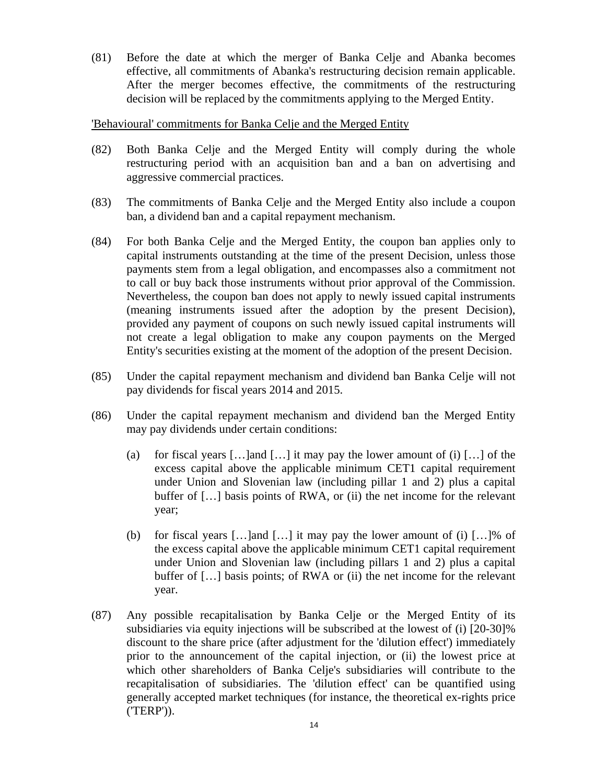(81) Before the date at which the merger of Banka Celje and Abanka becomes effective, all commitments of Abanka's restructuring decision remain applicable. After the merger becomes effective, the commitments of the restructuring decision will be replaced by the commitments applying to the Merged Entity.

### 'Behavioural' commitments for Banka Celje and the Merged Entity

- (82) Both Banka Celje and the Merged Entity will comply during the whole restructuring period with an acquisition ban and a ban on advertising and aggressive commercial practices.
- (83) The commitments of Banka Celje and the Merged Entity also include a coupon ban, a dividend ban and a capital repayment mechanism.
- (84) For both Banka Celje and the Merged Entity, the coupon ban applies only to capital instruments outstanding at the time of the present Decision, unless those payments stem from a legal obligation, and encompasses also a commitment not to call or buy back those instruments without prior approval of the Commission. Nevertheless, the coupon ban does not apply to newly issued capital instruments (meaning instruments issued after the adoption by the present Decision), provided any payment of coupons on such newly issued capital instruments will not create a legal obligation to make any coupon payments on the Merged Entity's securities existing at the moment of the adoption of the present Decision.
- <span id="page-13-0"></span>(85) Under the capital repayment mechanism and dividend ban Banka Celje will not pay dividends for fiscal years 2014 and 2015.
- (86) Under the capital repayment mechanism and dividend ban the Merged Entity may pay dividends under certain conditions:
	- (a) for fiscal years  $[\dots]$  and  $[\dots]$  it may pay the lower amount of (i)  $[\dots]$  of the excess capital above the applicable minimum CET1 capital requirement under Union and Slovenian law (including pillar 1 and 2) plus a capital buffer of [...] basis points of RWA, or (ii) the net income for the relevant year;
	- (b) for fiscal years  $[\dots]$  and  $[\dots]$  it may pay the lower amount of (i)  $[\dots]$ % of the excess capital above the applicable minimum CET1 capital requirement under Union and Slovenian law (including pillars 1 and 2) plus a capital buffer of [...] basis points; of RWA or (ii) the net income for the relevant year.
- <span id="page-13-1"></span>(87) Any possible recapitalisation by Banka Celje or the Merged Entity of its subsidiaries via equity injections will be subscribed at the lowest of (i) [20-30]% discount to the share price (after adjustment for the 'dilution effect') immediately prior to the announcement of the capital injection, or (ii) the lowest price at which other shareholders of Banka Celje's subsidiaries will contribute to the recapitalisation of subsidiaries. The 'dilution effect' can be quantified using generally accepted market techniques (for instance, the theoretical ex-rights price ('TERP')).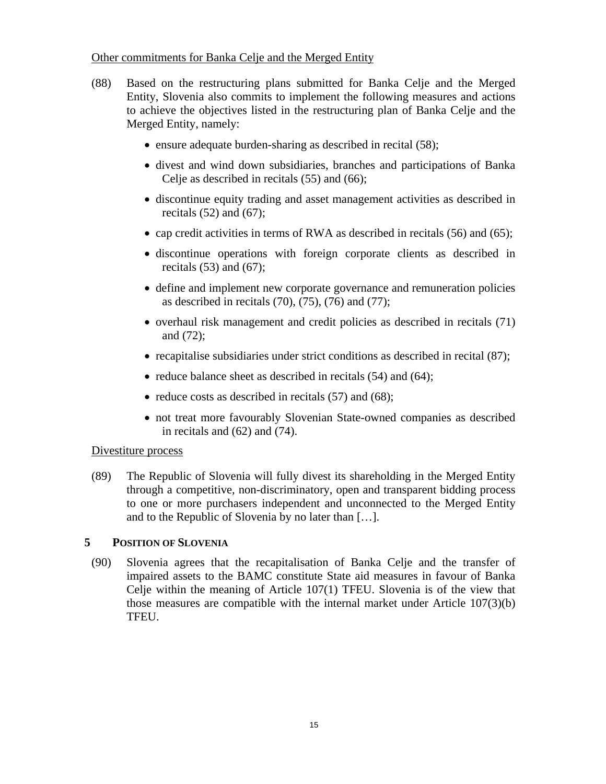## Other commitments for Banka Celje and the Merged Entity

- (88) Based on the restructuring plans submitted for Banka Celje and the Merged Entity, Slovenia also commits to implement the following measures and actions to achieve the objectives listed in the restructuring plan of Banka Celje and the Merged Entity, namely:
	- ensure adequate burden-sharing as described in recit[al \(58\)](#page-9-0);
	- divest and wind down subs[idiarie](#page-9-1)s, [branch](#page-11-0)es and participations of Banka Celje as described in recitals (55) and (66);
	- discont[inue e](#page-8-1)qu[ity tra](#page-11-1)ding and asset management activities as described in recitals  $(52)$  and  $(67)$ ;
	- cap credit activities in terms of RWA as described in recita[ls \(56\)](#page-9-2) an[d \(65\)](#page-10-0);
	- discont[inue](#page-9-3) op[eration](#page-11-1)s with foreign corporate clients as described in recitals  $(53)$  and  $(67)$ ;
	- define and implement [new c](#page-11-2)[orpor](#page-12-0)[ate go](#page-12-1)ve[rnance](#page-12-2) and remuneration policies as described in recitals  $(70)$ ,  $(75)$ ,  $(76)$  and  $(77)$ ;
	- ove[rhaul](#page-11-4) risk management and credit policies as described in recita[ls \(71\)](#page-11-3) and (72);
	- recapitalise subsidiaries under strict condit[ions a](#page-9-4)s d[escribe](#page-10-1)d in recit[al \(87\)](#page-13-1);
	- reduce balance sheet as described in recitals (54) and (64);
	- reduce costs as described in recita[ls \(57\)](#page-9-5) an[d \(68\)](#page-11-5);
	- not treat mor[e favo](#page-10-2)ura[bly Sl](#page-12-3)ovenian State-owned companies as described in recitals and (62) and (74).

# Divestiture process

(89) The Republic of Slovenia will fully divest its shareholding in the Merged Entity through a competitive, non-discriminatory, open and transparent bidding process to one or more purchasers independent and unconnected to the Merged Entity and to the Republic of Slovenia by no later than […].

# **5 POSITION OF SLOVENIA**

(90) Slovenia agrees that the recapitalisation of Banka Celje and the transfer of impaired assets to the BAMC constitute State aid measures in favour of Banka Celje within the meaning of Article 107(1) TFEU. Slovenia is of the view that those measures are compatible with the internal market under Article 107(3)(b) TFEU.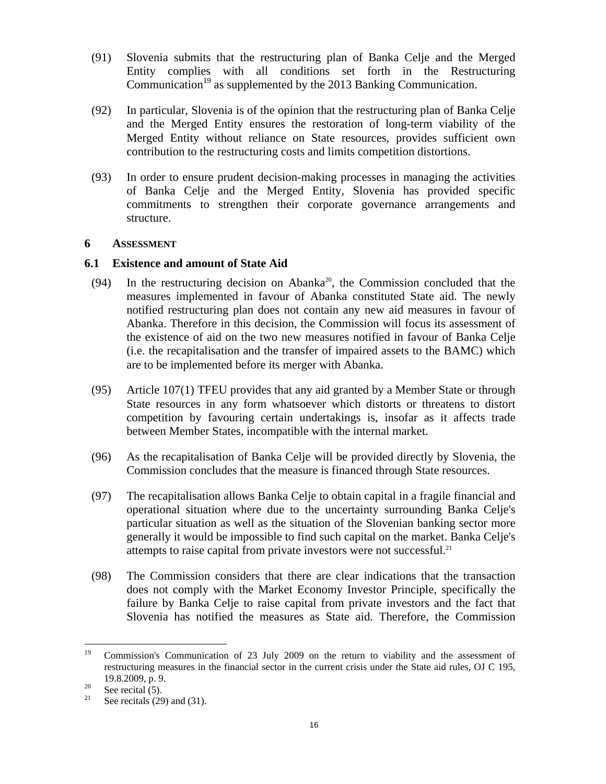- (91) Slovenia submits that the restructuring plan of Banka Celje and the Merged Entity complies with all conditions set forth in the Restructuring Communication<sup>19</sup> as supplemented by the 2013 Banking Communication.
- (92) In particular, Slovenia is of the opinion that the restructuring plan of Banka Celje and the Merged Entity ensures the restoration of long-term viability of the Merged Entity without reliance on State resources, provides sufficient own contribution to the restructuring costs and limits competition distortions.
- (93) In order to ensure prudent decision-making processes in managing the activities of Banka Celje and the Merged Entity, Slovenia has provided specific commitments to strengthen their corporate governance arrangements and structure.

### **6 ASSESSMENT**

### **6.1 Existence and amount of State Aid**

- (94) In the restructuring decision on Abanka<sup>20</sup>, the Commission concluded that the measures implemented in favour of Abanka constituted State aid. The newly notified restructuring plan does not contain any new aid measures in favour of Abanka. Therefore in this decision, the Commission will focus its assessment of the existence of aid on the two new measures notified in favour of Banka Celje (i.e. the recapitalisation and the transfer of impaired assets to the BAMC) which are to be implemented before its merger with Abanka.
- (95) Article 107(1) TFEU provides that any aid granted by a Member State or through State resources in any form whatsoever which distorts or threatens to distort competition by favouring certain undertakings is, insofar as it affects trade between Member States, incompatible with the internal market.
- (96) As the recapitalisation of Banka Celje will be provided directly by Slovenia, the Commission concludes that the measure is financed through State resources.
- (97) The recapitalisation allows Banka Celje to obtain capital in a fragile financial and operational situation where due to the uncertainty surrounding Banka Celje's particular situation as well as the situation of the Slovenian banking sector more generally it would be impossible to find such capital on the market. Banka Celje's attempts to raise capital from private investors were not successful.<sup>21</sup>
- (98) The Commission considers that there are clear indications that the transaction does not comply with the Market Economy Investor Principle, specifically the failure by Banka Celje to raise capital from private investors and the fact that Slovenia has notified the measures as State aid. Therefore, the Commission

 $19\,$ 19 Commission's Communication of 23 July 2009 on the return to viability and the assessment of restructuring measures in the financial sector in the current crisis under the State aid rules, OJ C 195,

<sup>19.8.2009,</sup> p. 9.<br>
<sup>20</sup> See recit[a](#page-1-0)l (5).<br>
<sup>21</sup> See recital (20)

See recitals (29) a[nd \(31](#page-5-1)).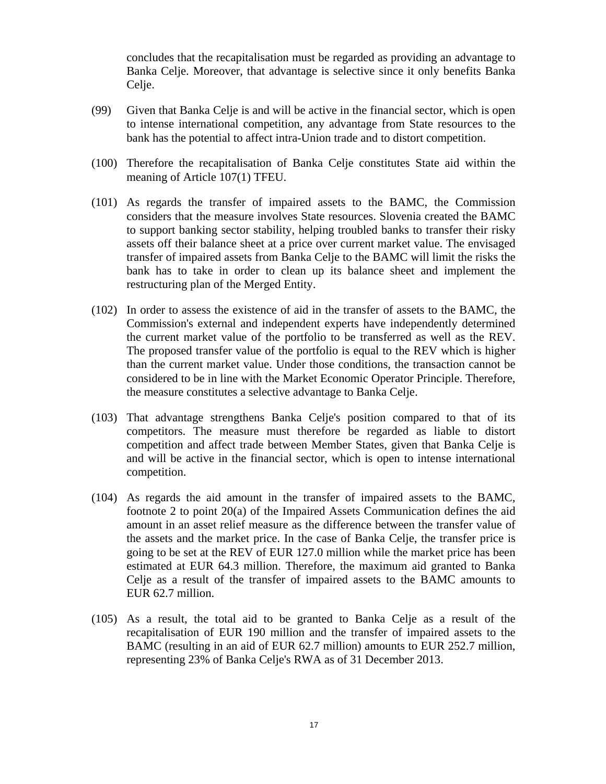concludes that the recapitalisation must be regarded as providing an advantage to Banka Celje. Moreover, that advantage is selective since it only benefits Banka Celje.

- (99) Given that Banka Celje is and will be active in the financial sector, which is open to intense international competition, any advantage from State resources to the bank has the potential to affect intra-Union trade and to distort competition.
- (100) Therefore the recapitalisation of Banka Celje constitutes State aid within the meaning of Article 107(1) TFEU.
- (101) As regards the transfer of impaired assets to the BAMC, the Commission considers that the measure involves State resources. Slovenia created the BAMC to support banking sector stability, helping troubled banks to transfer their risky assets off their balance sheet at a price over current market value. The envisaged transfer of impaired assets from Banka Celje to the BAMC will limit the risks the bank has to take in order to clean up its balance sheet and implement the restructuring plan of the Merged Entity.
- (102) In order to assess the existence of aid in the transfer of assets to the BAMC, the Commission's external and independent experts have independently determined the current market value of the portfolio to be transferred as well as the REV. The proposed transfer value of the portfolio is equal to the REV which is higher than the current market value. Under those conditions, the transaction cannot be considered to be in line with the Market Economic Operator Principle. Therefore, the measure constitutes a selective advantage to Banka Celje.
- (103) That advantage strengthens Banka Celje's position compared to that of its competitors. The measure must therefore be regarded as liable to distort competition and affect trade between Member States, given that Banka Celje is and will be active in the financial sector, which is open to intense international competition.
- (104) As regards the aid amount in the transfer of impaired assets to the BAMC, footnote 2 to point 20(a) of the Impaired Assets Communication defines the aid amount in an asset relief measure as the difference between the transfer value of the assets and the market price. In the case of Banka Celje, the transfer price is going to be set at the REV of EUR 127.0 million while the market price has been estimated at EUR 64.3 million. Therefore, the maximum aid granted to Banka Celje as a result of the transfer of impaired assets to the BAMC amounts to EUR 62.7 million.
- (105) As a result, the total aid to be granted to Banka Celje as a result of the recapitalisation of EUR 190 million and the transfer of impaired assets to the BAMC (resulting in an aid of EUR 62.7 million) amounts to EUR 252.7 million, representing 23% of Banka Celje's RWA as of 31 December 2013.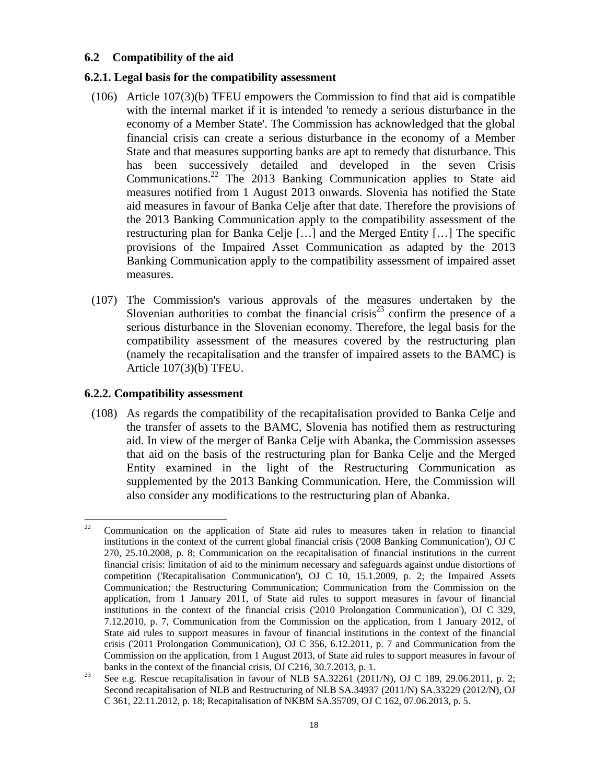# **6.2 Compatibility of the aid**

## **6.2.1. Legal basis for the compatibility assessment**

- (106) Article 107(3)(b) TFEU empowers the Commission to find that aid is compatible with the internal market if it is intended 'to remedy a serious disturbance in the economy of a Member State'. The Commission has acknowledged that the global financial crisis can create a serious disturbance in the economy of a Member State and that measures supporting banks are apt to remedy that disturbance. This has been successively detailed and developed in the seven Crisis Communications.22 The 2013 Banking Communication applies to State aid measures notified from 1 August 2013 onwards. Slovenia has notified the State aid measures in favour of Banka Celje after that date. Therefore the provisions of the 2013 Banking Communication apply to the compatibility assessment of the restructuring plan for Banka Celje […] and the Merged Entity […] The specific provisions of the Impaired Asset Communication as adapted by the 2013 Banking Communication apply to the compatibility assessment of impaired asset measures.
- (107) The Commission's various approvals of the measures undertaken by the Slovenian authorities to combat the financial crisis<sup>23</sup> confirm the presence of a serious disturbance in the Slovenian economy. Therefore, the legal basis for the compatibility assessment of the measures covered by the restructuring plan (namely the recapitalisation and the transfer of impaired assets to the BAMC) is Article 107(3)(b) TFEU.

## **6.2.2. Compatibility assessment**

(108) As regards the compatibility of the recapitalisation provided to Banka Celje and the transfer of assets to the BAMC, Slovenia has notified them as restructuring aid. In view of the merger of Banka Celje with Abanka, the Commission assesses that aid on the basis of the restructuring plan for Banka Celje and the Merged Entity examined in the light of the Restructuring Communication as supplemented by the 2013 Banking Communication. Here, the Commission will also consider any modifications to the restructuring plan of Abanka.

 $22\,$ 22 Communication on the application of State aid rules to measures taken in relation to financial institutions in the context of the current global financial crisis ('2008 Banking Communication'), OJ C 270, 25.10.2008, p. 8; Communication on the recapitalisation of financial institutions in the current financial crisis: limitation of aid to the minimum necessary and safeguards against undue distortions of competition ('Recapitalisation Communication'), OJ C 10, 15.1.2009, p. 2; the Impaired Assets Communication; the Restructuring Communication; Communication from the Commission on the application, from 1 January 2011, of State aid rules to support measures in favour of financial institutions in the context of the financial crisis ('2010 Prolongation Communication'), OJ C 329, 7.12.2010, p. 7, Communication from the Commission on the application, from 1 January 2012, of State aid rules to support measures in favour of financial institutions in the context of the financial crisis ('2011 Prolongation Communication), OJ C 356, 6.12.2011, p. 7 and Communication from the Commission on the application, from 1 August 2013, of State aid rules to support measures in favour of

banks in the context of the financial crisis, OJ C216, 30.7.2013, p. 1.<br>
<sup>23</sup> See e.g. Rescue recapitalisation in favour of NLB SA.32261 (2011/N), OJ C 189, 29.06.2011, p. 2; Second recapitalisation of NLB and Restructuring of NLB SA.34937 (2011/N) SA.33229 (2012/N), OJ C 361, 22.11.2012, p. 18; Recapitalisation of NKBM SA.35709, OJ C 162, 07.06.2013, p. 5.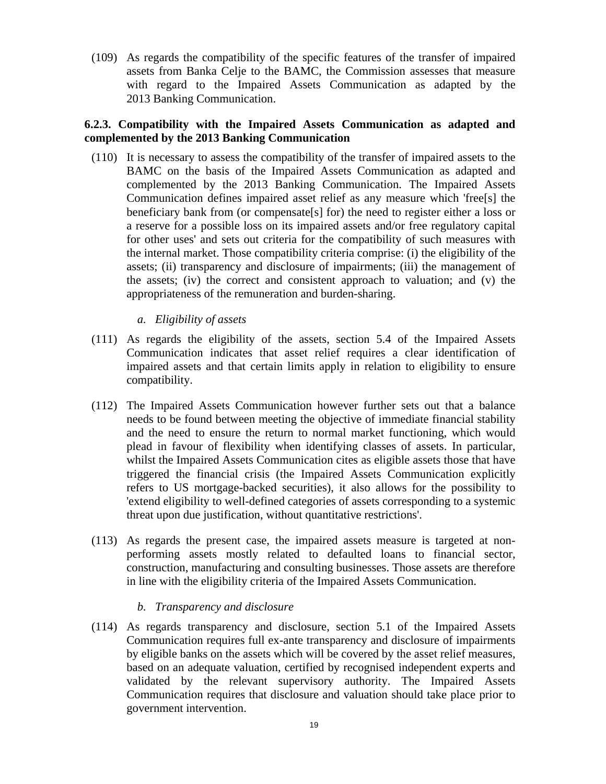(109) As regards the compatibility of the specific features of the transfer of impaired assets from Banka Celje to the BAMC, the Commission assesses that measure with regard to the Impaired Assets Communication as adapted by the 2013 Banking Communication.

# **6.2.3. Compatibility with the Impaired Assets Communication as adapted and complemented by the 2013 Banking Communication**

- (110) It is necessary to assess the compatibility of the transfer of impaired assets to the BAMC on the basis of the Impaired Assets Communication as adapted and complemented by the 2013 Banking Communication. The Impaired Assets Communication defines impaired asset relief as any measure which 'free[s] the beneficiary bank from (or compensate[s] for) the need to register either a loss or a reserve for a possible loss on its impaired assets and/or free regulatory capital for other uses' and sets out criteria for the compatibility of such measures with the internal market. Those compatibility criteria comprise: (i) the eligibility of the assets; (ii) transparency and disclosure of impairments; (iii) the management of the assets; (iv) the correct and consistent approach to valuation; and (v) the appropriateness of the remuneration and burden-sharing.
	- *a. Eligibility of assets*
- (111) As regards the eligibility of the assets, section 5.4 of the Impaired Assets Communication indicates that asset relief requires a clear identification of impaired assets and that certain limits apply in relation to eligibility to ensure compatibility.
- (112) The Impaired Assets Communication however further sets out that a balance needs to be found between meeting the objective of immediate financial stability and the need to ensure the return to normal market functioning, which would plead in favour of flexibility when identifying classes of assets. In particular, whilst the Impaired Assets Communication cites as eligible assets those that have triggered the financial crisis (the Impaired Assets Communication explicitly refers to US mortgage-backed securities), it also allows for the possibility to 'extend eligibility to well-defined categories of assets corresponding to a systemic threat upon due justification, without quantitative restrictions'.
- (113) As regards the present case, the impaired assets measure is targeted at nonperforming assets mostly related to defaulted loans to financial sector, construction, manufacturing and consulting businesses. Those assets are therefore in line with the eligibility criteria of the Impaired Assets Communication.
	- *b. Transparency and disclosure*
- (114) As regards transparency and disclosure, section 5.1 of the Impaired Assets Communication requires full ex-ante transparency and disclosure of impairments by eligible banks on the assets which will be covered by the asset relief measures, based on an adequate valuation, certified by recognised independent experts and validated by the relevant supervisory authority. The Impaired Assets Communication requires that disclosure and valuation should take place prior to government intervention.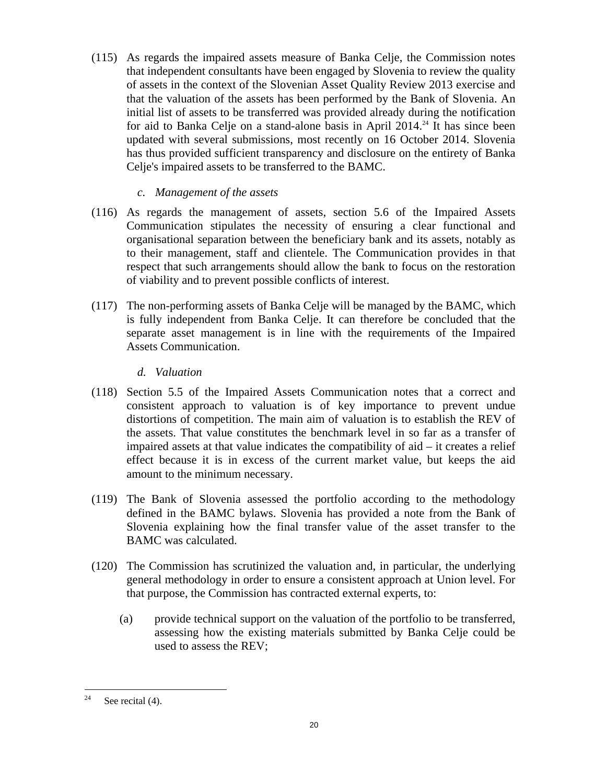(115) As regards the impaired assets measure of Banka Celje, the Commission notes that independent consultants have been engaged by Slovenia to review the quality of assets in the context of the Slovenian Asset Quality Review 2013 exercise and that the valuation of the assets has been performed by the Bank of Slovenia. An initial list of assets to be transferred was provided already during the notification for aid to Banka Celje on a stand-alone basis in April  $2014.^{24}$  It has since been updated with several submissions, most recently on 16 October 2014. Slovenia has thus provided sufficient transparency and disclosure on the entirety of Banka Celje's impaired assets to be transferred to the BAMC.

# *c. Management of the assets*

- (116) As regards the management of assets, section 5.6 of the Impaired Assets Communication stipulates the necessity of ensuring a clear functional and organisational separation between the beneficiary bank and its assets, notably as to their management, staff and clientele. The Communication provides in that respect that such arrangements should allow the bank to focus on the restoration of viability and to prevent possible conflicts of interest.
- (117) The non-performing assets of Banka Celje will be managed by the BAMC, which is fully independent from Banka Celje. It can therefore be concluded that the separate asset management is in line with the requirements of the Impaired Assets Communication.

# *d. Valuation*

- (118) Section 5.5 of the Impaired Assets Communication notes that a correct and consistent approach to valuation is of key importance to prevent undue distortions of competition. The main aim of valuation is to establish the REV of the assets. That value constitutes the benchmark level in so far as a transfer of impaired assets at that value indicates the compatibility of aid – it creates a relief effect because it is in excess of the current market value, but keeps the aid amount to the minimum necessary.
- (119) The Bank of Slovenia assessed the portfolio according to the methodology defined in the BAMC bylaws. Slovenia has provided a note from the Bank of Slovenia explaining how the final transfer value of the asset transfer to the BAMC was calculated.
- (120) The Commission has scrutinized the valuation and, in particular, the underlying general methodology in order to ensure a consistent approach at Union level. For that purpose, the Commission has contracted external experts, to:
	- (a) provide technical support on the valuation of the portfolio to be transferred, assessing how the existing materials submitted by Banka Celje could be used to assess the REV;

<sup>24</sup> See recital (4).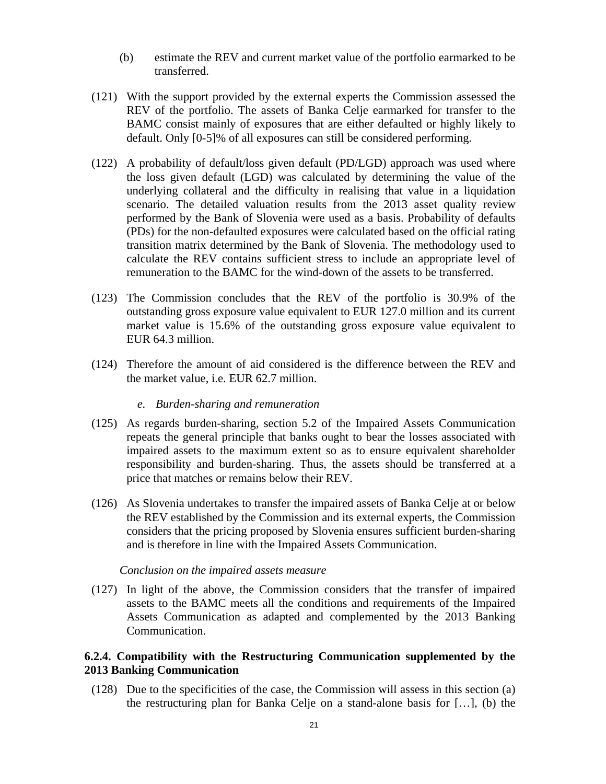- (b) estimate the REV and current market value of the portfolio earmarked to be transferred.
- (121) With the support provided by the external experts the Commission assessed the REV of the portfolio. The assets of Banka Celje earmarked for transfer to the BAMC consist mainly of exposures that are either defaulted or highly likely to default. Only [0-5]% of all exposures can still be considered performing.
- <span id="page-20-0"></span>(122) A probability of default/loss given default (PD/LGD) approach was used where the loss given default (LGD) was calculated by determining the value of the underlying collateral and the difficulty in realising that value in a liquidation scenario. The detailed valuation results from the 2013 asset quality review performed by the Bank of Slovenia were used as a basis. Probability of defaults (PDs) for the non-defaulted exposures were calculated based on the official rating transition matrix determined by the Bank of Slovenia. The methodology used to calculate the REV contains sufficient stress to include an appropriate level of remuneration to the BAMC for the wind-down of the assets to be transferred.
- (123) The Commission concludes that the REV of the portfolio is 30.9% of the outstanding gross exposure value equivalent to EUR 127.0 million and its current market value is 15.6% of the outstanding gross exposure value equivalent to EUR 64.3 million.
- (124) Therefore the amount of aid considered is the difference between the REV and the market value, i.e. EUR 62.7 million.

#### *e. Burden-sharing and remuneration*

- (125) As regards burden-sharing, section 5.2 of the Impaired Assets Communication repeats the general principle that banks ought to bear the losses associated with impaired assets to the maximum extent so as to ensure equivalent shareholder responsibility and burden-sharing. Thus, the assets should be transferred at a price that matches or remains below their REV.
- (126) As Slovenia undertakes to transfer the impaired assets of Banka Celje at or below the REV established by the Commission and its external experts, the Commission considers that the pricing proposed by Slovenia ensures sufficient burden-sharing and is therefore in line with the Impaired Assets Communication.

#### *Conclusion on the impaired assets measure*

(127) In light of the above, the Commission considers that the transfer of impaired assets to the BAMC meets all the conditions and requirements of the Impaired Assets Communication as adapted and complemented by the 2013 Banking Communication.

# **6.2.4. Compatibility with the Restructuring Communication supplemented by the 2013 Banking Communication**

(128) Due to the specificities of the case, the Commission will assess in this section (a) the restructuring plan for Banka Celje on a stand-alone basis for […], (b) the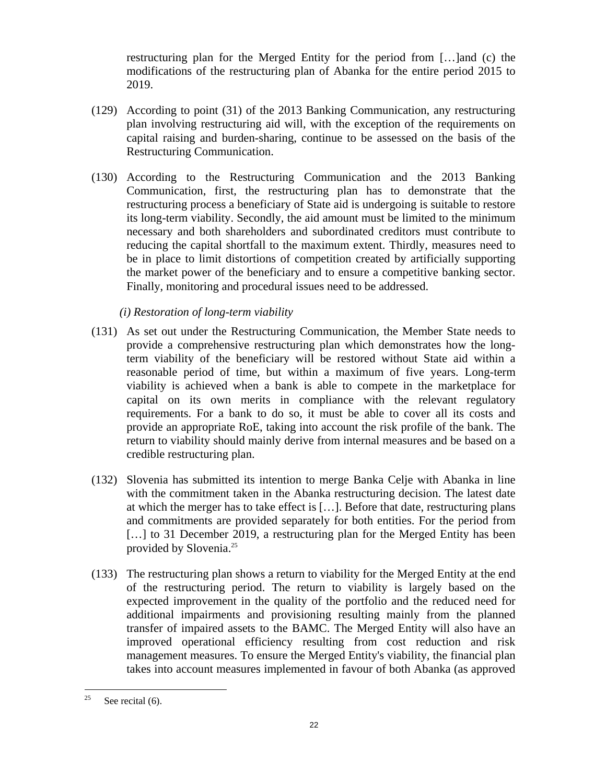restructuring plan for the Merged Entity for the period from […]and (c) the modifications of the restructuring plan of Abanka for the entire period 2015 to 2019.

- (129) According to point (31) of the 2013 Banking Communication, any restructuring plan involving restructuring aid will, with the exception of the requirements on capital raising and burden-sharing, continue to be assessed on the basis of the Restructuring Communication.
- (130) According to the Restructuring Communication and the 2013 Banking Communication, first, the restructuring plan has to demonstrate that the restructuring process a beneficiary of State aid is undergoing is suitable to restore its long-term viability. Secondly, the aid amount must be limited to the minimum necessary and both shareholders and subordinated creditors must contribute to reducing the capital shortfall to the maximum extent. Thirdly, measures need to be in place to limit distortions of competition created by artificially supporting the market power of the beneficiary and to ensure a competitive banking sector. Finally, monitoring and procedural issues need to be addressed.

# *(i) Restoration of long-term viability*

- (131) As set out under the Restructuring Communication, the Member State needs to provide a comprehensive restructuring plan which demonstrates how the longterm viability of the beneficiary will be restored without State aid within a reasonable period of time, but within a maximum of five years. Long-term viability is achieved when a bank is able to compete in the marketplace for capital on its own merits in compliance with the relevant regulatory requirements. For a bank to do so, it must be able to cover all its costs and provide an appropriate RoE, taking into account the risk profile of the bank. The return to viability should mainly derive from internal measures and be based on a credible restructuring plan.
- (132) Slovenia has submitted its intention to merge Banka Celje with Abanka in line with the commitment taken in the Abanka restructuring decision. The latest date at which the merger has to take effect is […]. Before that date, restructuring plans and commitments are provided separately for both entities. For the period from [...] to 31 December 2019, a restructuring plan for the Merged Entity has been provided by Slovenia.25
- (133) The restructuring plan shows a return to viability for the Merged Entity at the end of the restructuring period. The return to viability is largely based on the expected improvement in the quality of the portfolio and the reduced need for additional impairments and provisioning resulting mainly from the planned transfer of impaired assets to the BAMC. The Merged Entity will also have an improved operational efficiency resulting from cost reduction and risk management measures. To ensure the Merged Entity's viability, the financial plan takes into account measures implemented in favour of both Abanka (as approved

<sup>25</sup> See recital (6).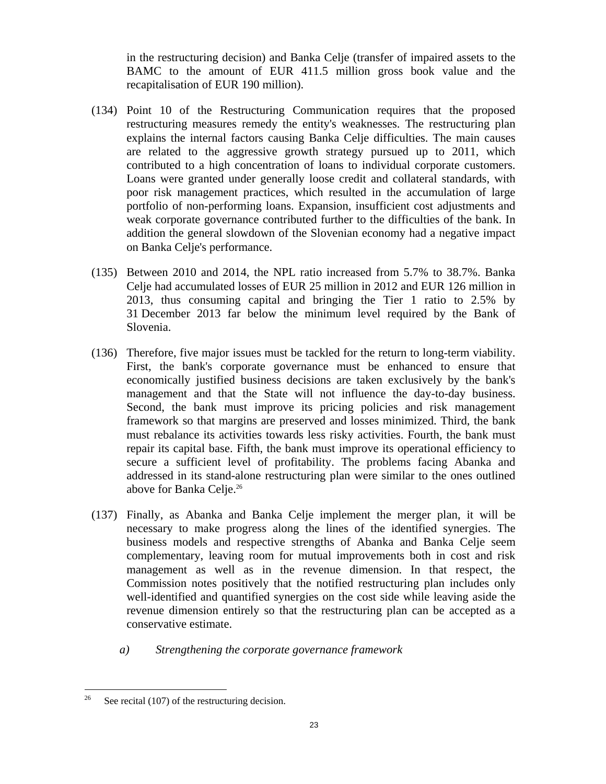in the restructuring decision) and Banka Celje (transfer of impaired assets to the BAMC to the amount of EUR 411.5 million gross book value and the recapitalisation of EUR 190 million).

- (134) Point 10 of the Restructuring Communication requires that the proposed restructuring measures remedy the entity's weaknesses. The restructuring plan explains the internal factors causing Banka Celje difficulties. The main causes are related to the aggressive growth strategy pursued up to 2011, which contributed to a high concentration of loans to individual corporate customers. Loans were granted under generally loose credit and collateral standards, with poor risk management practices, which resulted in the accumulation of large portfolio of non-performing loans. Expansion, insufficient cost adjustments and weak corporate governance contributed further to the difficulties of the bank. In addition the general slowdown of the Slovenian economy had a negative impact on Banka Celje's performance.
- (135) Between 2010 and 2014, the NPL ratio increased from 5.7% to 38.7%. Banka Celje had accumulated losses of EUR 25 million in 2012 and EUR 126 million in 2013, thus consuming capital and bringing the Tier 1 ratio to 2.5% by 31 December 2013 far below the minimum level required by the Bank of Slovenia.
- (136) Therefore, five major issues must be tackled for the return to long-term viability. First, the bank's corporate governance must be enhanced to ensure that economically justified business decisions are taken exclusively by the bank's management and that the State will not influence the day-to-day business. Second, the bank must improve its pricing policies and risk management framework so that margins are preserved and losses minimized. Third, the bank must rebalance its activities towards less risky activities. Fourth, the bank must repair its capital base. Fifth, the bank must improve its operational efficiency to secure a sufficient level of profitability. The problems facing Abanka and addressed in its stand-alone restructuring plan were similar to the ones outlined above for Banka Celje.<sup>26</sup>
- (137) Finally, as Abanka and Banka Celje implement the merger plan, it will be necessary to make progress along the lines of the identified synergies. The business models and respective strengths of Abanka and Banka Celje seem complementary, leaving room for mutual improvements both in cost and risk management as well as in the revenue dimension. In that respect, the Commission notes positively that the notified restructuring plan includes only well-identified and quantified synergies on the cost side while leaving aside the revenue dimension entirely so that the restructuring plan can be accepted as a conservative estimate.
	- *a) Strengthening the corporate governance framework*

 $26\,$ See recital (107) of the restructuring decision.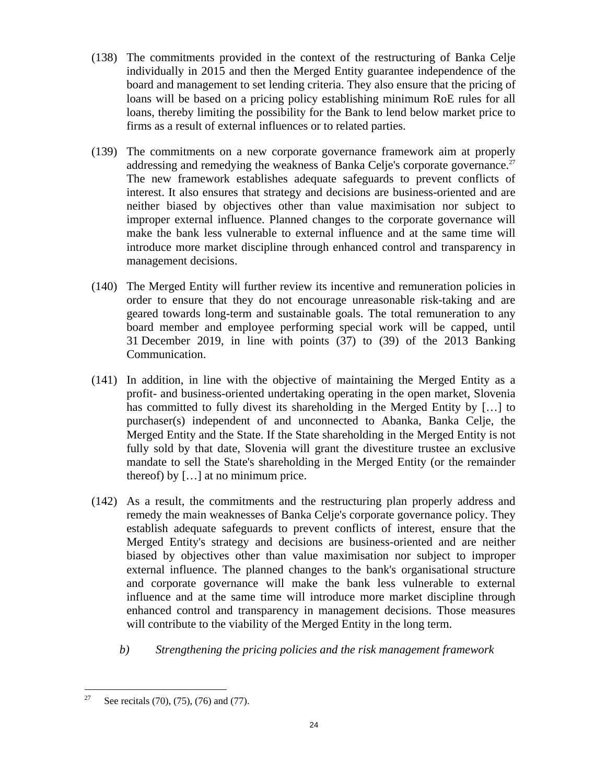- (138) The commitments provided in the context of the restructuring of Banka Celje individually in 2015 and then the Merged Entity guarantee independence of the board and management to set lending criteria. They also ensure that the pricing of loans will be based on a pricing policy establishing minimum RoE rules for all loans, thereby limiting the possibility for the Bank to lend below market price to firms as a result of external influences or to related parties.
- (139) The commitments on a new corporate governance framework aim at properly addressing and remedying the weakness of Banka Celje's corporate governance.<sup>27</sup> The new framework establishes adequate safeguards to prevent conflicts of interest. It also ensures that strategy and decisions are business-oriented and are neither biased by objectives other than value maximisation nor subject to improper external influence. Planned changes to the corporate governance will make the bank less vulnerable to external influence and at the same time will introduce more market discipline through enhanced control and transparency in management decisions.
- (140) The Merged Entity will further review its incentive and remuneration policies in order to ensure that they do not encourage unreasonable risk-taking and are geared towards long-term and sustainable goals. The total remuneration to any board member and employee performing special work will be capped, until 31 December 2019, in line with points (37) to (39) of the 2013 Banking Communication.
- (141) In addition, in line with the objective of maintaining the Merged Entity as a profit- and business-oriented undertaking operating in the open market, Slovenia has committed to fully divest its shareholding in the Merged Entity by […] to purchaser(s) independent of and unconnected to Abanka, Banka Celje, the Merged Entity and the State. If the State shareholding in the Merged Entity is not fully sold by that date, Slovenia will grant the divestiture trustee an exclusive mandate to sell the State's shareholding in the Merged Entity (or the remainder thereof) by […] at no minimum price.
- (142) As a result, the commitments and the restructuring plan properly address and remedy the main weaknesses of Banka Celje's corporate governance policy. They establish adequate safeguards to prevent conflicts of interest, ensure that the Merged Entity's strategy and decisions are business-oriented and are neither biased by objectives other than value maximisation nor subject to improper external influence. The planned changes to the bank's organisational structure and corporate governance will make the bank less vulnerable to external influence and at the same time will introduce more market discipline through enhanced control and transparency in management decisions. Those measures will contribute to the viability of the Merged Entity in the long term.
	- *b) Strengthening the pricing policies and the risk management framework*

 $27\,$ See recitals (70), (75), (76) and (77).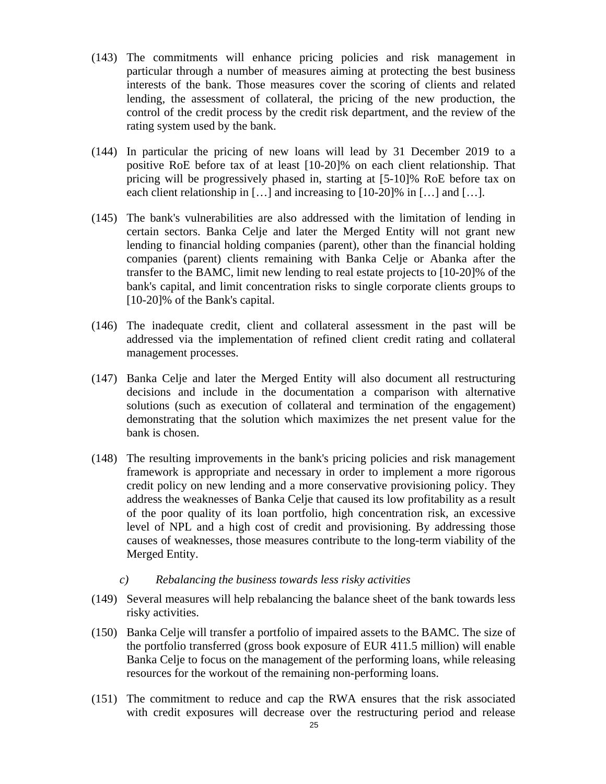- (143) The commitments will enhance pricing policies and risk management in particular through a number of measures aiming at protecting the best business interests of the bank. Those measures cover the scoring of clients and related lending, the assessment of collateral, the pricing of the new production, the control of the credit process by the credit risk department, and the review of the rating system used by the bank.
- (144) In particular the pricing of new loans will lead by 31 December 2019 to a positive RoE before tax of at least [10-20]% on each client relationship. That pricing will be progressively phased in, starting at [5-10]% RoE before tax on each client relationship in [...] and increasing to [10-20]% in [...] and [...].
- (145) The bank's vulnerabilities are also addressed with the limitation of lending in certain sectors. Banka Celje and later the Merged Entity will not grant new lending to financial holding companies (parent), other than the financial holding companies (parent) clients remaining with Banka Celje or Abanka after the transfer to the BAMC, limit new lending to real estate projects to [10-20]% of the bank's capital, and limit concentration risks to single corporate clients groups to [10-20]% of the Bank's capital.
- (146) The inadequate credit, client and collateral assessment in the past will be addressed via the implementation of refined client credit rating and collateral management processes.
- (147) Banka Celje and later the Merged Entity will also document all restructuring decisions and include in the documentation a comparison with alternative solutions (such as execution of collateral and termination of the engagement) demonstrating that the solution which maximizes the net present value for the bank is chosen.
- (148) The resulting improvements in the bank's pricing policies and risk management framework is appropriate and necessary in order to implement a more rigorous credit policy on new lending and a more conservative provisioning policy. They address the weaknesses of Banka Celje that caused its low profitability as a result of the poor quality of its loan portfolio, high concentration risk, an excessive level of NPL and a high cost of credit and provisioning. By addressing those causes of weaknesses, those measures contribute to the long-term viability of the Merged Entity.
	- *c) Rebalancing the business towards less risky activities*
- (149) Several measures will help rebalancing the balance sheet of the bank towards less risky activities.
- (150) Banka Celje will transfer a portfolio of impaired assets to the BAMC. The size of the portfolio transferred (gross book exposure of EUR 411.5 million) will enable Banka Celje to focus on the management of the performing loans, while releasing resources for the workout of the remaining non-performing loans.
- (151) The commitment to reduce and cap the RWA ensures that the risk associated with credit exposures will decrease over the restructuring period and release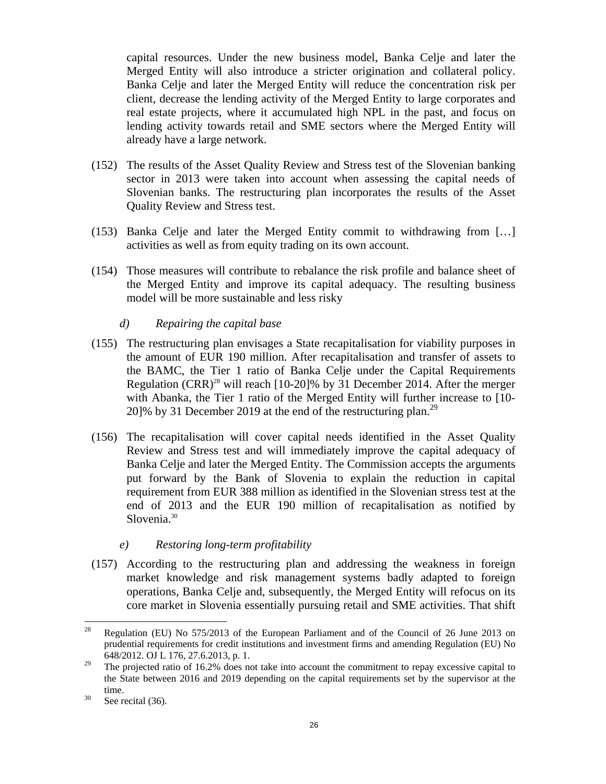capital resources. Under the new business model, Banka Celje and later the Merged Entity will also introduce a stricter origination and collateral policy. Banka Celje and later the Merged Entity will reduce the concentration risk per client, decrease the lending activity of the Merged Entity to large corporates and real estate projects, where it accumulated high NPL in the past, and focus on lending activity towards retail and SME sectors where the Merged Entity will already have a large network.

- (152) The results of the Asset Quality Review and Stress test of the Slovenian banking sector in 2013 were taken into account when assessing the capital needs of Slovenian banks. The restructuring plan incorporates the results of the Asset Quality Review and Stress test.
- (153) Banka Celje and later the Merged Entity commit to withdrawing from […] activities as well as from equity trading on its own account.
- (154) Those measures will contribute to rebalance the risk profile and balance sheet of the Merged Entity and improve its capital adequacy. The resulting business model will be more sustainable and less risky
	- *d) Repairing the capital base*
- (155) The restructuring plan envisages a State recapitalisation for viability purposes in the amount of EUR 190 million. After recapitalisation and transfer of assets to the BAMC, the Tier 1 ratio of Banka Celje under the Capital Requirements Regulation  $(CRR)^{28}$  will reach [10-20]% by 31 December 2014. After the merger with Abanka, the Tier 1 ratio of the Merged Entity will further increase to [10-20]% by 31 December 2019 at the end of the restructuring plan.<sup>29</sup>
- (156) The recapitalisation will cover capital needs identified in the Asset Quality Review and Stress test and will immediately improve the capital adequacy of Banka Celje and later the Merged Entity. The Commission accepts the arguments put forward by the Bank of Slovenia to explain the reduction in capital requirement from EUR 388 million as identified in the Slovenian stress test at the end of 2013 and the EUR 190 million of recapitalisation as notified by Slovenia.<sup>30</sup>
	- *e) Restoring long-term profitability*
- (157) According to the restructuring plan and addressing the weakness in foreign market knowledge and risk management systems badly adapted to foreign operations, Banka Celje and, subsequently, the Merged Entity will refocus on its core market in Slovenia essentially pursuing retail and SME activities. That shift

<sup>28</sup> 28 Regulation (EU) No 575/2013 of the European Parliament and of the Council of 26 June 2013 on prudential requirements for credit institutions and investment firms and amending Regulation (EU) No 648/2012. OJ L 176, 27.6.2013, p. 1.

<sup>&</sup>lt;sup>29</sup> The projected ratio of 16.2% does not take into account the commitment to repay excessive capital to the State between 2016 and 2019 depending on the capital requirements set by the supervisor at the time.<br> $30$  See recital (36).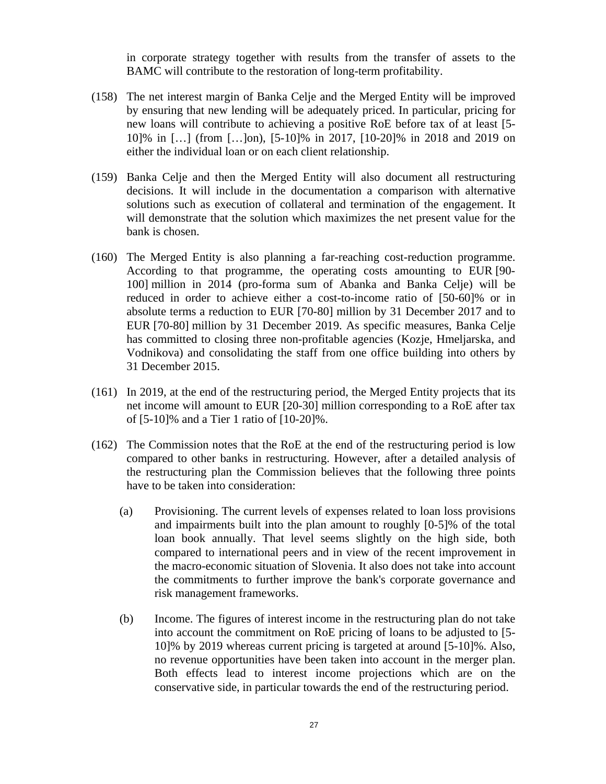in corporate strategy together with results from the transfer of assets to the BAMC will contribute to the restoration of long-term profitability.

- (158) The net interest margin of Banka Celje and the Merged Entity will be improved by ensuring that new lending will be adequately priced. In particular, pricing for new loans will contribute to achieving a positive RoE before tax of at least [5- 10]% in […] (from […]on), [5-10]% in 2017, [10-20]% in 2018 and 2019 on either the individual loan or on each client relationship.
- (159) Banka Celje and then the Merged Entity will also document all restructuring decisions. It will include in the documentation a comparison with alternative solutions such as execution of collateral and termination of the engagement. It will demonstrate that the solution which maximizes the net present value for the bank is chosen.
- (160) The Merged Entity is also planning a far-reaching cost-reduction programme. According to that programme, the operating costs amounting to EUR [90- 100] million in 2014 (pro-forma sum of Abanka and Banka Celje) will be reduced in order to achieve either a cost-to-income ratio of [50-60]% or in absolute terms a reduction to EUR [70-80] million by 31 December 2017 and to EUR [70-80] million by 31 December 2019. As specific measures, Banka Celje has committed to closing three non-profitable agencies (Kozje, Hmeljarska, and Vodnikova) and consolidating the staff from one office building into others by 31 December 2015.
- (161) In 2019, at the end of the restructuring period, the Merged Entity projects that its net income will amount to EUR [20-30] million corresponding to a RoE after tax of [5-10]% and a Tier 1 ratio of [10-20]%.
- (162) The Commission notes that the RoE at the end of the restructuring period is low compared to other banks in restructuring. However, after a detailed analysis of the restructuring plan the Commission believes that the following three points have to be taken into consideration:
	- (a) Provisioning. The current levels of expenses related to loan loss provisions and impairments built into the plan amount to roughly [0-5]% of the total loan book annually. That level seems slightly on the high side, both compared to international peers and in view of the recent improvement in the macro-economic situation of Slovenia. It also does not take into account the commitments to further improve the bank's corporate governance and risk management frameworks.
	- (b) Income. The figures of interest income in the restructuring plan do not take into account the commitment on RoE pricing of loans to be adjusted to [5- 10]% by 2019 whereas current pricing is targeted at around [5-10]%. Also, no revenue opportunities have been taken into account in the merger plan. Both effects lead to interest income projections which are on the conservative side, in particular towards the end of the restructuring period.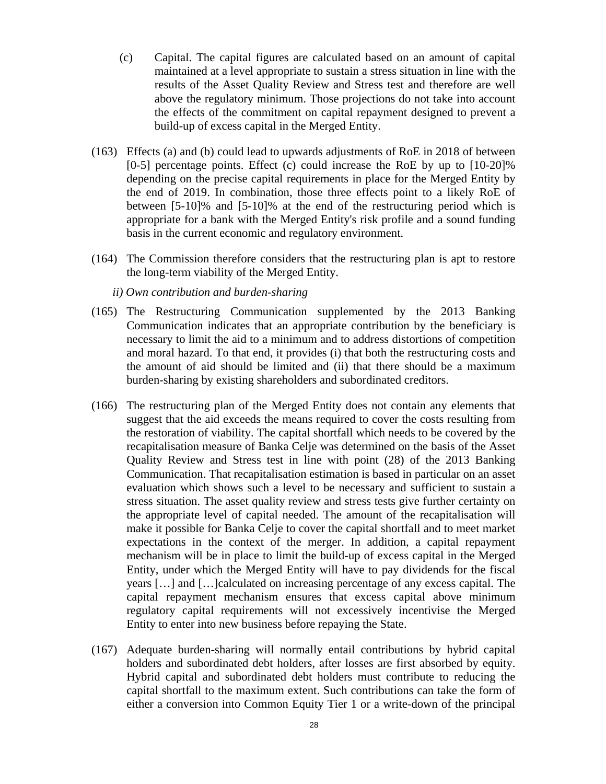- (c) Capital. The capital figures are calculated based on an amount of capital maintained at a level appropriate to sustain a stress situation in line with the results of the Asset Quality Review and Stress test and therefore are well above the regulatory minimum. Those projections do not take into account the effects of the commitment on capital repayment designed to prevent a build-up of excess capital in the Merged Entity.
- (163) Effects (a) and (b) could lead to upwards adjustments of RoE in 2018 of between [0-5] percentage points. Effect (c) could increase the RoE by up to [10-20]% depending on the precise capital requirements in place for the Merged Entity by the end of 2019. In combination, those three effects point to a likely RoE of between [5-10]% and [5-10]% at the end of the restructuring period which is appropriate for a bank with the Merged Entity's risk profile and a sound funding basis in the current economic and regulatory environment.
- (164) The Commission therefore considers that the restructuring plan is apt to restore the long-term viability of the Merged Entity.
	- *ii) Own contribution and burden-sharing*
- (165) The Restructuring Communication supplemented by the 2013 Banking Communication indicates that an appropriate contribution by the beneficiary is necessary to limit the aid to a minimum and to address distortions of competition and moral hazard. To that end, it provides (i) that both the restructuring costs and the amount of aid should be limited and (ii) that there should be a maximum burden-sharing by existing shareholders and subordinated creditors.
- <span id="page-27-0"></span>(166) The restructuring plan of the Merged Entity does not contain any elements that suggest that the aid exceeds the means required to cover the costs resulting from the restoration of viability. The capital shortfall which needs to be covered by the recapitalisation measure of Banka Celje was determined on the basis of the Asset Quality Review and Stress test in line with point (28) of the 2013 Banking Communication. That recapitalisation estimation is based in particular on an asset evaluation which shows such a level to be necessary and sufficient to sustain a stress situation. The asset quality review and stress tests give further certainty on the appropriate level of capital needed. The amount of the recapitalisation will make it possible for Banka Celje to cover the capital shortfall and to meet market expectations in the context of the merger. In addition, a capital repayment mechanism will be in place to limit the build-up of excess capital in the Merged Entity, under which the Merged Entity will have to pay dividends for the fiscal years […] and […]calculated on increasing percentage of any excess capital. The capital repayment mechanism ensures that excess capital above minimum regulatory capital requirements will not excessively incentivise the Merged Entity to enter into new business before repaying the State.
- (167) Adequate burden-sharing will normally entail contributions by hybrid capital holders and subordinated debt holders, after losses are first absorbed by equity. Hybrid capital and subordinated debt holders must contribute to reducing the capital shortfall to the maximum extent. Such contributions can take the form of either a conversion into Common Equity Tier 1 or a write-down of the principal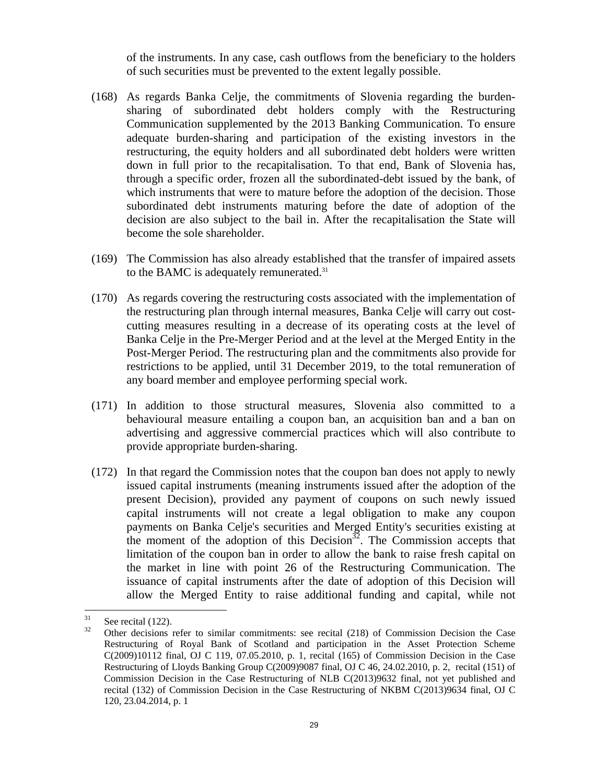of the instruments. In any case, cash outflows from the beneficiary to the holders of such securities must be prevented to the extent legally possible.

- (168) As regards Banka Celje, the commitments of Slovenia regarding the burdensharing of subordinated debt holders comply with the Restructuring Communication supplemented by the 2013 Banking Communication. To ensure adequate burden-sharing and participation of the existing investors in the restructuring, the equity holders and all subordinated debt holders were written down in full prior to the recapitalisation. To that end, Bank of Slovenia has, through a specific order, frozen all the subordinated-debt issued by the bank, of which instruments that were to mature before the adoption of the decision. Those subordinated debt instruments maturing before the date of adoption of the decision are also subject to the bail in. After the recapitalisation the State will become the sole shareholder.
- (169) The Commission has also already established that the transfer of impaired assets to the BAMC is adequately remunerated.<sup>31</sup>
- (170) As regards covering the restructuring costs associated with the implementation of the restructuring plan through internal measures, Banka Celje will carry out costcutting measures resulting in a decrease of its operating costs at the level of Banka Celje in the Pre-Merger Period and at the level at the Merged Entity in the Post-Merger Period. The restructuring plan and the commitments also provide for restrictions to be applied, until 31 December 2019, to the total remuneration of any board member and employee performing special work.
- (171) In addition to those structural measures, Slovenia also committed to a behavioural measure entailing a coupon ban, an acquisition ban and a ban on advertising and aggressive commercial practices which will also contribute to provide appropriate burden-sharing.
- (172) In that regard the Commission notes that the coupon ban does not apply to newly issued capital instruments (meaning instruments issued after the adoption of the present Decision), provided any payment of coupons on such newly issued capital instruments will not create a legal obligation to make any coupon payments on Banka Celje's securities and Merged Entity's securities existing at the moment of the adoption of this Decision<sup>32</sup>. The Commission accepts that limitation of the coupon ban in order to allow the bank to raise fresh capital on the market in line with point 26 of the Restructuring Communication. The issuance of capital instruments after the date of adoption of this Decision will allow the Merged Entity to raise additional funding and capital, while not

<sup>31</sup>  $\frac{31}{32}$  See recital (122).

<sup>32</sup> Other decisions refer to similar commitments: see recital (218) of Commission Decision the Case Restructuring of Royal Bank of Scotland and participation in the Asset Protection Scheme C(2009)10112 final, OJ C 119, 07.05.2010, p. 1, recital (165) of Commission Decision in the Case Restructuring of Lloyds Banking Group C(2009)9087 final, OJ C 46, 24.02.2010, p. 2, recital (151) of Commission Decision in the Case Restructuring of NLB C(2013)9632 final, not yet published and recital (132) of Commission Decision in the Case Restructuring of NKBM C(2013)9634 final, OJ C 120, 23.04.2014, p. 1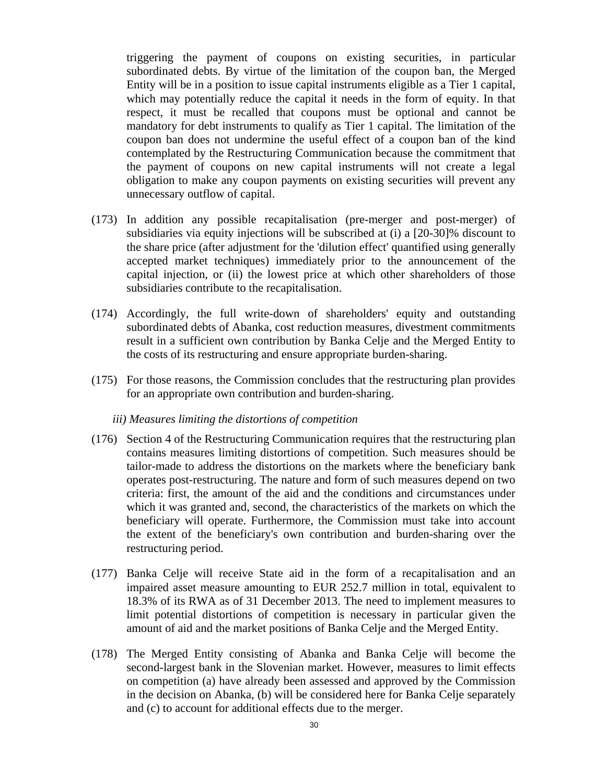triggering the payment of coupons on existing securities, in particular subordinated debts. By virtue of the limitation of the coupon ban, the Merged Entity will be in a position to issue capital instruments eligible as a Tier 1 capital, which may potentially reduce the capital it needs in the form of equity. In that respect, it must be recalled that coupons must be optional and cannot be mandatory for debt instruments to qualify as Tier 1 capital. The limitation of the coupon ban does not undermine the useful effect of a coupon ban of the kind contemplated by the Restructuring Communication because the commitment that the payment of coupons on new capital instruments will not create a legal obligation to make any coupon payments on existing securities will prevent any unnecessary outflow of capital.

- (173) In addition any possible recapitalisation (pre-merger and post-merger) of subsidiaries via equity injections will be subscribed at (i) a [20-30]% discount to the share price (after adjustment for the 'dilution effect' quantified using generally accepted market techniques) immediately prior to the announcement of the capital injection, or (ii) the lowest price at which other shareholders of those subsidiaries contribute to the recapitalisation.
- (174) Accordingly, the full write-down of shareholders' equity and outstanding subordinated debts of Abanka, cost reduction measures, divestment commitments result in a sufficient own contribution by Banka Celje and the Merged Entity to the costs of its restructuring and ensure appropriate burden-sharing.
- (175) For those reasons, the Commission concludes that the restructuring plan provides for an appropriate own contribution and burden-sharing.

### *iii) Measures limiting the distortions of competition*

- (176) Section 4 of the Restructuring Communication requires that the restructuring plan contains measures limiting distortions of competition. Such measures should be tailor-made to address the distortions on the markets where the beneficiary bank operates post-restructuring. The nature and form of such measures depend on two criteria: first, the amount of the aid and the conditions and circumstances under which it was granted and, second, the characteristics of the markets on which the beneficiary will operate. Furthermore, the Commission must take into account the extent of the beneficiary's own contribution and burden-sharing over the restructuring period.
- (177) Banka Celje will receive State aid in the form of a recapitalisation and an impaired asset measure amounting to EUR 252.7 million in total, equivalent to 18.3% of its RWA as of 31 December 2013. The need to implement measures to limit potential distortions of competition is necessary in particular given the amount of aid and the market positions of Banka Celje and the Merged Entity.
- (178) The Merged Entity consisting of Abanka and Banka Celje will become the second-largest bank in the Slovenian market. However, measures to limit effects on competition (a) have already been assessed and approved by the Commission in the decision on Abanka, (b) will be considered here for Banka Celje separately and (c) to account for additional effects due to the merger.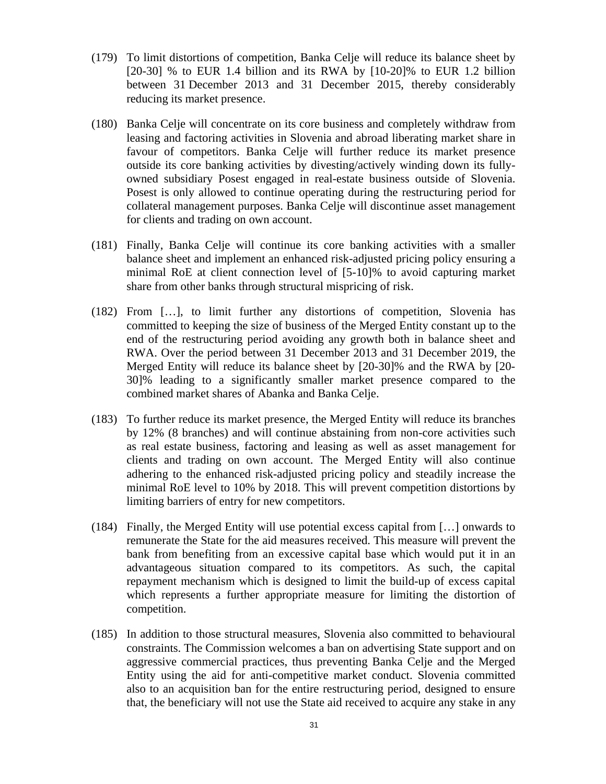- (179) To limit distortions of competition, Banka Celje will reduce its balance sheet by [20-30] % to EUR 1.4 billion and its RWA by [10-20]% to EUR 1.2 billion between 31 December 2013 and 31 December 2015, thereby considerably reducing its market presence.
- (180) Banka Celje will concentrate on its core business and completely withdraw from leasing and factoring activities in Slovenia and abroad liberating market share in favour of competitors. Banka Celje will further reduce its market presence outside its core banking activities by divesting/actively winding down its fullyowned subsidiary Posest engaged in real-estate business outside of Slovenia. Posest is only allowed to continue operating during the restructuring period for collateral management purposes. Banka Celje will discontinue asset management for clients and trading on own account.
- (181) Finally, Banka Celje will continue its core banking activities with a smaller balance sheet and implement an enhanced risk-adjusted pricing policy ensuring a minimal RoE at client connection level of [5-10]% to avoid capturing market share from other banks through structural mispricing of risk.
- (182) From […], to limit further any distortions of competition, Slovenia has committed to keeping the size of business of the Merged Entity constant up to the end of the restructuring period avoiding any growth both in balance sheet and RWA. Over the period between 31 December 2013 and 31 December 2019, the Merged Entity will reduce its balance sheet by [20-30]% and the RWA by [20- 30]% leading to a significantly smaller market presence compared to the combined market shares of Abanka and Banka Celje.
- (183) To further reduce its market presence, the Merged Entity will reduce its branches by 12% (8 branches) and will continue abstaining from non-core activities such as real estate business, factoring and leasing as well as asset management for clients and trading on own account. The Merged Entity will also continue adhering to the enhanced risk-adjusted pricing policy and steadily increase the minimal RoE level to 10% by 2018. This will prevent competition distortions by limiting barriers of entry for new competitors.
- (184) Finally, the Merged Entity will use potential excess capital from […] onwards to remunerate the State for the aid measures received. This measure will prevent the bank from benefiting from an excessive capital base which would put it in an advantageous situation compared to its competitors. As such, the capital repayment mechanism which is designed to limit the build-up of excess capital which represents a further appropriate measure for limiting the distortion of competition.
- (185) In addition to those structural measures, Slovenia also committed to behavioural constraints. The Commission welcomes a ban on advertising State support and on aggressive commercial practices, thus preventing Banka Celje and the Merged Entity using the aid for anti-competitive market conduct. Slovenia committed also to an acquisition ban for the entire restructuring period, designed to ensure that, the beneficiary will not use the State aid received to acquire any stake in any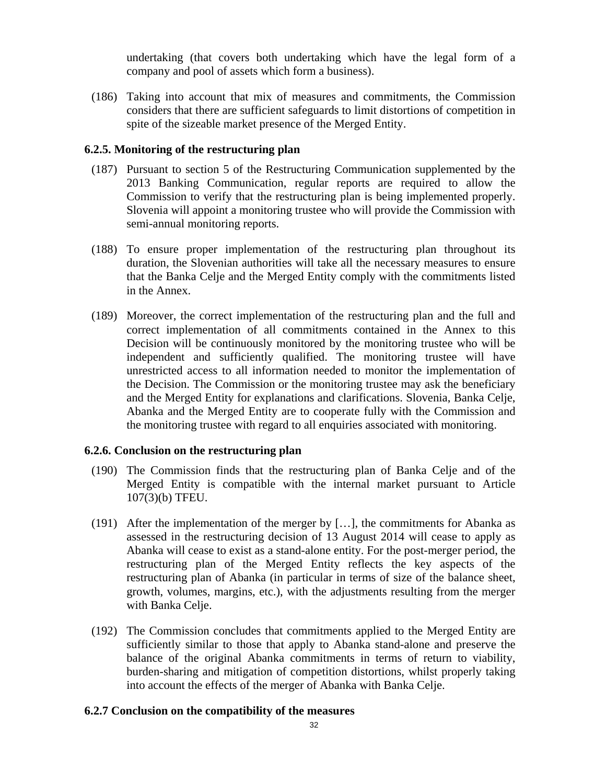undertaking (that covers both undertaking which have the legal form of a company and pool of assets which form a business).

(186) Taking into account that mix of measures and commitments, the Commission considers that there are sufficient safeguards to limit distortions of competition in spite of the sizeable market presence of the Merged Entity.

### **6.2.5. Monitoring of the restructuring plan**

- (187) Pursuant to section 5 of the Restructuring Communication supplemented by the 2013 Banking Communication, regular reports are required to allow the Commission to verify that the restructuring plan is being implemented properly. Slovenia will appoint a monitoring trustee who will provide the Commission with semi-annual monitoring reports.
- (188) To ensure proper implementation of the restructuring plan throughout its duration, the Slovenian authorities will take all the necessary measures to ensure that the Banka Celje and the Merged Entity comply with the commitments listed in the Annex.
- (189) Moreover, the correct implementation of the restructuring plan and the full and correct implementation of all commitments contained in the Annex to this Decision will be continuously monitored by the monitoring trustee who will be independent and sufficiently qualified. The monitoring trustee will have unrestricted access to all information needed to monitor the implementation of the Decision. The Commission or the monitoring trustee may ask the beneficiary and the Merged Entity for explanations and clarifications. Slovenia, Banka Celje, Abanka and the Merged Entity are to cooperate fully with the Commission and the monitoring trustee with regard to all enquiries associated with monitoring.

### **6.2.6. Conclusion on the restructuring plan**

- (190) The Commission finds that the restructuring plan of Banka Celje and of the Merged Entity is compatible with the internal market pursuant to Article 107(3)(b) TFEU.
- (191) After the implementation of the merger by […], the commitments for Abanka as assessed in the restructuring decision of 13 August 2014 will cease to apply as Abanka will cease to exist as a stand-alone entity. For the post-merger period, the restructuring plan of the Merged Entity reflects the key aspects of the restructuring plan of Abanka (in particular in terms of size of the balance sheet, growth, volumes, margins, etc.), with the adjustments resulting from the merger with Banka Celje.
- (192) The Commission concludes that commitments applied to the Merged Entity are sufficiently similar to those that apply to Abanka stand-alone and preserve the balance of the original Abanka commitments in terms of return to viability, burden-sharing and mitigation of competition distortions, whilst properly taking into account the effects of the merger of Abanka with Banka Celje.

### **6.2.7 Conclusion on the compatibility of the measures**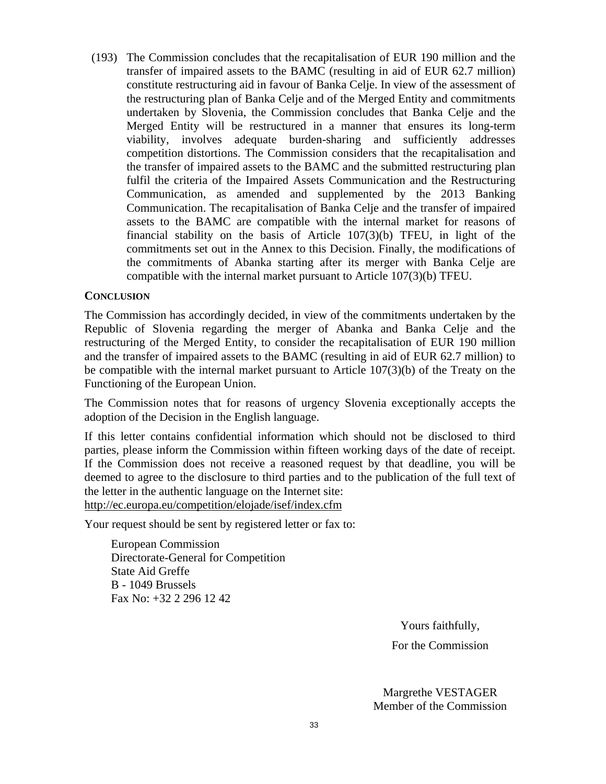(193) The Commission concludes that the recapitalisation of EUR 190 million and the transfer of impaired assets to the BAMC (resulting in aid of EUR 62.7 million) constitute restructuring aid in favour of Banka Celje. In view of the assessment of the restructuring plan of Banka Celje and of the Merged Entity and commitments undertaken by Slovenia, the Commission concludes that Banka Celje and the Merged Entity will be restructured in a manner that ensures its long-term viability, involves adequate burden-sharing and sufficiently addresses competition distortions. The Commission considers that the recapitalisation and the transfer of impaired assets to the BAMC and the submitted restructuring plan fulfil the criteria of the Impaired Assets Communication and the Restructuring Communication, as amended and supplemented by the 2013 Banking Communication. The recapitalisation of Banka Celje and the transfer of impaired assets to the BAMC are compatible with the internal market for reasons of financial stability on the basis of Article 107(3)(b) TFEU, in light of the commitments set out in the Annex to this Decision. Finally, the modifications of the commitments of Abanka starting after its merger with Banka Celje are compatible with the internal market pursuant to Article 107(3)(b) TFEU.

### **CONCLUSION**

The Commission has accordingly decided, in view of the commitments undertaken by the Republic of Slovenia regarding the merger of Abanka and Banka Celje and the restructuring of the Merged Entity, to consider the recapitalisation of EUR 190 million and the transfer of impaired assets to the BAMC (resulting in aid of EUR 62.7 million) to be compatible with the internal market pursuant to Article 107(3)(b) of the Treaty on the Functioning of the European Union.

The Commission notes that for reasons of urgency Slovenia exceptionally accepts the adoption of the Decision in the English language.

If this letter contains confidential information which should not be disclosed to third parties, please inform the Commission within fifteen working days of the date of receipt. If the Commission does not receive a reasoned request by that deadline, you will be deemed to agree to the disclosure to third parties and to the publication of the full text of [the letter in the authentic language on the Internet site](http://ec.europa.eu/competition/elojade/isef/index.cfm): http://ec.europa.eu/competition/elojade/isef/index.cfm

Your request should be sent by registered letter or fax to:

European Commission Directorate-General for Competition State Aid Greffe B - 1049 Brussels Fax No: +32 2 296 12 42

Yours faithfully,

For the Commission

Margrethe VESTAGER Member of the Commission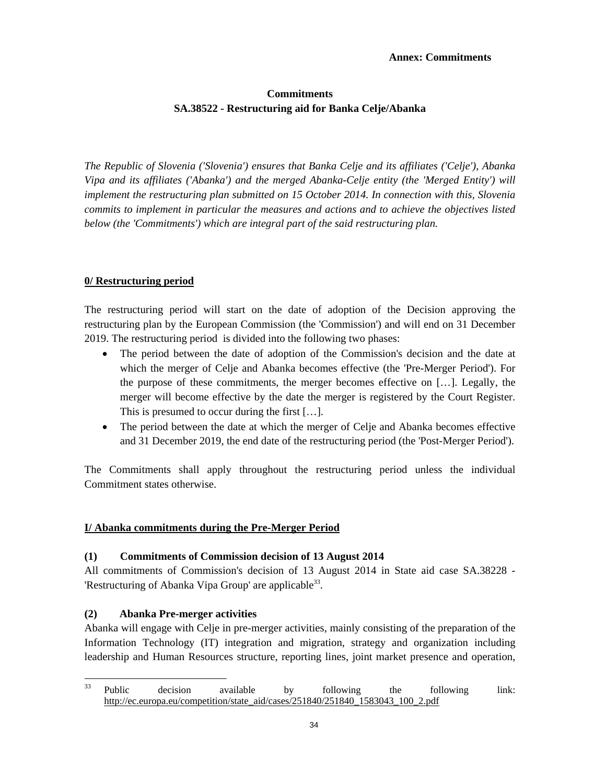#### **Annex: Commitments**

# **Commitments SA.38522 - Restructuring aid for Banka Celje/Abanka**

*The Republic of Slovenia ('Slovenia') ensures that Banka Celje and its affiliates ('Celje'), Abanka Vipa and its affiliates ('Abanka') and the merged Abanka-Celje entity (the 'Merged Entity') will implement the restructuring plan submitted on 15 October 2014. In connection with this, Slovenia commits to implement in particular the measures and actions and to achieve the objectives listed below (the 'Commitments') which are integral part of the said restructuring plan.* 

### **0/ Restructuring period**

The restructuring period will start on the date of adoption of the Decision approving the restructuring plan by the European Commission (the 'Commission') and will end on 31 December 2019. The restructuring period is divided into the following two phases:

- The period between the date of adoption of the Commission's decision and the date at which the merger of Celje and Abanka becomes effective (the 'Pre-Merger Period'). For the purpose of these commitments, the merger becomes effective on […]. Legally, the merger will become effective by the date the merger is registered by the Court Register. This is presumed to occur during the first […].
- The period between the date at which the merger of Celje and Abanka becomes effective and 31 December 2019, the end date of the restructuring period (the 'Post-Merger Period').

The Commitments shall apply throughout the restructuring period unless the individual Commitment states otherwise.

### **I/ Abanka commitments during the Pre-Merger Period**

### **(1) Commitments of Commission decision of 13 August 2014**

All commitments of Commission's decision of 13 August 2014 in State aid case SA.38228 - 'Restructuring of Abanka Vipa Group' are applicable<sup>33</sup>.

# **(2) Abanka Pre-merger activities**

 $\overline{a}$ 

Abanka will engage with Celje in pre-merger activities, mainly consisting of the preparation of the Information Technology (IT) integration and migration, strategy and organization including leadership and Human Resources structure, reporting lines, joint market presence and operation,

 $33$  [Public decision available by](http://ec.europa.eu/competition/state_aid/cases/251840/251840_1583043_100_2.pdf) following the following link: http://ec.europa.eu/competition/state\_aid/cases/251840/251840\_1583043\_100\_2.pdf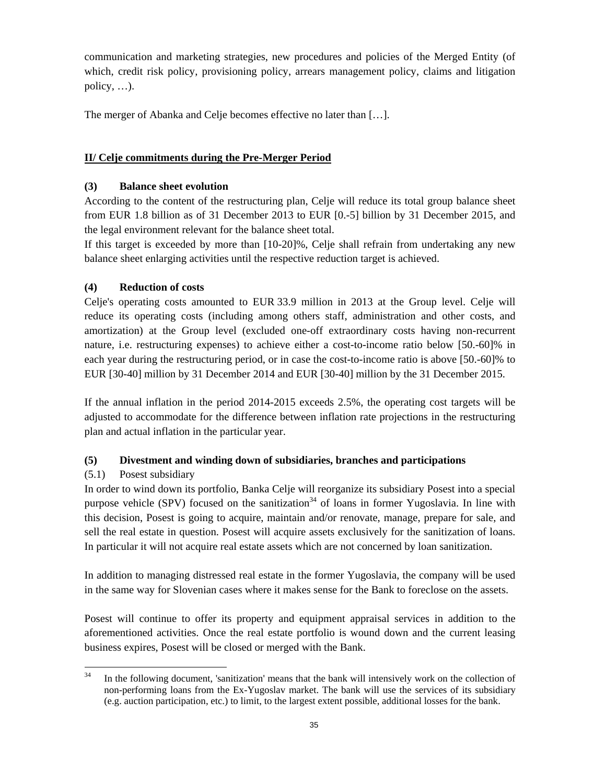communication and marketing strategies, new procedures and policies of the Merged Entity (of which, credit risk policy, provisioning policy, arrears management policy, claims and litigation policy, …).

The merger of Abanka and Celje becomes effective no later than […].

# **II/ Celje commitments during the Pre-Merger Period**

# **(3) Balance sheet evolution**

According to the content of the restructuring plan, Celje will reduce its total group balance sheet from EUR 1.8 billion as of 31 December 2013 to EUR [0.-5] billion by 31 December 2015, and the legal environment relevant for the balance sheet total.

If this target is exceeded by more than [10-20]%, Celje shall refrain from undertaking any new balance sheet enlarging activities until the respective reduction target is achieved.

# **(4) Reduction of costs**

Celje's operating costs amounted to EUR 33.9 million in 2013 at the Group level. Celje will reduce its operating costs (including among others staff, administration and other costs, and amortization) at the Group level (excluded one-off extraordinary costs having non-recurrent nature, i.e. restructuring expenses) to achieve either a cost-to-income ratio below [50.-60]% in each year during the restructuring period, or in case the cost-to-income ratio is above [50.-60]% to EUR [30-40] million by 31 December 2014 and EUR [30-40] million by the 31 December 2015.

If the annual inflation in the period 2014-2015 exceeds 2.5%, the operating cost targets will be adjusted to accommodate for the difference between inflation rate projections in the restructuring plan and actual inflation in the particular year.

# **(5) Divestment and winding down of subsidiaries, branches and participations**

# (5.1) Posest subsidiary

In order to wind down its portfolio, Banka Celje will reorganize its subsidiary Posest into a special purpose vehicle (SPV) focused on the sanitization<sup>34</sup> of loans in former Yugoslavia. In line with this decision, Posest is going to acquire, maintain and/or renovate, manage, prepare for sale, and sell the real estate in question. Posest will acquire assets exclusively for the sanitization of loans. In particular it will not acquire real estate assets which are not concerned by loan sanitization.

In addition to managing distressed real estate in the former Yugoslavia, the company will be used in the same way for Slovenian cases where it makes sense for the Bank to foreclose on the assets.

Posest will continue to offer its property and equipment appraisal services in addition to the aforementioned activities. Once the real estate portfolio is wound down and the current leasing business expires, Posest will be closed or merged with the Bank.

 $34$ In the following document, 'sanitization' means that the bank will intensively work on the collection of non-performing loans from the Ex-Yugoslav market. The bank will use the services of its subsidiary (e.g. auction participation, etc.) to limit, to the largest extent possible, additional losses for the bank.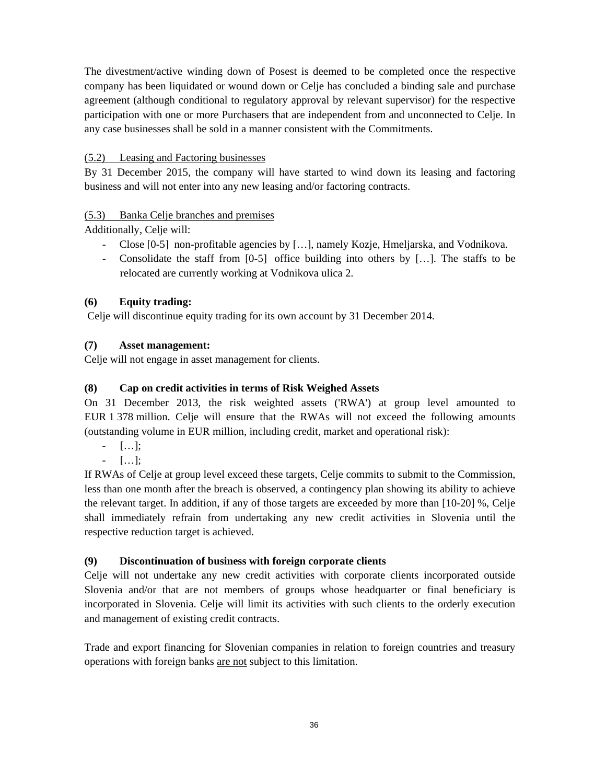The divestment/active winding down of Posest is deemed to be completed once the respective company has been liquidated or wound down or Celje has concluded a binding sale and purchase agreement (although conditional to regulatory approval by relevant supervisor) for the respective participation with one or more Purchasers that are independent from and unconnected to Celje. In any case businesses shall be sold in a manner consistent with the Commitments.

# (5.2) Leasing and Factoring businesses

By 31 December 2015, the company will have started to wind down its leasing and factoring business and will not enter into any new leasing and/or factoring contracts.

# (5.3) Banka Celje branches and premises

Additionally, Celje will:

- Close [0-5] non-profitable agencies by […], namely Kozje, Hmeljarska, and Vodnikova.
- Consolidate the staff from [0-5] office building into others by […]. The staffs to be relocated are currently working at Vodnikova ulica 2.

# **(6) Equity trading:**

Celje will discontinue equity trading for its own account by 31 December 2014.

# **(7) Asset management:**

Celje will not engage in asset management for clients.

# **(8) Cap on credit activities in terms of Risk Weighed Assets**

On 31 December 2013, the risk weighted assets ('RWA') at group level amounted to EUR 1 378 million. Celje will ensure that the RWAs will not exceed the following amounts (outstanding volume in EUR million, including credit, market and operational risk):

- […];

 $[\ldots]$ ;

If RWAs of Celje at group level exceed these targets, Celje commits to submit to the Commission, less than one month after the breach is observed, a contingency plan showing its ability to achieve the relevant target. In addition, if any of those targets are exceeded by more than [10-20] %, Celje shall immediately refrain from undertaking any new credit activities in Slovenia until the respective reduction target is achieved.

# **(9) Discontinuation of business with foreign corporate clients**

Celje will not undertake any new credit activities with corporate clients incorporated outside Slovenia and/or that are not members of groups whose headquarter or final beneficiary is incorporated in Slovenia. Celje will limit its activities with such clients to the orderly execution and management of existing credit contracts.

Trade and export financing for Slovenian companies in relation to foreign countries and treasury operations with foreign banks are not subject to this limitation.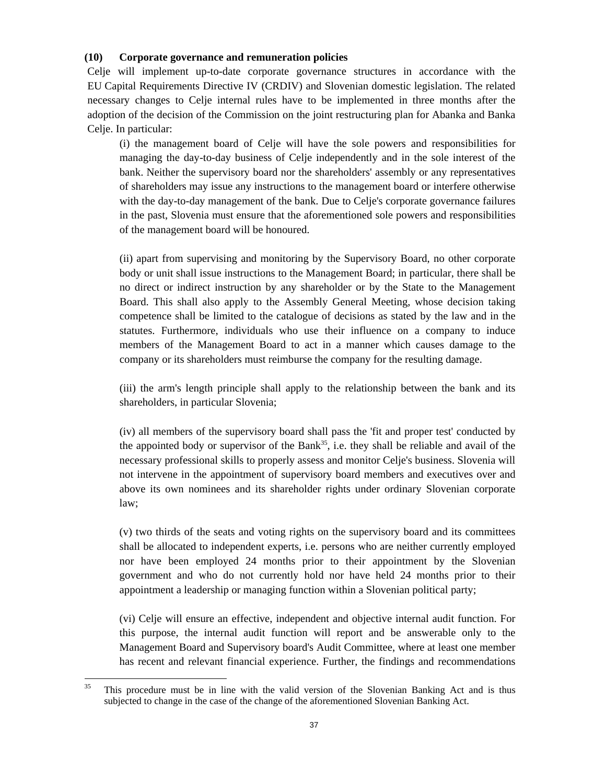#### **(10) Corporate governance and remuneration policies**

Celje will implement up-to-date corporate governance structures in accordance with the EU Capital Requirements Directive IV (CRDIV) and Slovenian domestic legislation. The related necessary changes to Celje internal rules have to be implemented in three months after the adoption of the decision of the Commission on the joint restructuring plan for Abanka and Banka Celje. In particular:

(i) the management board of Celje will have the sole powers and responsibilities for managing the day-to-day business of Celje independently and in the sole interest of the bank. Neither the supervisory board nor the shareholders' assembly or any representatives of shareholders may issue any instructions to the management board or interfere otherwise with the day-to-day management of the bank. Due to Celje's corporate governance failures in the past, Slovenia must ensure that the aforementioned sole powers and responsibilities of the management board will be honoured.

(ii) apart from supervising and monitoring by the Supervisory Board, no other corporate body or unit shall issue instructions to the Management Board; in particular, there shall be no direct or indirect instruction by any shareholder or by the State to the Management Board. This shall also apply to the Assembly General Meeting, whose decision taking competence shall be limited to the catalogue of decisions as stated by the law and in the statutes. Furthermore, individuals who use their influence on a company to induce members of the Management Board to act in a manner which causes damage to the company or its shareholders must reimburse the company for the resulting damage.

(iii) the arm's length principle shall apply to the relationship between the bank and its shareholders, in particular Slovenia;

(iv) all members of the supervisory board shall pass the 'fit and proper test' conducted by the appointed body or supervisor of the Bank<sup>35</sup>, i.e. they shall be reliable and avail of the necessary professional skills to properly assess and monitor Celje's business. Slovenia will not intervene in the appointment of supervisory board members and executives over and above its own nominees and its shareholder rights under ordinary Slovenian corporate law;

(v) two thirds of the seats and voting rights on the supervisory board and its committees shall be allocated to independent experts, i.e. persons who are neither currently employed nor have been employed 24 months prior to their appointment by the Slovenian government and who do not currently hold nor have held 24 months prior to their appointment a leadership or managing function within a Slovenian political party;

(vi) Celje will ensure an effective, independent and objective internal audit function. For this purpose, the internal audit function will report and be answerable only to the Management Board and Supervisory board's Audit Committee, where at least one member has recent and relevant financial experience. Further, the findings and recommendations

 $\overline{a}$ 

<sup>&</sup>lt;sup>35</sup> This procedure must be in line with the valid version of the Slovenian Banking Act and is thus subjected to change in the case of the change of the aforementioned Slovenian Banking Act.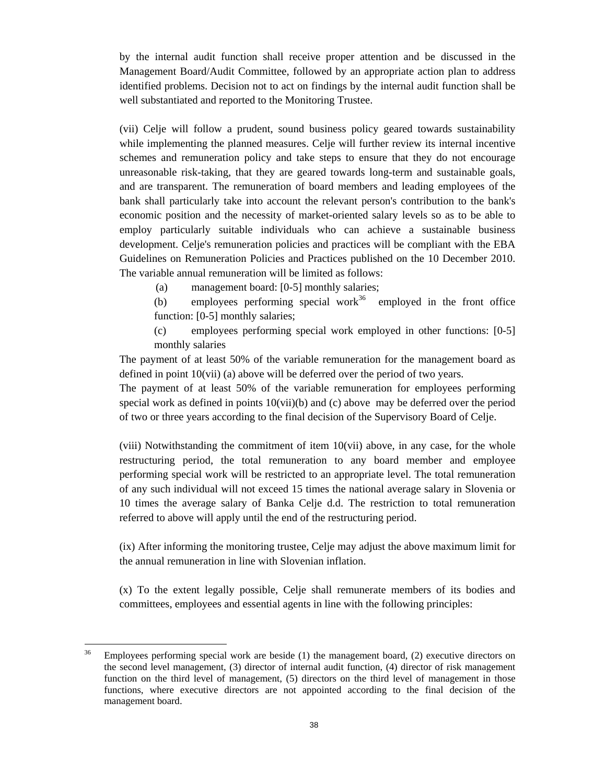by the internal audit function shall receive proper attention and be discussed in the Management Board/Audit Committee, followed by an appropriate action plan to address identified problems. Decision not to act on findings by the internal audit function shall be well substantiated and reported to the Monitoring Trustee.

(vii) Celje will follow a prudent, sound business policy geared towards sustainability while implementing the planned measures. Celje will further review its internal incentive schemes and remuneration policy and take steps to ensure that they do not encourage unreasonable risk-taking, that they are geared towards long-term and sustainable goals, and are transparent. The remuneration of board members and leading employees of the bank shall particularly take into account the relevant person's contribution to the bank's economic position and the necessity of market-oriented salary levels so as to be able to employ particularly suitable individuals who can achieve a sustainable business development. Celje's remuneration policies and practices will be compliant with the EBA Guidelines on Remuneration Policies and Practices published on the 10 December 2010. The variable annual remuneration will be limited as follows:

(a) management board: [0-5] monthly salaries;

(b) employees performing special work<sup>36</sup> employed in the front office function: [0-5] monthly salaries;

 (c) employees performing special work employed in other functions: [0-5] monthly salaries

The payment of at least 50% of the variable remuneration for the management board as defined in point 10(vii) (a) above will be deferred over the period of two years.

The payment of at least 50% of the variable remuneration for employees performing special work as defined in points 10(vii)(b) and (c) above may be deferred over the period of two or three years according to the final decision of the Supervisory Board of Celje.

(viii) Notwithstanding the commitment of item 10(vii) above, in any case, for the whole restructuring period, the total remuneration to any board member and employee performing special work will be restricted to an appropriate level. The total remuneration of any such individual will not exceed 15 times the national average salary in Slovenia or 10 times the average salary of Banka Celje d.d. The restriction to total remuneration referred to above will apply until the end of the restructuring period.

(ix) After informing the monitoring trustee, Celje may adjust the above maximum limit for the annual remuneration in line with Slovenian inflation.

(x) To the extent legally possible, Celje shall remunerate members of its bodies and committees, employees and essential agents in line with the following principles:

<sup>36</sup> Employees performing special work are beside (1) the management board, (2) executive directors on the second level management, (3) director of internal audit function, (4) director of risk management function on the third level of management, (5) directors on the third level of management in those functions, where executive directors are not appointed according to the final decision of the management board.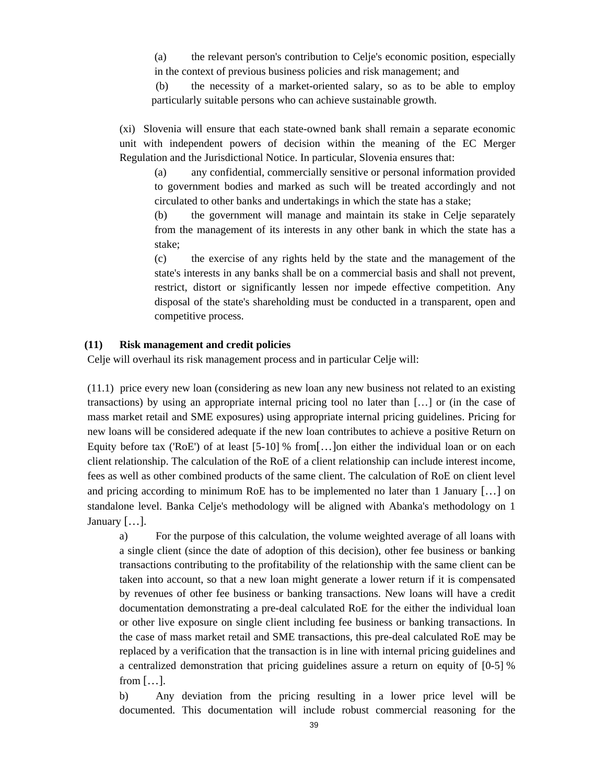(a) the relevant person's contribution to Celje's economic position, especially in the context of previous business policies and risk management; and

 (b) the necessity of a market-oriented salary, so as to be able to employ particularly suitable persons who can achieve sustainable growth.

(xi) Slovenia will ensure that each state-owned bank shall remain a separate economic unit with independent powers of decision within the meaning of the EC Merger Regulation and the Jurisdictional Notice. In particular, Slovenia ensures that:

(a) any confidential, commercially sensitive or personal information provided to government bodies and marked as such will be treated accordingly and not circulated to other banks and undertakings in which the state has a stake;

(b) the government will manage and maintain its stake in Celje separately from the management of its interests in any other bank in which the state has a stake;

(c) the exercise of any rights held by the state and the management of the state's interests in any banks shall be on a commercial basis and shall not prevent, restrict, distort or significantly lessen nor impede effective competition. Any disposal of the state's shareholding must be conducted in a transparent, open and competitive process.

#### <span id="page-38-0"></span>**(11) Risk management and credit policies**

Celje will overhaul its risk management process and in particular Celje will:

(11.1) price every new loan (considering as new loan any new business not related to an existing transactions) by using an appropriate internal pricing tool no later than […] or (in the case of mass market retail and SME exposures) using appropriate internal pricing guidelines. Pricing for new loans will be considered adequate if the new loan contributes to achieve a positive Return on Equity before tax ('RoE') of at least [5-10] % from[…]on either the individual loan or on each client relationship. The calculation of the RoE of a client relationship can include interest income, fees as well as other combined products of the same client. The calculation of RoE on client level and pricing according to minimum RoE has to be implemented no later than 1 January […] on standalone level. Banka Celje's methodology will be aligned with Abanka's methodology on 1 January […].

a) For the purpose of this calculation, the volume weighted average of all loans with a single client (since the date of adoption of this decision), other fee business or banking transactions contributing to the profitability of the relationship with the same client can be taken into account, so that a new loan might generate a lower return if it is compensated by revenues of other fee business or banking transactions. New loans will have a credit documentation demonstrating a pre-deal calculated RoE for the either the individual loan or other live exposure on single client including fee business or banking transactions. In the case of mass market retail and SME transactions, this pre-deal calculated RoE may be replaced by a verification that the transaction is in line with internal pricing guidelines and a centralized demonstration that pricing guidelines assure a return on equity of [0-5] % from  $[\ldots]$ .

b) Any deviation from the pricing resulting in a lower price level will be documented. This documentation will include robust commercial reasoning for the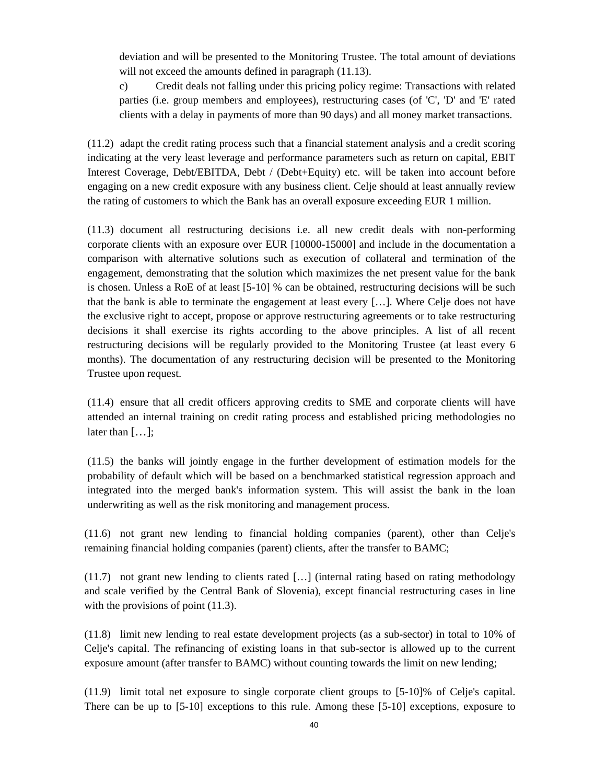deviation and will be presented to the Monitoring Trustee. The total amount of deviations will not exceed the amounts defined in paragraph  $(11.13)$ .

c) Credit deals not falling under this pricing policy regime: Transactions with related parties (i.e. group members and employees), restructuring cases (of 'C', 'D' and 'E' rated clients with a delay in payments of more than 90 days) and all money market transactions.

(11.2) adapt the credit rating process such that a financial statement analysis and a credit scoring indicating at the very least leverage and performance parameters such as return on capital, EBIT Interest Coverage, Debt/EBITDA, Debt / (Debt+Equity) etc. will be taken into account before engaging on a new credit exposure with any business client. Celje should at least annually review the rating of customers to which the Bank has an overall exposure exceeding EUR 1 million.

(11.3) document all restructuring decisions i.e. all new credit deals with non-performing corporate clients with an exposure over EUR [10000-15000] and include in the documentation a comparison with alternative solutions such as execution of collateral and termination of the engagement, demonstrating that the solution which maximizes the net present value for the bank is chosen. Unless a RoE of at least [5-10] % can be obtained, restructuring decisions will be such that the bank is able to terminate the engagement at least every […]. Where Celje does not have the exclusive right to accept, propose or approve restructuring agreements or to take restructuring decisions it shall exercise its rights according to the above principles. A list of all recent restructuring decisions will be regularly provided to the Monitoring Trustee (at least every 6 months). The documentation of any restructuring decision will be presented to the Monitoring Trustee upon request.

(11.4) ensure that all credit officers approving credits to SME and corporate clients will have attended an internal training on credit rating process and established pricing methodologies no later than  $[\dots]$ ;

(11.5) the banks will jointly engage in the further development of estimation models for the probability of default which will be based on a benchmarked statistical regression approach and integrated into the merged bank's information system. This will assist the bank in the loan underwriting as well as the risk monitoring and management process.

(11.6) not grant new lending to financial holding companies (parent), other than Celje's remaining financial holding companies (parent) clients, after the transfer to BAMC;

(11.7) not grant new lending to clients rated […] (internal rating based on rating methodology and scale verified by the Central Bank of Slovenia), except financial restructuring cases in line with the provisions of point  $(11.3)$ .

(11.8) limit new lending to real estate development projects (as a sub-sector) in total to 10% of Celje's capital. The refinancing of existing loans in that sub-sector is allowed up to the current exposure amount (after transfer to BAMC) without counting towards the limit on new lending;

(11.9) limit total net exposure to single corporate client groups to [5-10]% of Celje's capital. There can be up to [5-10] exceptions to this rule. Among these [5-10] exceptions, exposure to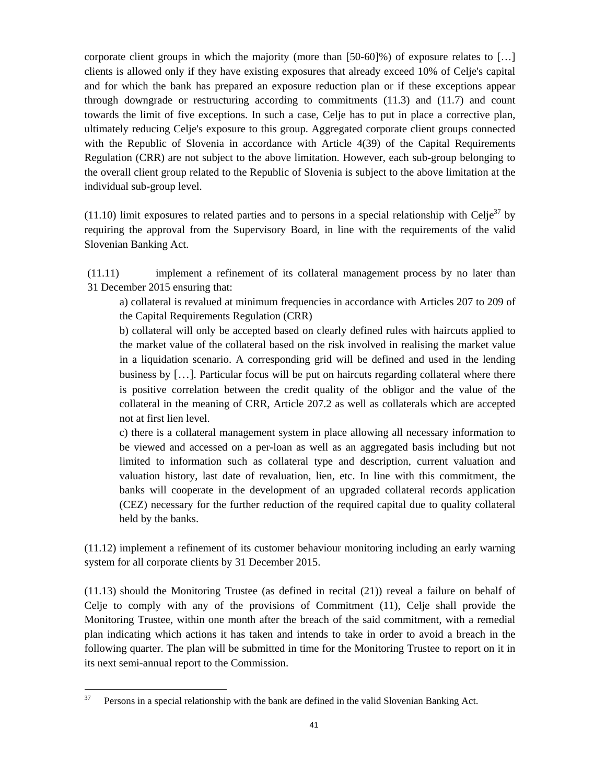corporate client groups in which the majority (more than [50-60]%) of exposure relates to […] clients is allowed only if they have existing exposures that already exceed 10% of Celje's capital and for which the bank has prepared an exposure reduction plan or if these exceptions appear through downgrade or restructuring according to commitments  $(11.3)$  and  $(11.7)$  and count towards the limit of five exceptions. In such a case, Celje has to put in place a corrective plan, ultimately reducing Celje's exposure to this group. Aggregated corporate client groups connected with the Republic of Slovenia in accordance with Article 4(39) of the Capital Requirements Regulation (CRR) are not subject to the above limitation. However, each sub-group belonging to the overall client group related to the Republic of Slovenia is subject to the above limitation at the individual sub-group level.

(11.10) limit exposures to related parties and to persons in a special relationship with Celje<sup>37</sup> by requiring the approval from the Supervisory Board, in line with the requirements of the valid Slovenian Banking Act.

(11.11) implement a refinement of its collateral management process by no later than 31 December 2015 ensuring that:

a) collateral is revalued at minimum frequencies in accordance with Articles 207 to 209 of the Capital Requirements Regulation (CRR)

b) collateral will only be accepted based on clearly defined rules with haircuts applied to the market value of the collateral based on the risk involved in realising the market value in a liquidation scenario. A corresponding grid will be defined and used in the lending business by […]. Particular focus will be put on haircuts regarding collateral where there is positive correlation between the credit quality of the obligor and the value of the collateral in the meaning of CRR, Article 207.2 as well as collaterals which are accepted not at first lien level.

c) there is a collateral management system in place allowing all necessary information to be viewed and accessed on a per-loan as well as an aggregated basis including but not limited to information such as collateral type and description, current valuation and valuation history, last date of revaluation, lien, etc. In line with this commitment, the banks will cooperate in the development of an upgraded collateral records application (CEZ) necessary for the further reduction of the required capital due to quality collateral held by the banks.

(11.12) implement a refinement of its customer behaviour monitoring including an early warning system for all corporate clients by 31 December 2015.

(11.13) should the Monitoring Trustee (as defined in recit[al \(21](#page-43-0)[\)\) re](#page-38-0)veal a failure on behalf of Celje to comply with any of the provisions of Commitment (11), Celje shall provide the Monitoring Trustee, within one month after the breach of the said commitment, with a remedial plan indicating which actions it has taken and intends to take in order to avoid a breach in the following quarter. The plan will be submitted in time for the Monitoring Trustee to report on it in its next semi-annual report to the Commission.

 $37\,$ 37 Persons in a special relationship with the bank are defined in the valid Slovenian Banking Act.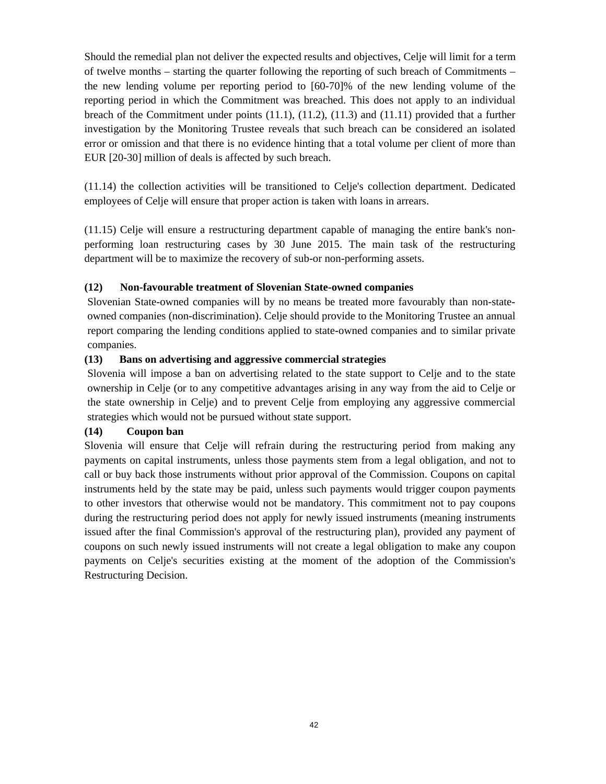Should the remedial plan not deliver the expected results and objectives, Celje will limit for a term of twelve months – starting the quarter following the reporting of such breach of Commitments – the new lending volume per reporting period to [60-70]% of the new lending volume of the reporting period in which the Commitment was breached. This does not apply to an individual breach of the Commitment under points (11.1), (11.2), (11.3) and (11.11) provided that a further investigation by the Monitoring Trustee reveals that such breach can be considered an isolated error or omission and that there is no evidence hinting that a total volume per client of more than EUR [20-30] million of deals is affected by such breach.

(11.14) the collection activities will be transitioned to Celje's collection department. Dedicated employees of Celje will ensure that proper action is taken with loans in arrears.

(11.15) Celje will ensure a restructuring department capable of managing the entire bank's nonperforming loan restructuring cases by 30 June 2015. The main task of the restructuring department will be to maximize the recovery of sub-or non-performing assets.

#### **(12) Non-favourable treatment of Slovenian State-owned companies**

Slovenian State-owned companies will by no means be treated more favourably than non-stateowned companies (non-discrimination). Celje should provide to the Monitoring Trustee an annual report comparing the lending conditions applied to state-owned companies and to similar private companies.

#### **(13) Bans on advertising and aggressive commercial strategies**

Slovenia will impose a ban on advertising related to the state support to Celje and to the state ownership in Celje (or to any competitive advantages arising in any way from the aid to Celje or the state ownership in Celje) and to prevent Celje from employing any aggressive commercial strategies which would not be pursued without state support.

#### **(14) Coupon ban**

Slovenia will ensure that Celje will refrain during the restructuring period from making any payments on capital instruments, unless those payments stem from a legal obligation, and not to call or buy back those instruments without prior approval of the Commission. Coupons on capital instruments held by the state may be paid, unless such payments would trigger coupon payments to other investors that otherwise would not be mandatory. This commitment not to pay coupons during the restructuring period does not apply for newly issued instruments (meaning instruments issued after the final Commission's approval of the restructuring plan), provided any payment of coupons on such newly issued instruments will not create a legal obligation to make any coupon payments on Celje's securities existing at the moment of the adoption of the Commission's Restructuring Decision.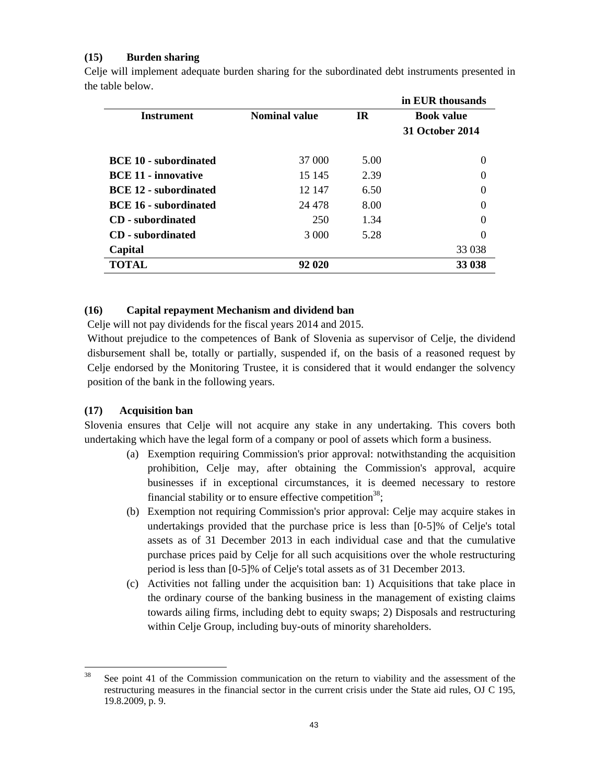#### **(15) Burden sharing**

|                              |                      |           | in EUR thousands       |
|------------------------------|----------------------|-----------|------------------------|
| <b>Instrument</b>            | <b>Nominal value</b> | <b>IR</b> | <b>Book value</b>      |
|                              |                      |           | <b>31 October 2014</b> |
| <b>BCE 10 - subordinated</b> | 37 000               | 5.00      | $\Omega$               |
| <b>BCE 11 - innovative</b>   | 15 145               | 2.39      | $\Omega$               |
| <b>BCE 12 - subordinated</b> | 12 147               | 6.50      | $\Omega$               |
| <b>BCE 16 - subordinated</b> | 24 4 7 8             | 8.00      | $\Omega$               |
| <b>CD</b> - subordinated     | 250                  | 1.34      | $\Omega$               |
| <b>CD</b> - subordinated     | 3 0 0 0              | 5.28      | $\Omega$               |
| Capital                      |                      |           | 33 038                 |
| <b>TOTAL</b>                 | 92 020               |           | 33 038                 |

Celje will implement adequate burden sharing for the subordinated debt instruments presented in the table below.

### **(16) Capital repayment Mechanism and dividend ban**

Celje will not pay dividends for the fiscal years 2014 and 2015.

Without prejudice to the competences of Bank of Slovenia as supervisor of Celje, the dividend disbursement shall be, totally or partially, suspended if, on the basis of a reasoned request by Celje endorsed by the Monitoring Trustee, it is considered that it would endanger the solvency position of the bank in the following years.

### **(17) Acquisition ban**

Slovenia ensures that Celje will not acquire any stake in any undertaking. This covers both undertaking which have the legal form of a company or pool of assets which form a business.

- (a) Exemption requiring Commission's prior approval: notwithstanding the acquisition prohibition, Celje may, after obtaining the Commission's approval, acquire businesses if in exceptional circumstances, it is deemed necessary to restore financial stability or to ensure effective competition<sup>38</sup>;
- (b) Exemption not requiring Commission's prior approval: Celje may acquire stakes in undertakings provided that the purchase price is less than [0-5]% of Celje's total assets as of 31 December 2013 in each individual case and that the cumulative purchase prices paid by Celje for all such acquisitions over the whole restructuring period is less than [0-5]% of Celje's total assets as of 31 December 2013.
- (c) Activities not falling under the acquisition ban: 1) Acquisitions that take place in the ordinary course of the banking business in the management of existing claims towards ailing firms, including debt to equity swaps; 2) Disposals and restructuring within Celje Group, including buy-outs of minority shareholders.

<sup>38</sup> See point 41 of the Commission communication on the return to viability and the assessment of the restructuring measures in the financial sector in the current crisis under the State aid rules, OJ C 195, 19.8.2009, p. 9.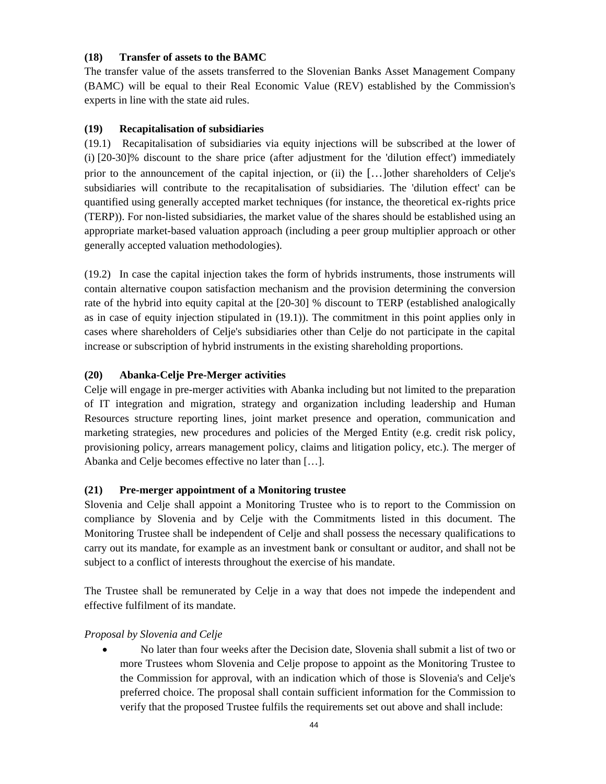#### **(18) Transfer of assets to the BAMC**

The transfer value of the assets transferred to the Slovenian Banks Asset Management Company (BAMC) will be equal to their Real Economic Value (REV) established by the Commission's experts in line with the state aid rules.

#### **(19) Recapitalisation of subsidiaries**

(19.1) Recapitalisation of subsidiaries via equity injections will be subscribed at the lower of (i) [20-30]% discount to the share price (after adjustment for the 'dilution effect') immediately prior to the announcement of the capital injection, or (ii) the […]other shareholders of Celje's subsidiaries will contribute to the recapitalisation of subsidiaries. The 'dilution effect' can be quantified using generally accepted market techniques (for instance, the theoretical ex-rights price (TERP)). For non-listed subsidiaries, the market value of the shares should be established using an appropriate market-based valuation approach (including a peer group multiplier approach or other generally accepted valuation methodologies).

(19.2) In case the capital injection takes the form of hybrids instruments, those instruments will contain alternative coupon satisfaction mechanism and the provision determining the conversion rate of the hybrid into equity capital at the [20-30] % discount to TERP (established analogically as in case of equity injection stipulated in (19.1)). The commitment in this point applies only in cases where shareholders of Celje's subsidiaries other than Celje do not participate in the capital increase or subscription of hybrid instruments in the existing shareholding proportions.

### **(20) Abanka-Celje Pre-Merger activities**

Celje will engage in pre-merger activities with Abanka including but not limited to the preparation of IT integration and migration, strategy and organization including leadership and Human Resources structure reporting lines, joint market presence and operation, communication and marketing strategies, new procedures and policies of the Merged Entity (e.g. credit risk policy, provisioning policy, arrears management policy, claims and litigation policy, etc.). The merger of Abanka and Celje becomes effective no later than […].

### <span id="page-43-0"></span>**(21) Pre-merger appointment of a Monitoring trustee**

Slovenia and Celje shall appoint a Monitoring Trustee who is to report to the Commission on compliance by Slovenia and by Celje with the Commitments listed in this document. The Monitoring Trustee shall be independent of Celje and shall possess the necessary qualifications to carry out its mandate, for example as an investment bank or consultant or auditor, and shall not be subject to a conflict of interests throughout the exercise of his mandate.

The Trustee shall be remunerated by Celje in a way that does not impede the independent and effective fulfilment of its mandate.

#### *Proposal by Slovenia and Celje*

• No later than four weeks after the Decision date, Slovenia shall submit a list of two or more Trustees whom Slovenia and Celje propose to appoint as the Monitoring Trustee to the Commission for approval, with an indication which of those is Slovenia's and Celje's preferred choice. The proposal shall contain sufficient information for the Commission to verify that the proposed Trustee fulfils the requirements set out above and shall include: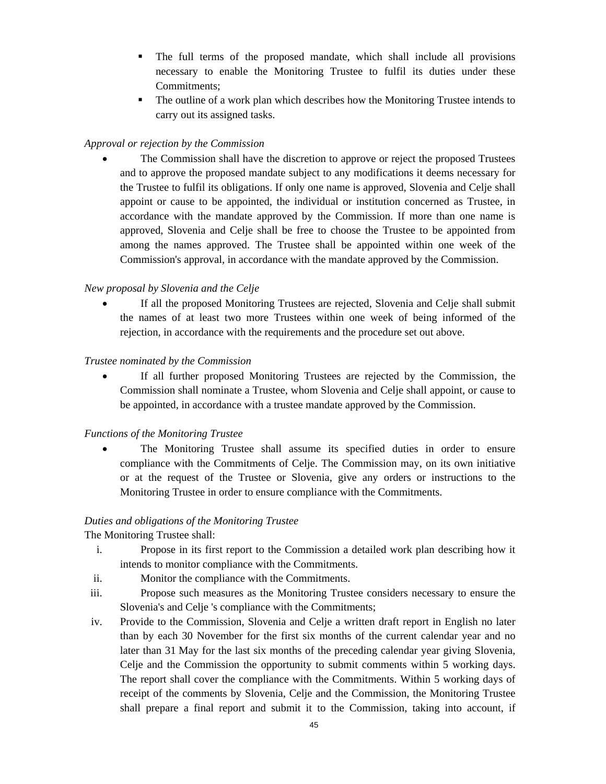- The full terms of the proposed mandate, which shall include all provisions necessary to enable the Monitoring Trustee to fulfil its duties under these Commitments;
- The outline of a work plan which describes how the Monitoring Trustee intends to carry out its assigned tasks.

## *Approval or rejection by the Commission*

The Commission shall have the discretion to approve or reject the proposed Trustees and to approve the proposed mandate subject to any modifications it deems necessary for the Trustee to fulfil its obligations. If only one name is approved, Slovenia and Celje shall appoint or cause to be appointed, the individual or institution concerned as Trustee, in accordance with the mandate approved by the Commission. If more than one name is approved, Slovenia and Celje shall be free to choose the Trustee to be appointed from among the names approved. The Trustee shall be appointed within one week of the Commission's approval, in accordance with the mandate approved by the Commission.

### *New proposal by Slovenia and the Celje*

If all the proposed Monitoring Trustees are rejected, Slovenia and Celje shall submit the names of at least two more Trustees within one week of being informed of the rejection, in accordance with the requirements and the procedure set out above.

### *Trustee nominated by the Commission*

If all further proposed Monitoring Trustees are rejected by the Commission, the Commission shall nominate a Trustee, whom Slovenia and Celje shall appoint, or cause to be appointed, in accordance with a trustee mandate approved by the Commission.

### *Functions of the Monitoring Trustee*

• The Monitoring Trustee shall assume its specified duties in order to ensure compliance with the Commitments of Celje. The Commission may, on its own initiative or at the request of the Trustee or Slovenia, give any orders or instructions to the Monitoring Trustee in order to ensure compliance with the Commitments.

### *Duties and obligations of the Monitoring Trustee*

The Monitoring Trustee shall:

- i. Propose in its first report to the Commission a detailed work plan describing how it intends to monitor compliance with the Commitments.
- ii. Monitor the compliance with the Commitments.
- iii. Propose such measures as the Monitoring Trustee considers necessary to ensure the Slovenia's and Celje 's compliance with the Commitments;
- iv. Provide to the Commission, Slovenia and Celje a written draft report in English no later than by each 30 November for the first six months of the current calendar year and no later than 31 May for the last six months of the preceding calendar year giving Slovenia, Celje and the Commission the opportunity to submit comments within 5 working days. The report shall cover the compliance with the Commitments. Within 5 working days of receipt of the comments by Slovenia, Celje and the Commission, the Monitoring Trustee shall prepare a final report and submit it to the Commission, taking into account, if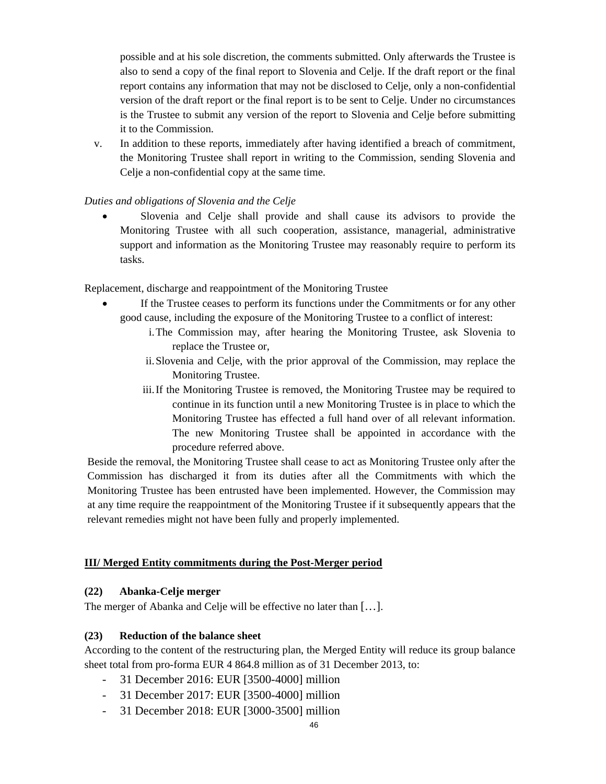possible and at his sole discretion, the comments submitted. Only afterwards the Trustee is also to send a copy of the final report to Slovenia and Celje. If the draft report or the final report contains any information that may not be disclosed to Celje, only a non-confidential version of the draft report or the final report is to be sent to Celje. Under no circumstances is the Trustee to submit any version of the report to Slovenia and Celje before submitting it to the Commission.

v. In addition to these reports, immediately after having identified a breach of commitment, the Monitoring Trustee shall report in writing to the Commission, sending Slovenia and Celje a non-confidential copy at the same time.

### *Duties and obligations of Slovenia and the Celje*

• Slovenia and Celje shall provide and shall cause its advisors to provide the Monitoring Trustee with all such cooperation, assistance, managerial, administrative support and information as the Monitoring Trustee may reasonably require to perform its tasks.

Replacement, discharge and reappointment of the Monitoring Trustee

- If the Trustee ceases to perform its functions under the Commitments or for any other good cause, including the exposure of the Monitoring Trustee to a conflict of interest:
	- i.The Commission may, after hearing the Monitoring Trustee, ask Slovenia to replace the Trustee or,
	- ii.Slovenia and Celje, with the prior approval of the Commission, may replace the Monitoring Trustee.
	- iii.If the Monitoring Trustee is removed, the Monitoring Trustee may be required to continue in its function until a new Monitoring Trustee is in place to which the Monitoring Trustee has effected a full hand over of all relevant information. The new Monitoring Trustee shall be appointed in accordance with the procedure referred above.

Beside the removal, the Monitoring Trustee shall cease to act as Monitoring Trustee only after the Commission has discharged it from its duties after all the Commitments with which the Monitoring Trustee has been entrusted have been implemented. However, the Commission may at any time require the reappointment of the Monitoring Trustee if it subsequently appears that the relevant remedies might not have been fully and properly implemented.

### **III/ Merged Entity commitments during the Post-Merger period**

### **(22) Abanka-Celje merger**

The merger of Abanka and Celje will be effective no later than [...].

### **(23) Reduction of the balance sheet**

According to the content of the restructuring plan, the Merged Entity will reduce its group balance sheet total from pro-forma EUR 4 864.8 million as of 31 December 2013, to:

- 31 December 2016: EUR [3500-4000] million
- 31 December 2017: EUR [3500-4000] million
- 31 December 2018: EUR [3000-3500] million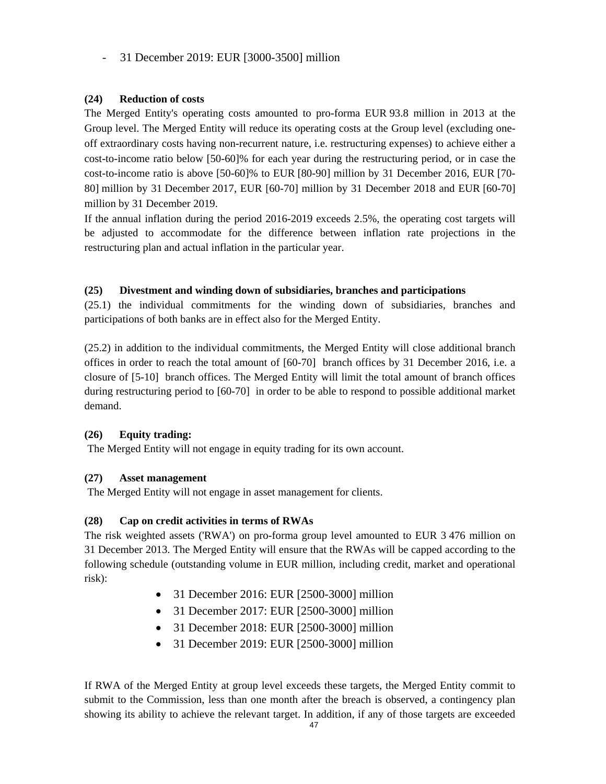# - 31 December 2019: EUR [3000-3500] million

## **(24) Reduction of costs**

The Merged Entity's operating costs amounted to pro-forma EUR 93.8 million in 2013 at the Group level. The Merged Entity will reduce its operating costs at the Group level (excluding oneoff extraordinary costs having non-recurrent nature, i.e. restructuring expenses) to achieve either a cost-to-income ratio below [50-60]% for each year during the restructuring period, or in case the cost-to-income ratio is above [50-60]% to EUR [80-90] million by 31 December 2016, EUR [70- 80] million by 31 December 2017, EUR [60-70] million by 31 December 2018 and EUR [60-70] million by 31 December 2019.

If the annual inflation during the period 2016-2019 exceeds 2.5%, the operating cost targets will be adjusted to accommodate for the difference between inflation rate projections in the restructuring plan and actual inflation in the particular year.

### <span id="page-46-0"></span>**(25) Divestment and winding down of subsidiaries, branches and participations**

(25.1) the individual commitments for the winding down of subsidiaries, branches and participations of both banks are in effect also for the Merged Entity.

(25.2) in addition to the individual commitments, the Merged Entity will close additional branch offices in order to reach the total amount of [60-70] branch offices by 31 December 2016, i.e. a closure of [5-10] branch offices. The Merged Entity will limit the total amount of branch offices during restructuring period to [60-70] in order to be able to respond to possible additional market demand.

# **(26) Equity trading:**

The Merged Entity will not engage in equity trading for its own account.

### **(27) Asset management**

The Merged Entity will not engage in asset management for clients.

### **(28) Cap on credit activities in terms of RWAs**

The risk weighted assets ('RWA') on pro-forma group level amounted to EUR 3 476 million on 31 December 2013. The Merged Entity will ensure that the RWAs will be capped according to the following schedule (outstanding volume in EUR million, including credit, market and operational risk):

- 31 December 2016: EUR [2500-3000] million
- 31 December 2017: EUR [2500-3000] million
- 31 December 2018: EUR [2500-3000] million
- 31 December 2019: EUR [2500-3000] million

If RWA of the Merged Entity at group level exceeds these targets, the Merged Entity commit to submit to the Commission, less than one month after the breach is observed, a contingency plan showing its ability to achieve the relevant target. In addition, if any of those targets are exceeded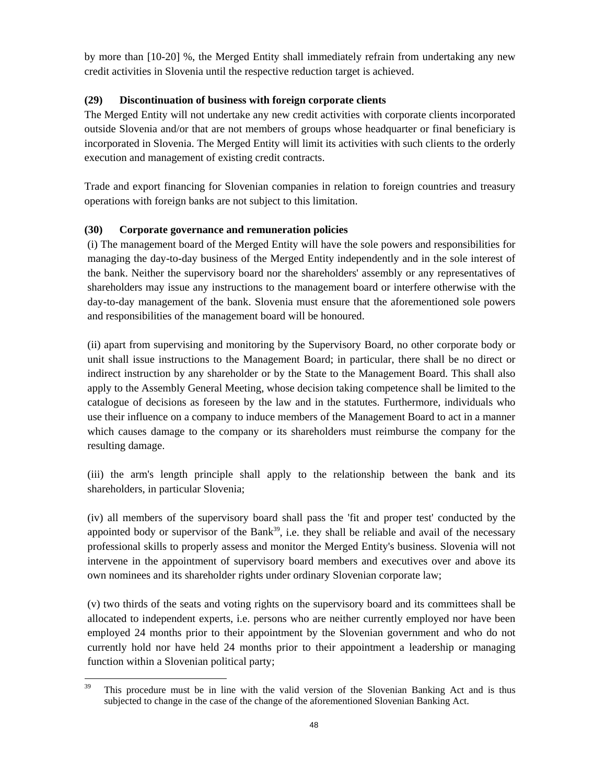by more than [10-20] %, the Merged Entity shall immediately refrain from undertaking any new credit activities in Slovenia until the respective reduction target is achieved.

# **(29) Discontinuation of business with foreign corporate clients**

The Merged Entity will not undertake any new credit activities with corporate clients incorporated outside Slovenia and/or that are not members of groups whose headquarter or final beneficiary is incorporated in Slovenia. The Merged Entity will limit its activities with such clients to the orderly execution and management of existing credit contracts.

Trade and export financing for Slovenian companies in relation to foreign countries and treasury operations with foreign banks are not subject to this limitation.

# **(30) Corporate governance and remuneration policies**

(i) The management board of the Merged Entity will have the sole powers and responsibilities for managing the day-to-day business of the Merged Entity independently and in the sole interest of the bank. Neither the supervisory board nor the shareholders' assembly or any representatives of shareholders may issue any instructions to the management board or interfere otherwise with the day-to-day management of the bank. Slovenia must ensure that the aforementioned sole powers and responsibilities of the management board will be honoured.

(ii) apart from supervising and monitoring by the Supervisory Board, no other corporate body or unit shall issue instructions to the Management Board; in particular, there shall be no direct or indirect instruction by any shareholder or by the State to the Management Board. This shall also apply to the Assembly General Meeting, whose decision taking competence shall be limited to the catalogue of decisions as foreseen by the law and in the statutes. Furthermore, individuals who use their influence on a company to induce members of the Management Board to act in a manner which causes damage to the company or its shareholders must reimburse the company for the resulting damage.

(iii) the arm's length principle shall apply to the relationship between the bank and its shareholders, in particular Slovenia;

(iv) all members of the supervisory board shall pass the 'fit and proper test' conducted by the appointed body or supervisor of the Bank<sup>39</sup>, i.e. they shall be reliable and avail of the necessary professional skills to properly assess and monitor the Merged Entity's business. Slovenia will not intervene in the appointment of supervisory board members and executives over and above its own nominees and its shareholder rights under ordinary Slovenian corporate law;

(v) two thirds of the seats and voting rights on the supervisory board and its committees shall be allocated to independent experts, i.e. persons who are neither currently employed nor have been employed 24 months prior to their appointment by the Slovenian government and who do not currently hold nor have held 24 months prior to their appointment a leadership or managing function within a Slovenian political party;

 $\overline{a}$ 

<sup>&</sup>lt;sup>39</sup> This procedure must be in line with the valid version of the Slovenian Banking Act and is thus subjected to change in the case of the change of the aforementioned Slovenian Banking Act.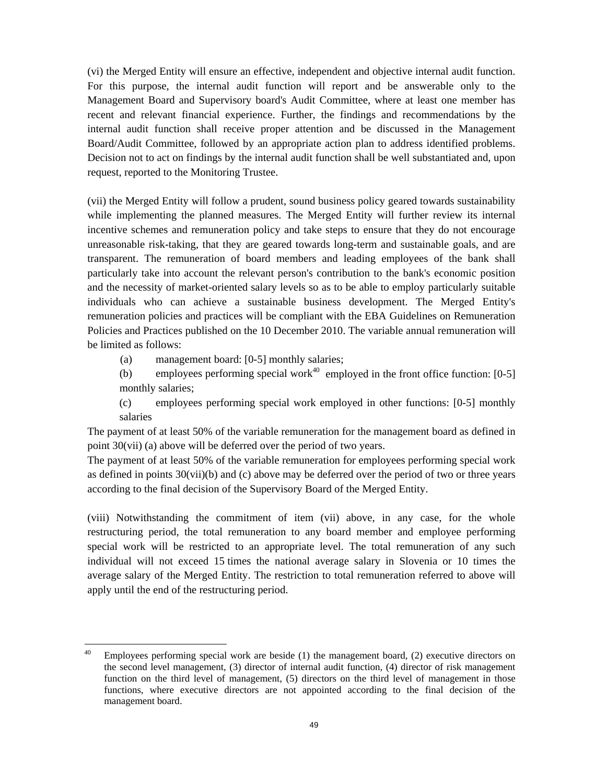(vi) the Merged Entity will ensure an effective, independent and objective internal audit function. For this purpose, the internal audit function will report and be answerable only to the Management Board and Supervisory board's Audit Committee, where at least one member has recent and relevant financial experience. Further, the findings and recommendations by the internal audit function shall receive proper attention and be discussed in the Management Board/Audit Committee, followed by an appropriate action plan to address identified problems. Decision not to act on findings by the internal audit function shall be well substantiated and, upon request, reported to the Monitoring Trustee.

(vii) the Merged Entity will follow a prudent, sound business policy geared towards sustainability while implementing the planned measures. The Merged Entity will further review its internal incentive schemes and remuneration policy and take steps to ensure that they do not encourage unreasonable risk-taking, that they are geared towards long-term and sustainable goals, and are transparent. The remuneration of board members and leading employees of the bank shall particularly take into account the relevant person's contribution to the bank's economic position and the necessity of market-oriented salary levels so as to be able to employ particularly suitable individuals who can achieve a sustainable business development. The Merged Entity's remuneration policies and practices will be compliant with the EBA Guidelines on Remuneration Policies and Practices published on the 10 December 2010. The variable annual remuneration will be limited as follows:

(a) management board: [0-5] monthly salaries;

(b) employees performing special work<sup>40</sup> employed in the front office function:  $[0-5]$ monthly salaries;

(c) employees performing special work employed in other functions: [0-5] monthly salaries

The payment of at least 50% of the variable remuneration for the management board as defined in point 30(vii) (a) above will be deferred over the period of two years.

The payment of at least 50% of the variable remuneration for employees performing special work as defined in points 30(vii)(b) and (c) above may be deferred over the period of two or three years according to the final decision of the Supervisory Board of the Merged Entity.

(viii) Notwithstanding the commitment of item (vii) above, in any case, for the whole restructuring period, the total remuneration to any board member and employee performing special work will be restricted to an appropriate level. The total remuneration of any such individual will not exceed 15 times the national average salary in Slovenia or 10 times the average salary of the Merged Entity. The restriction to total remuneration referred to above will apply until the end of the restructuring period.

<sup>40</sup> Employees performing special work are beside (1) the management board, (2) executive directors on the second level management, (3) director of internal audit function, (4) director of risk management function on the third level of management, (5) directors on the third level of management in those functions, where executive directors are not appointed according to the final decision of the management board.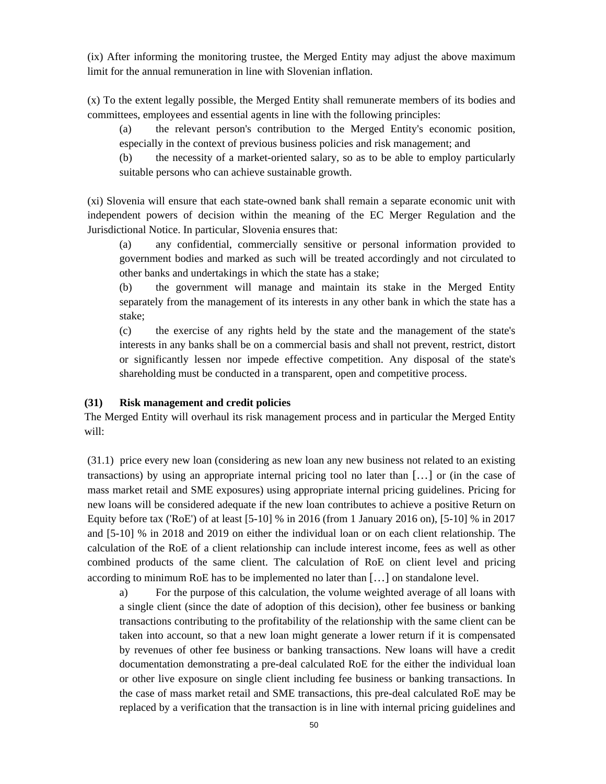(ix) After informing the monitoring trustee, the Merged Entity may adjust the above maximum limit for the annual remuneration in line with Slovenian inflation.

(x) To the extent legally possible, the Merged Entity shall remunerate members of its bodies and committees, employees and essential agents in line with the following principles:

(a) the relevant person's contribution to the Merged Entity's economic position, especially in the context of previous business policies and risk management; and

(b) the necessity of a market-oriented salary, so as to be able to employ particularly suitable persons who can achieve sustainable growth.

(xi) Slovenia will ensure that each state-owned bank shall remain a separate economic unit with independent powers of decision within the meaning of the EC Merger Regulation and the Jurisdictional Notice. In particular, Slovenia ensures that:

(a) any confidential, commercially sensitive or personal information provided to government bodies and marked as such will be treated accordingly and not circulated to other banks and undertakings in which the state has a stake;

(b) the government will manage and maintain its stake in the Merged Entity separately from the management of its interests in any other bank in which the state has a stake;

(c) the exercise of any rights held by the state and the management of the state's interests in any banks shall be on a commercial basis and shall not prevent, restrict, distort or significantly lessen nor impede effective competition. Any disposal of the state's shareholding must be conducted in a transparent, open and competitive process.

#### **(31) Risk management and credit policies**

The Merged Entity will overhaul its risk management process and in particular the Merged Entity will:

(31.1) price every new loan (considering as new loan any new business not related to an existing transactions) by using an appropriate internal pricing tool no later than […] or (in the case of mass market retail and SME exposures) using appropriate internal pricing guidelines. Pricing for new loans will be considered adequate if the new loan contributes to achieve a positive Return on Equity before tax ('RoE') of at least [5-10] % in 2016 (from 1 January 2016 on), [5-10] % in 2017 and [5-10] % in 2018 and 2019 on either the individual loan or on each client relationship. The calculation of the RoE of a client relationship can include interest income, fees as well as other combined products of the same client. The calculation of RoE on client level and pricing according to minimum RoE has to be implemented no later than […] on standalone level.

a) For the purpose of this calculation, the volume weighted average of all loans with a single client (since the date of adoption of this decision), other fee business or banking transactions contributing to the profitability of the relationship with the same client can be taken into account, so that a new loan might generate a lower return if it is compensated by revenues of other fee business or banking transactions. New loans will have a credit documentation demonstrating a pre-deal calculated RoE for the either the individual loan or other live exposure on single client including fee business or banking transactions. In the case of mass market retail and SME transactions, this pre-deal calculated RoE may be replaced by a verification that the transaction is in line with internal pricing guidelines and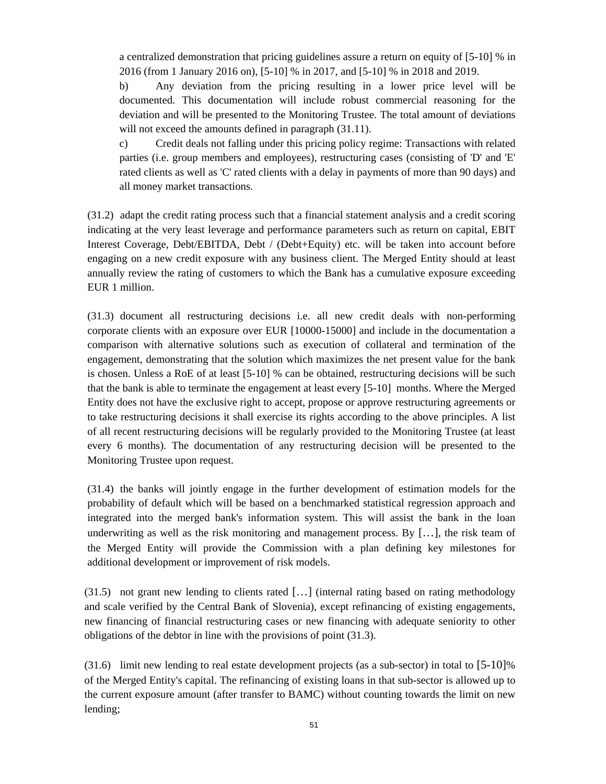a centralized demonstration that pricing guidelines assure a return on equity of [5-10] % in 2016 (from 1 January 2016 on), [5-10] % in 2017, and [5-10] % in 2018 and 2019.

b) Any deviation from the pricing resulting in a lower price level will be documented. This documentation will include robust commercial reasoning for the deviation and will be presented to the Monitoring Trustee. The total amount of deviations will not exceed the amounts defined in paragraph  $(31.11)$ .

c) Credit deals not falling under this pricing policy regime: Transactions with related parties (i.e. group members and employees), restructuring cases (consisting of 'D' and 'E' rated clients as well as 'C' rated clients with a delay in payments of more than 90 days) and all money market transactions.

(31.2) adapt the credit rating process such that a financial statement analysis and a credit scoring indicating at the very least leverage and performance parameters such as return on capital, EBIT Interest Coverage, Debt/EBITDA, Debt / (Debt+Equity) etc. will be taken into account before engaging on a new credit exposure with any business client. The Merged Entity should at least annually review the rating of customers to which the Bank has a cumulative exposure exceeding EUR 1 million.

(31.3) document all restructuring decisions i.e. all new credit deals with non-performing corporate clients with an exposure over EUR [10000-15000] and include in the documentation a comparison with alternative solutions such as execution of collateral and termination of the engagement, demonstrating that the solution which maximizes the net present value for the bank is chosen. Unless a RoE of at least [5-10] % can be obtained, restructuring decisions will be such that the bank is able to terminate the engagement at least every [5-10] months. Where the Merged Entity does not have the exclusive right to accept, propose or approve restructuring agreements or to take restructuring decisions it shall exercise its rights according to the above principles. A list of all recent restructuring decisions will be regularly provided to the Monitoring Trustee (at least every 6 months). The documentation of any restructuring decision will be presented to the Monitoring Trustee upon request.

(31.4) the banks will jointly engage in the further development of estimation models for the probability of default which will be based on a benchmarked statistical regression approach and integrated into the merged bank's information system. This will assist the bank in the loan underwriting as well as the risk monitoring and management process. By  $[\,\dots]$ , the risk team of the Merged Entity will provide the Commission with a plan defining key milestones for additional development or improvement of risk models.

(31.5) not grant new lending to clients rated […] (internal rating based on rating methodology and scale verified by the Central Bank of Slovenia), except refinancing of existing engagements, new financing of financial restructuring cases or new financing with adequate seniority to other obligations of the debtor in line with the provisions of point (31.3).

 $(31.6)$  limit new lending to real estate development projects (as a sub-sector) in total to  $[5-10]\%$ of the Merged Entity's capital. The refinancing of existing loans in that sub-sector is allowed up to the current exposure amount (after transfer to BAMC) without counting towards the limit on new lending;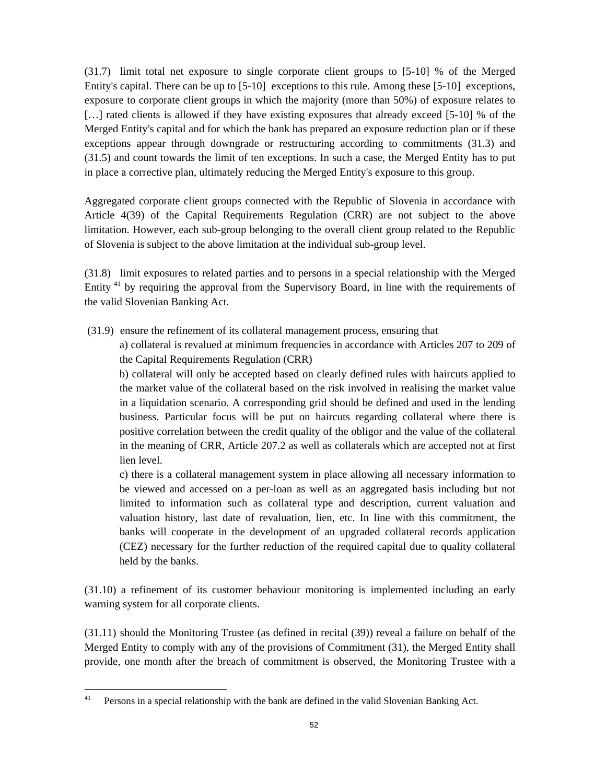(31.7) limit total net exposure to single corporate client groups to [5-10] % of the Merged Entity's capital. There can be up to [5-10] exceptions to this rule. Among these [5-10] exceptions, exposure to corporate client groups in which the majority (more than 50%) of exposure relates to [...] rated clients is allowed if they have existing exposures that already exceed [5-10] % of the Merged Entity's capital and for which the bank has prepared an exposure reduction plan or if these exceptions appear through downgrade or restructuring according to commitments (31.3) and (31.5) and count towards the limit of ten exceptions. In such a case, the Merged Entity has to put in place a corrective plan, ultimately reducing the Merged Entity's exposure to this group.

Aggregated corporate client groups connected with the Republic of Slovenia in accordance with Article 4(39) of the Capital Requirements Regulation (CRR) are not subject to the above limitation. However, each sub-group belonging to the overall client group related to the Republic of Slovenia is subject to the above limitation at the individual sub-group level.

(31.8) limit exposures to related parties and to persons in a special relationship with the Merged Entity 41 by requiring the approval from the Supervisory Board, in line with the requirements of the valid Slovenian Banking Act.

(31.9) ensure the refinement of its collateral management process, ensuring that

a) collateral is revalued at minimum frequencies in accordance with Articles 207 to 209 of the Capital Requirements Regulation (CRR)

b) collateral will only be accepted based on clearly defined rules with haircuts applied to the market value of the collateral based on the risk involved in realising the market value in a liquidation scenario. A corresponding grid should be defined and used in the lending business. Particular focus will be put on haircuts regarding collateral where there is positive correlation between the credit quality of the obligor and the value of the collateral in the meaning of CRR, Article 207.2 as well as collaterals which are accepted not at first lien level.

c) there is a collateral management system in place allowing all necessary information to be viewed and accessed on a per-loan as well as an aggregated basis including but not limited to information such as collateral type and description, current valuation and valuation history, last date of revaluation, lien, etc. In line with this commitment, the banks will cooperate in the development of an upgraded collateral records application (CEZ) necessary for the further reduction of the required capital due to quality collateral held by the banks.

(31.10) a refinement of its customer behaviour monitoring is implemented including an early warning system for all corporate clients.

(31.11) should the Monitoring Trustee (as defined in recit[al \(39\)](#page-54-0)) reveal a failure on behalf of the Merged Entity to comply with any of the provisions of Commitment (31), the Merged Entity shall provide, one month after the breach of commitment is observed, the Monitoring Trustee with a

 $41$ 41 Persons in a special relationship with the bank are defined in the valid Slovenian Banking Act.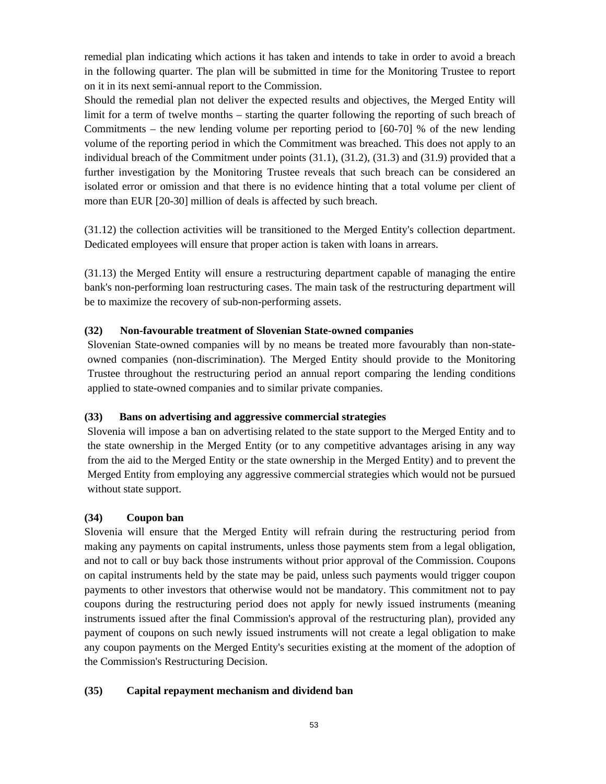remedial plan indicating which actions it has taken and intends to take in order to avoid a breach in the following quarter. The plan will be submitted in time for the Monitoring Trustee to report on it in its next semi-annual report to the Commission.

Should the remedial plan not deliver the expected results and objectives, the Merged Entity will limit for a term of twelve months – starting the quarter following the reporting of such breach of Commitments – the new lending volume per reporting period to [60-70] % of the new lending volume of the reporting period in which the Commitment was breached. This does not apply to an individual breach of the Commitment under points (31.1), (31.2), (31.3) and (31.9) provided that a further investigation by the Monitoring Trustee reveals that such breach can be considered an isolated error or omission and that there is no evidence hinting that a total volume per client of more than EUR [20-30] million of deals is affected by such breach.

(31.12) the collection activities will be transitioned to the Merged Entity's collection department. Dedicated employees will ensure that proper action is taken with loans in arrears.

(31.13) the Merged Entity will ensure a restructuring department capable of managing the entire bank's non-performing loan restructuring cases. The main task of the restructuring department will be to maximize the recovery of sub-non-performing assets.

### **(32) Non-favourable treatment of Slovenian State-owned companies**

Slovenian State-owned companies will by no means be treated more favourably than non-stateowned companies (non-discrimination). The Merged Entity should provide to the Monitoring Trustee throughout the restructuring period an annual report comparing the lending conditions applied to state-owned companies and to similar private companies.

### **(33) Bans on advertising and aggressive commercial strategies**

Slovenia will impose a ban on advertising related to the state support to the Merged Entity and to the state ownership in the Merged Entity (or to any competitive advantages arising in any way from the aid to the Merged Entity or the state ownership in the Merged Entity) and to prevent the Merged Entity from employing any aggressive commercial strategies which would not be pursued without state support.

#### **(34) Coupon ban**

Slovenia will ensure that the Merged Entity will refrain during the restructuring period from making any payments on capital instruments, unless those payments stem from a legal obligation, and not to call or buy back those instruments without prior approval of the Commission. Coupons on capital instruments held by the state may be paid, unless such payments would trigger coupon payments to other investors that otherwise would not be mandatory. This commitment not to pay coupons during the restructuring period does not apply for newly issued instruments (meaning instruments issued after the final Commission's approval of the restructuring plan), provided any payment of coupons on such newly issued instruments will not create a legal obligation to make any coupon payments on the Merged Entity's securities existing at the moment of the adoption of the Commission's Restructuring Decision.

#### **(35) Capital repayment mechanism and dividend ban**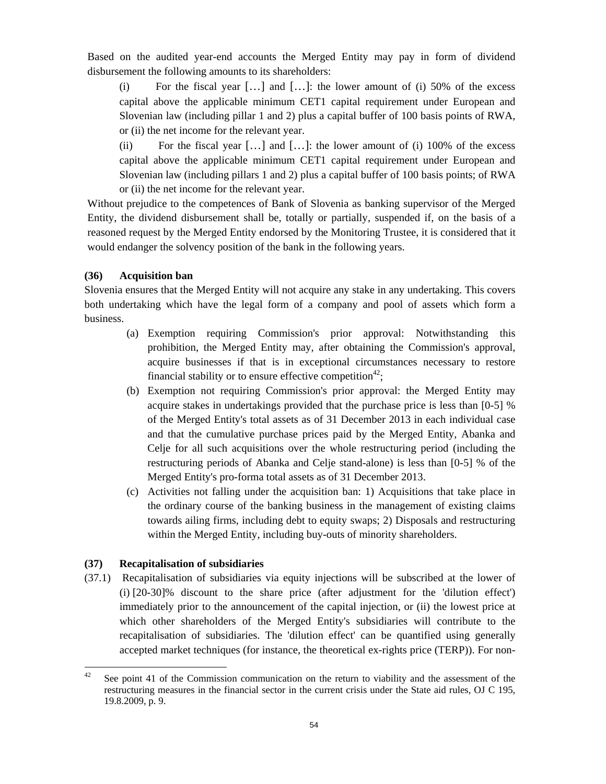Based on the audited year-end accounts the Merged Entity may pay in form of dividend disbursement the following amounts to its shareholders:

(i) For the fiscal year  $[...]$  and  $[...]$ : the lower amount of (i) 50% of the excess capital above the applicable minimum CET1 capital requirement under European and Slovenian law (including pillar 1 and 2) plus a capital buffer of 100 basis points of RWA, or (ii) the net income for the relevant year.

(ii) For the fiscal year  $[\ldots]$  and  $[\ldots]$ : the lower amount of (i) 100% of the excess capital above the applicable minimum CET1 capital requirement under European and Slovenian law (including pillars 1 and 2) plus a capital buffer of 100 basis points; of RWA or (ii) the net income for the relevant year.

Without prejudice to the competences of Bank of Slovenia as banking supervisor of the Merged Entity, the dividend disbursement shall be, totally or partially, suspended if, on the basis of a reasoned request by the Merged Entity endorsed by the Monitoring Trustee, it is considered that it would endanger the solvency position of the bank in the following years.

### **(36) Acquisition ban**

Slovenia ensures that the Merged Entity will not acquire any stake in any undertaking. This covers both undertaking which have the legal form of a company and pool of assets which form a business.

- (a) Exemption requiring Commission's prior approval: Notwithstanding this prohibition, the Merged Entity may, after obtaining the Commission's approval, acquire businesses if that is in exceptional circumstances necessary to restore financial stability or to ensure effective competition<sup>42</sup>;
- (b) Exemption not requiring Commission's prior approval: the Merged Entity may acquire stakes in undertakings provided that the purchase price is less than [0-5] % of the Merged Entity's total assets as of 31 December 2013 in each individual case and that the cumulative purchase prices paid by the Merged Entity, Abanka and Celje for all such acquisitions over the whole restructuring period (including the restructuring periods of Abanka and Celje stand-alone) is less than [0-5] % of the Merged Entity's pro-forma total assets as of 31 December 2013.
- (c) Activities not falling under the acquisition ban: 1) Acquisitions that take place in the ordinary course of the banking business in the management of existing claims towards ailing firms, including debt to equity swaps; 2) Disposals and restructuring within the Merged Entity, including buy-outs of minority shareholders.

# **(37) Recapitalisation of subsidiaries**

(37.1) Recapitalisation of subsidiaries via equity injections will be subscribed at the lower of (i) [20-30]% discount to the share price (after adjustment for the 'dilution effect') immediately prior to the announcement of the capital injection, or (ii) the lowest price at which other shareholders of the Merged Entity's subsidiaries will contribute to the recapitalisation of subsidiaries. The 'dilution effect' can be quantified using generally accepted market techniques (for instance, the theoretical ex-rights price (TERP)). For non-

<sup>42</sup> See point 41 of the Commission communication on the return to viability and the assessment of the restructuring measures in the financial sector in the current crisis under the State aid rules, OJ C 195, 19.8.2009, p. 9.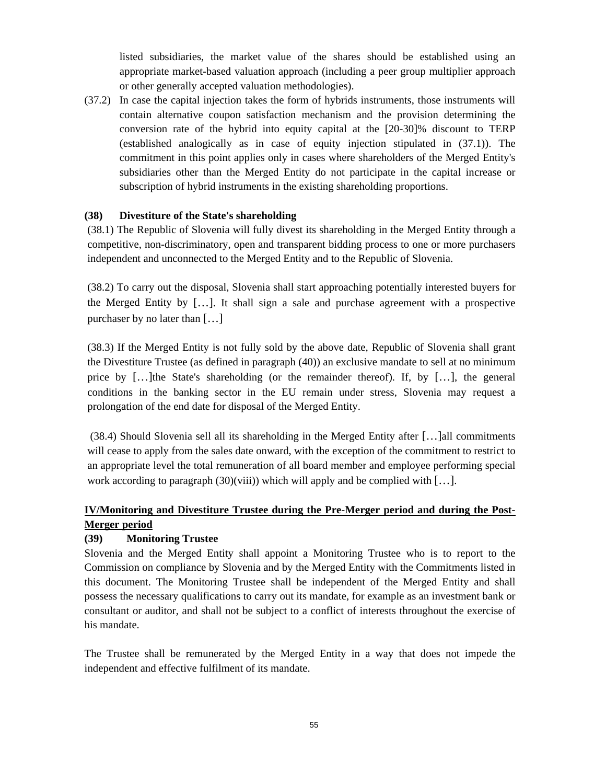listed subsidiaries, the market value of the shares should be established using an appropriate market-based valuation approach (including a peer group multiplier approach or other generally accepted valuation methodologies).

(37.2) In case the capital injection takes the form of hybrids instruments, those instruments will contain alternative coupon satisfaction mechanism and the provision determining the conversion rate of the hybrid into equity capital at the [20-30]% discount to TERP (established analogically as in case of equity injection stipulated in (37.1)). The commitment in this point applies only in cases where shareholders of the Merged Entity's subsidiaries other than the Merged Entity do not participate in the capital increase or subscription of hybrid instruments in the existing shareholding proportions.

### <span id="page-54-1"></span>**(38) Divestiture of the State's shareholding**

(38.1) The Republic of Slovenia will fully divest its shareholding in the Merged Entity through a competitive, non-discriminatory, open and transparent bidding process to one or more purchasers independent and unconnected to the Merged Entity and to the Republic of Slovenia.

(38.2) To carry out the disposal, Slovenia shall start approaching potentially interested buyers for the Merged Entity by […]. It shall sign a sale and purchase agreement with a prospective purchaser by no later than […]

(38.3) If the Merged Entity is not fully sold [by the](#page-56-0) above date, Republic of Slovenia shall grant the Divestiture Trustee (as defined in paragraph (40)) an exclusive mandate to sell at no minimum price by […]the State's shareholding (or the remainder thereof). If, by […], the general conditions in the banking sector in the EU remain under stress, Slovenia may request a prolongation of the end date for disposal of the Merged Entity.

 (38.4) Should Slovenia sell all its shareholding in the Merged Entity after […]all commitments will cease to apply from the sales date onward, with the exception of the commitment to restrict to an appropriate level the total remuneration of all board member and employee performing special work according to paragraph  $(30)(viii)$ ) which will apply and be complied with  $[\dots]$ .

## <span id="page-54-0"></span>**IV/Monitoring and Divestiture Trustee during the Pre-Merger period and during the Post-Merger period**

### **(39) Monitoring Trustee**

Slovenia and the Merged Entity shall appoint a Monitoring Trustee who is to report to the Commission on compliance by Slovenia and by the Merged Entity with the Commitments listed in this document. The Monitoring Trustee shall be independent of the Merged Entity and shall possess the necessary qualifications to carry out its mandate, for example as an investment bank or consultant or auditor, and shall not be subject to a conflict of interests throughout the exercise of his mandate.

The Trustee shall be remunerated by the Merged Entity in a way that does not impede the independent and effective fulfilment of its mandate.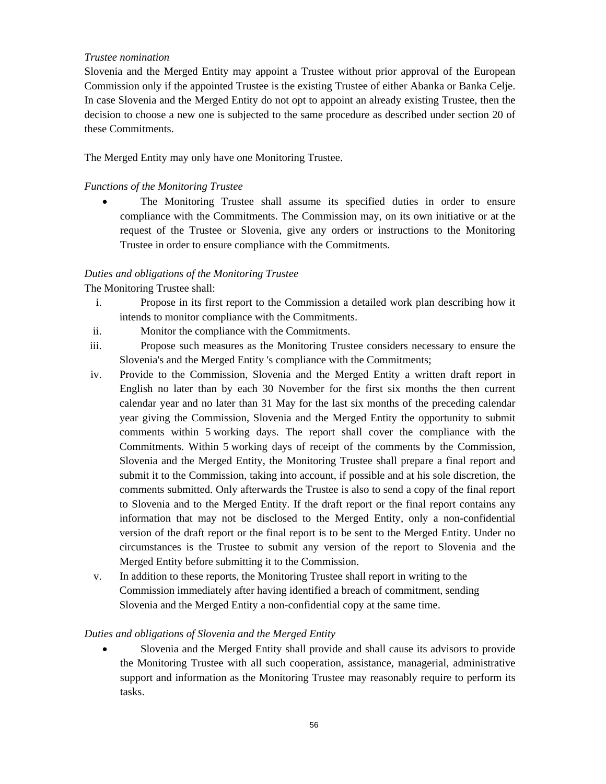#### *Trustee nomination*

Slovenia and the Merged Entity may appoint a Trustee without prior approval of the European Commission only if the appointed Trustee is the existing Trustee of either Abanka or Banka Celje. In case Slovenia and the Merged Entity do not opt to appoint an already existing Trustee, then the decision to choose a new one is subjected to the same procedure as described under section 20 of these Commitments.

The Merged Entity may only have one Monitoring Trustee.

### *Functions of the Monitoring Trustee*

• The Monitoring Trustee shall assume its specified duties in order to ensure compliance with the Commitments. The Commission may, on its own initiative or at the request of the Trustee or Slovenia, give any orders or instructions to the Monitoring Trustee in order to ensure compliance with the Commitments.

### *Duties and obligations of the Monitoring Trustee*

The Monitoring Trustee shall:

- i. Propose in its first report to the Commission a detailed work plan describing how it intends to monitor compliance with the Commitments.
- ii. Monitor the compliance with the Commitments.
- iii. Propose such measures as the Monitoring Trustee considers necessary to ensure the Slovenia's and the Merged Entity 's compliance with the Commitments;
- iv. Provide to the Commission, Slovenia and the Merged Entity a written draft report in English no later than by each 30 November for the first six months the then current calendar year and no later than 31 May for the last six months of the preceding calendar year giving the Commission, Slovenia and the Merged Entity the opportunity to submit comments within 5 working days. The report shall cover the compliance with the Commitments. Within 5 working days of receipt of the comments by the Commission, Slovenia and the Merged Entity, the Monitoring Trustee shall prepare a final report and submit it to the Commission, taking into account, if possible and at his sole discretion, the comments submitted. Only afterwards the Trustee is also to send a copy of the final report to Slovenia and to the Merged Entity. If the draft report or the final report contains any information that may not be disclosed to the Merged Entity, only a non-confidential version of the draft report or the final report is to be sent to the Merged Entity. Under no circumstances is the Trustee to submit any version of the report to Slovenia and the Merged Entity before submitting it to the Commission.
- v. In addition to these reports, the Monitoring Trustee shall report in writing to the Commission immediately after having identified a breach of commitment, sending Slovenia and the Merged Entity a non-confidential copy at the same time.

### *Duties and obligations of Slovenia and the Merged Entity*

• Slovenia and the Merged Entity shall provide and shall cause its advisors to provide the Monitoring Trustee with all such cooperation, assistance, managerial, administrative support and information as the Monitoring Trustee may reasonably require to perform its tasks.